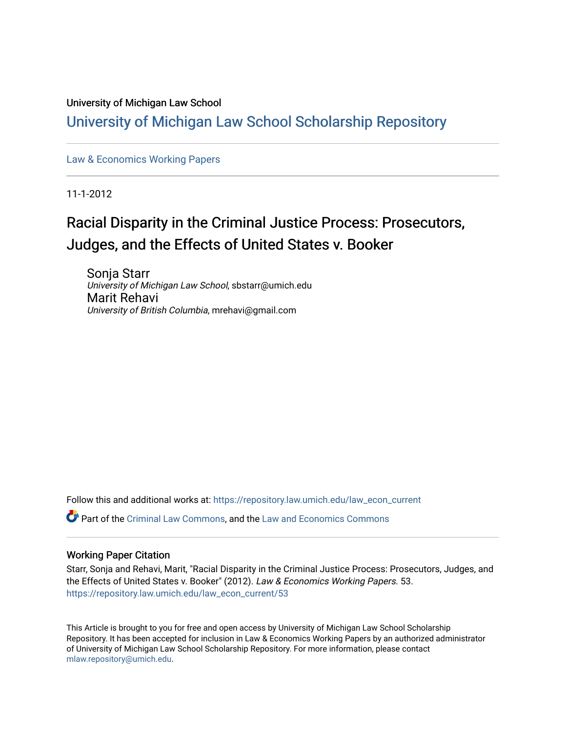### University of Michigan Law School

# [University of Michigan Law School Scholarship Repository](https://repository.law.umich.edu/)

[Law & Economics Working Papers](https://repository.law.umich.edu/law_econ_current)

11-1-2012

# Racial Disparity in the Criminal Justice Process: Prosecutors, Judges, and the Effects of United States v. Booker

Sonja Starr University of Michigan Law School, sbstarr@umich.edu Marit Rehavi University of British Columbia, mrehavi@gmail.com

Follow this and additional works at: [https://repository.law.umich.edu/law\\_econ\\_current](https://repository.law.umich.edu/law_econ_current?utm_source=repository.law.umich.edu%2Flaw_econ_current%2F53&utm_medium=PDF&utm_campaign=PDFCoverPages) 

 $\bullet$  Part of the [Criminal Law Commons,](http://network.bepress.com/hgg/discipline/912?utm_source=repository.law.umich.edu%2Flaw_econ_current%2F53&utm_medium=PDF&utm_campaign=PDFCoverPages) and the [Law and Economics Commons](http://network.bepress.com/hgg/discipline/612?utm_source=repository.law.umich.edu%2Flaw_econ_current%2F53&utm_medium=PDF&utm_campaign=PDFCoverPages)

### Working Paper Citation

Starr, Sonja and Rehavi, Marit, "Racial Disparity in the Criminal Justice Process: Prosecutors, Judges, and the Effects of United States v. Booker" (2012). Law & Economics Working Papers. 53. [https://repository.law.umich.edu/law\\_econ\\_current/53](https://repository.law.umich.edu/law_econ_current/53?utm_source=repository.law.umich.edu%2Flaw_econ_current%2F53&utm_medium=PDF&utm_campaign=PDFCoverPages)

This Article is brought to you for free and open access by University of Michigan Law School Scholarship Repository. It has been accepted for inclusion in Law & Economics Working Papers by an authorized administrator of University of Michigan Law School Scholarship Repository. For more information, please contact [mlaw.repository@umich.edu.](mailto:mlaw.repository@umich.edu)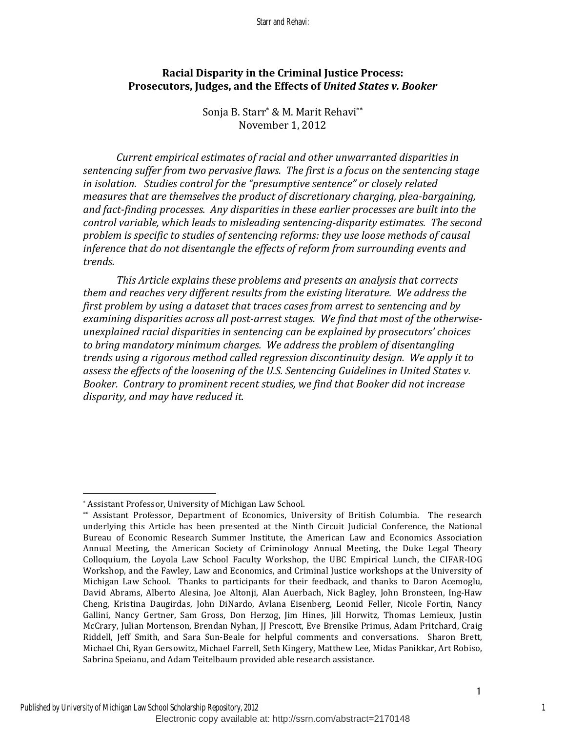### **Racial Disparity in the Criminal Justice Process:** Prosecutors, Judges, and the Effects of *United States v. Booker*

Sonja B. Starr<sup>\*</sup> & M. Marit Rehavi<sup>\*\*</sup> November 1, 2012

*Current empirical estimates of racial and other unwarranted disparities in* sentencing suffer from two pervasive flaws. The first is a focus on the sentencing stage *in isolation. Studies control for the "presumptive sentence" or closely related measures that are themselves the product of discretionary charging, plea-bargaining,* and fact-finding processes. Any disparities in these earlier processes are built into the control variable, which leads to misleading sentencing-disparity estimates. The second problem is specific to studies of sentencing reforms: they use loose methods of causal *inference that do not disentangle the effects of reform from surrounding events and trends.* 

*This Article explains these problems and presents an analysis that corrects* them and reaches very different results from the existing literature. We address the *first problem by using a dataset that traces cases from arrest to sentencing and by* examining disparities across all post-arrest stages. We find that most of the otherwise*unexplained racial disparities in sentencing can be explained by prosecutors' choices* to bring mandatory minimum charges. We address the problem of disentangling *trends using a rigorous method called regression discontinuity design. We apply it to* assess the effects of the loosening of the U.S. Sentencing Guidelines in United States v. Booker. Contrary to prominent recent studies, we find that Booker did not increase disparity, and may have reduced it.

<sup>\*</sup> Assistant Professor, University of Michigan Law School.

<sup>\*\*</sup> Assistant Professor, Department of Economics, University of British Columbia. The research underlying this Article has been presented at the Ninth Circuit Judicial Conference, the National Bureau of Economic Research Summer Institute, the American Law and Economics Association Annual Meeting, the American Society of Criminology Annual Meeting, the Duke Legal Theory Colloquium, the Loyola Law School Faculty Workshop, the UBC Empirical Lunch, the CIFAR-IOG Workshop, and the Fawley, Law and Economics, and Criminal Justice workshops at the University of Michigan Law School. Thanks to participants for their feedback, and thanks to Daron Acemoglu, David Abrams, Alberto Alesina, Joe Altonji, Alan Auerbach, Nick Bagley, John Bronsteen, Ing-Haw Cheng, Kristina Daugirdas, John DiNardo, Avlana Eisenberg, Leonid Feller, Nicole Fortin, Nancy Gallini, Nancy Gertner, Sam Gross, Don Herzog, Jim Hines, Jill Horwitz, Thomas Lemieux, Justin McCrary, Julian Mortenson, Brendan Nyhan, JJ Prescott, Eve Brensike Primus, Adam Pritchard, Craig Riddell, Jeff Smith, and Sara Sun-Beale for helpful comments and conversations. Sharon Brett, Michael Chi, Ryan Gersowitz, Michael Farrell, Seth Kingery, Matthew Lee, Midas Panikkar, Art Robiso, Sabrina Speianu, and Adam Teitelbaum provided able research assistance.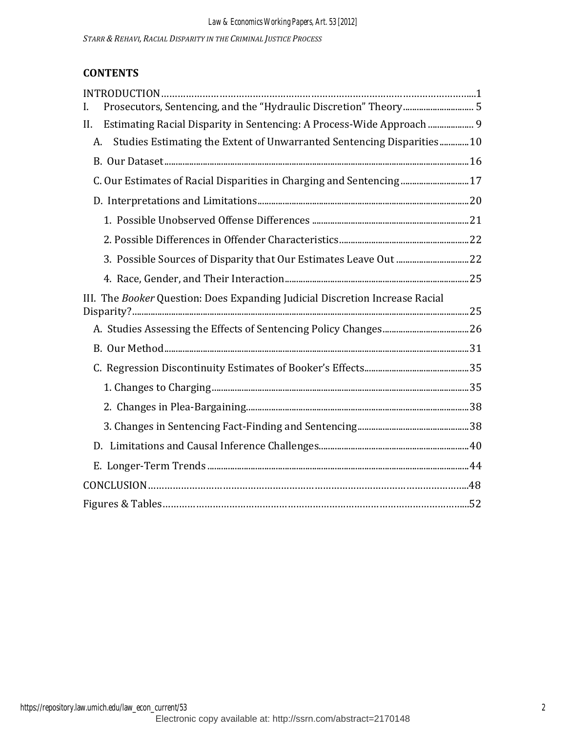*STARR & REHAVI, RACIAL DISPARITY IN THE CRIMINAL JUSTICE PROCESS*

# **CONTENTS**

| Prosecutors, Sentencing, and the "Hydraulic Discretion" Theory 5<br>L.       |  |
|------------------------------------------------------------------------------|--|
| Estimating Racial Disparity in Sentencing: A Process-Wide Approach  9<br>II. |  |
| Studies Estimating the Extent of Unwarranted Sentencing Disparities10<br>A.  |  |
|                                                                              |  |
| C. Our Estimates of Racial Disparities in Charging and Sentencing  17        |  |
|                                                                              |  |
|                                                                              |  |
|                                                                              |  |
|                                                                              |  |
|                                                                              |  |
| III. The Booker Question: Does Expanding Judicial Discretion Increase Racial |  |
|                                                                              |  |
|                                                                              |  |
|                                                                              |  |
|                                                                              |  |
|                                                                              |  |
|                                                                              |  |
|                                                                              |  |
|                                                                              |  |
|                                                                              |  |
|                                                                              |  |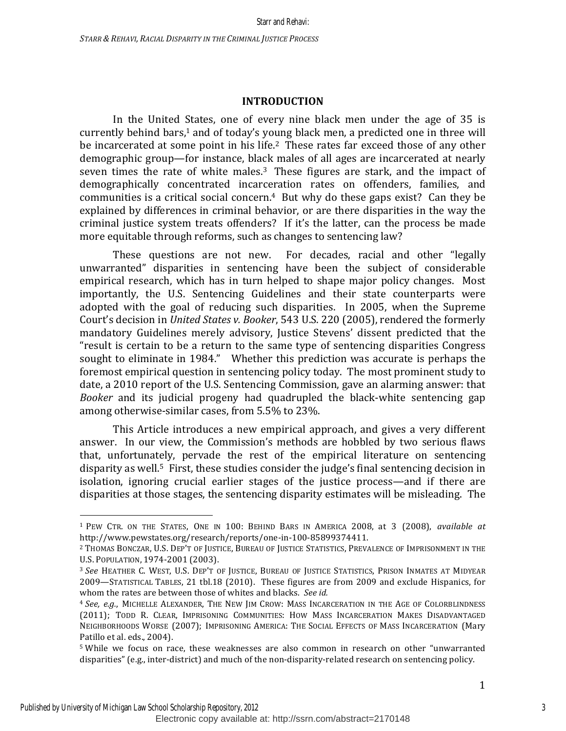### **INTRODUCTION**

In the United States, one of every nine black men under the age of 35 is currently behind bars, $1$  and of today's young black men, a predicted one in three will be incarcerated at some point in his life.<sup>2</sup> These rates far exceed those of any other demographic group—for instance, black males of all ages are incarcerated at nearly seven times the rate of white males.<sup>3</sup> These figures are stark, and the impact of demographically concentrated incarceration rates on offenders, families, and communities is a critical social concern.<sup>4</sup> But why do these gaps exist? Can they be explained by differences in criminal behavior, or are there disparities in the way the criminal justice system treats offenders? If it's the latter, can the process be made more equitable through reforms, such as changes to sentencing law?

These questions are not new. For decades, racial and other "legally unwarranted" disparities in sentencing have been the subject of considerable empirical research, which has in turn helped to shape major policy changes. Most importantly, the U.S. Sentencing Guidelines and their state counterparts were adopted with the goal of reducing such disparities. In 2005, when the Supreme Court's decision in *United States v. Booker*, 543 U.S. 220 (2005), rendered the formerly mandatory Guidelines merely advisory, Justice Stevens' dissent predicted that the "result is certain to be a return to the same type of sentencing disparities Congress sought to eliminate in 1984." Whether this prediction was accurate is perhaps the foremost empirical question in sentencing policy today. The most prominent study to date, a 2010 report of the U.S. Sentencing Commission, gave an alarming answer: that *Booker* and its judicial progeny had quadrupled the black-white sentencing gap among otherwise-similar cases, from 5.5% to 23%.

This Article introduces a new empirical approach, and gives a very different answer. In our view, the Commission's methods are hobbled by two serious flaws that, unfortunately, pervade the rest of the empirical literature on sentencing disparity as well.<sup>5</sup> First, these studies consider the judge's final sentencing decision in isolation, ignoring crucial earlier stages of the justice process—and if there are disparities at those stages, the sentencing disparity estimates will be misleading. The

<sup>&</sup>lt;sup>1</sup> PEW CTR. ON THE STATES, ONE IN 100: BEHIND BARS IN AMERICA 2008, at 3 (2008), *available at* http://www.pewstates.org/research/reports/one-in-100-85899374411.

<sup>&</sup>lt;sup>2</sup> THOMAS BONCZAR, U.S. DEP'T OF JUSTICE, BUREAU OF JUSTICE STATISTICS, PREVALENCE OF IMPRISONMENT IN THE U.S. POPULATION, 1974-2001 (2003).

<sup>&</sup>lt;sup>3</sup> See HEATHER C. WEST, U.S. DEP'T OF JUSTICE, BUREAU OF JUSTICE STATISTICS, PRISON INMATES AT MIDYEAR 2009—STATISTICAL TABLES, 21 tbl.18 (2010). These figures are from 2009 and exclude Hispanics, for whom the rates are between those of whites and blacks. See id.

<sup>&</sup>lt;sup>4</sup> See, e.g., MICHELLE ALEXANDER, THE NEW JIM CROW: MASS INCARCERATION IN THE AGE OF COLORBLINDNESS (2011); TODD R. CLEAR, IMPRISONING COMMUNITIES: HOW MASS INCARCERATION MAKES DISADVANTAGED NEIGHBORHOODS WORSE (2007); IMPRISONING AMERICA: THE SOCIAL EFFECTS OF MASS INCARCERATION (Mary Patillo et al. eds., 2004).

<sup>&</sup>lt;sup>5</sup> While we focus on race, these weaknesses are also common in research on other "unwarranted" disparities" (e.g., inter-district) and much of the non-disparity-related research on sentencing policy.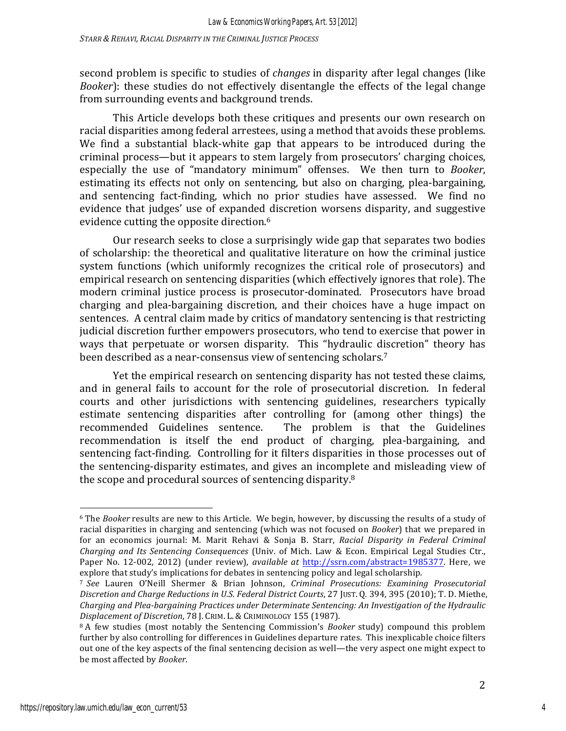second problem is specific to studies of *changes* in disparity after legal changes (like *Booker*): these studies do not effectively disentangle the effects of the legal change from surrounding events and background trends.

This Article develops both these critiques and presents our own research on racial disparities among federal arrestees, using a method that avoids these problems. We find a substantial black-white gap that appears to be introduced during the criminal process—but it appears to stem largely from prosecutors' charging choices, especially the use of "mandatory minimum" offenses. We then turn to *Booker*, estimating its effects not only on sentencing, but also on charging, plea-bargaining, and sentencing fact-finding, which no prior studies have assessed. We find no evidence that judges' use of expanded discretion worsens disparity, and suggestive evidence cutting the opposite direction.<sup>6</sup>

Our research seeks to close a surprisingly wide gap that separates two bodies of scholarship: the theoretical and qualitative literature on how the criminal justice system functions (which uniformly recognizes the critical role of prosecutors) and empirical research on sentencing disparities (which effectively ignores that role). The modern criminal justice process is prosecutor-dominated. Prosecutors have broad charging and plea-bargaining discretion, and their choices have a huge impact on sentences. A central claim made by critics of mandatory sentencing is that restricting judicial discretion further empowers prosecutors, who tend to exercise that power in ways that perpetuate or worsen disparity. This "hydraulic discretion" theory has been described as a near-consensus view of sentencing scholars.<sup>7</sup>

Yet the empirical research on sentencing disparity has not tested these claims, and in general fails to account for the role of prosecutorial discretion. In federal courts and other jurisdictions with sentencing guidelines, researchers typically estimate sentencing disparities after controlling for (among other things) the recommended Guidelines sentence. The problem is that the Guidelines recommendation is itself the end product of charging, plea-bargaining, and sentencing fact-finding. Controlling for it filters disparities in those processes out of the sentencing-disparity estimates, and gives an incomplete and misleading view of the scope and procedural sources of sentencing disparity. $8$ 

<sup>&</sup>lt;sup>6</sup> The *Booker* results are new to this Article. We begin, however, by discussing the results of a study of racial disparities in charging and sentencing (which was not focused on *Booker*) that we prepared in for an economics journal: M. Marit Rehavi & Sonja B. Starr, *Racial Disparity in Federal Criminal Charging and Its Sentencing Consequences* (Univ. of Mich. Law & Econ. Empirical Legal Studies Ctr., Paper No. 12-002, 2012) (under review), *available at http://ssrn.com/abstract=1985377*. Here, we explore that study's implications for debates in sentencing policy and legal scholarship.

<sup>&</sup>lt;sup>7</sup> See Lauren O'Neill Shermer & Brian Johnson, *Criminal Prosecutions: Examining Prosecutorial Discretion and Charge Reductions in U.S. Federal District Courts*, 27 JUST. Q. 394, 395 (2010); T. D. Miethe, *Charging and Plea-bargaining Practices under Determinate Sentencing: An Investigation of the Hydraulic Displacement of Discretion*, 78 J. CRIM. L. & CRIMINOLOGY 155 (1987).

<sup>&</sup>lt;sup>8</sup> A few studies (most notably the Sentencing Commission's *Booker* study) compound this problem further by also controlling for differences in Guidelines departure rates. This inexplicable choice filters out one of the key aspects of the final sentencing decision as well—the very aspect one might expect to be most affected by *Booker*.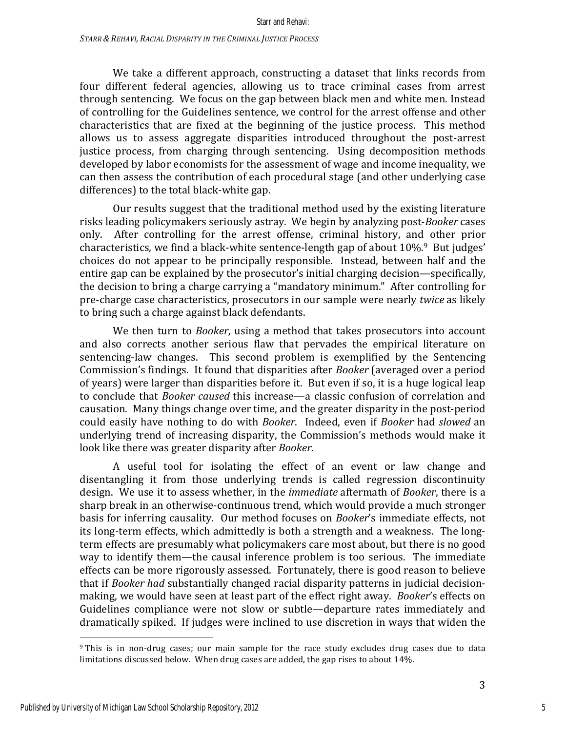We take a different approach, constructing a dataset that links records from four different federal agencies, allowing us to trace criminal cases from arrest through sentencing. We focus on the gap between black men and white men. Instead of controlling for the Guidelines sentence, we control for the arrest offense and other characteristics that are fixed at the beginning of the justice process. This method allows us to assess aggregate disparities introduced throughout the post-arrest justice process, from charging through sentencing. Using decomposition methods developed by labor economists for the assessment of wage and income inequality, we can then assess the contribution of each procedural stage (and other underlying case differences) to the total black-white gap.

Our results suggest that the traditional method used by the existing literature risks leading policymakers seriously astray. We begin by analyzing post-*Booker* cases only. After controlling for the arrest offense, criminal history, and other prior characteristics, we find a black-white sentence-length gap of about  $10\%$ .<sup>9</sup> But judges' choices do not appear to be principally responsible. Instead, between half and the entire gap can be explained by the prosecutor's initial charging decision—specifically, the decision to bring a charge carrying a "mandatory minimum." After controlling for pre-charge case characteristics, prosecutors in our sample were nearly *twice* as likely to bring such a charge against black defendants.

We then turn to *Booker*, using a method that takes prosecutors into account and also corrects another serious flaw that pervades the empirical literature on sentencing-law changes. This second problem is exemplified by the Sentencing Commission's findings. It found that disparities after *Booker* (averaged over a period of years) were larger than disparities before it. But even if so, it is a huge logical leap to conclude that *Booker caused* this increase—a classic confusion of correlation and causation. Many things change over time, and the greater disparity in the post-period could easily have nothing to do with *Booker*. Indeed, even if *Booker* had *slowed* an underlying trend of increasing disparity, the Commission's methods would make it look like there was greater disparity after *Booker*.

A useful tool for isolating the effect of an event or law change and disentangling it from those underlying trends is called regression discontinuity design. We use it to assess whether, in the *immediate* aftermath of *Booker*, there is a sharp break in an otherwise-continuous trend, which would provide a much stronger basis for inferring causality. Our method focuses on *Booker's* immediate effects, not its long-term effects, which admittedly is both a strength and a weakness. The longterm effects are presumably what policymakers care most about, but there is no good way to identify them—the causal inference problem is too serious. The immediate effects can be more rigorously assessed. Fortunately, there is good reason to believe that if *Booker had* substantially changed racial disparity patterns in judicial decisionmaking, we would have seen at least part of the effect right away. *Booker's* effects on Guidelines compliance were not slow or subtle—departure rates immediately and dramatically spiked. If judges were inclined to use discretion in ways that widen the

<sup>&</sup>lt;sup>9</sup> This is in non-drug cases; our main sample for the race study excludes drug cases due to data limitations discussed below. When drug cases are added, the gap rises to about 14%.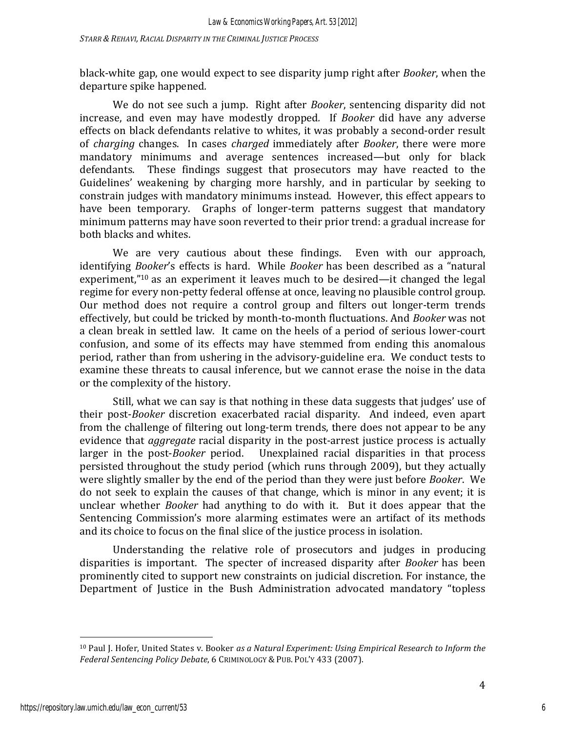black-white gap, one would expect to see disparity jump right after *Booker*, when the departure spike happened*.*

We do not see such a jump. Right after *Booker*, sentencing disparity did not increase, and even may have modestly dropped. If *Booker* did have any adverse effects on black defendants relative to whites, it was probably a second-order result of *charging* changes. In cases *charged* immediately after *Booker*, there were more mandatory minimums and average sentences increased—but only for black defendants. These findings suggest that prosecutors may have reacted to the Guidelines' weakening by charging more harshly, and in particular by seeking to constrain judges with mandatory minimums instead. However, this effect appears to have been temporary. Graphs of longer-term patterns suggest that mandatory minimum patterns may have soon reverted to their prior trend: a gradual increase for both blacks and whites.

We are very cautious about these findings. Even with our approach, identifying *Booker's* effects is hard. While *Booker* has been described as a "natural experiment,"<sup>10</sup> as an experiment it leaves much to be desired—it changed the legal regime for every non-petty federal offense at once, leaving no plausible control group. Our method does not require a control group and filters out longer-term trends effectively, but could be tricked by month-to-month fluctuations. And *Booker* was not a clean break in settled law. It came on the heels of a period of serious lower-court confusion, and some of its effects may have stemmed from ending this anomalous period, rather than from ushering in the advisory-guideline era. We conduct tests to examine these threats to causal inference, but we cannot erase the noise in the data or the complexity of the history.

Still, what we can say is that nothing in these data suggests that judges' use of their post-*Booker* discretion exacerbated racial disparity. And indeed, even apart from the challenge of filtering out long-term trends, there does not appear to be any evidence that *aggregate* racial disparity in the post-arrest justice process is actually larger in the post-*Booker* period. Unexplained racial disparities in that process persisted throughout the study period (which runs through 2009), but they actually were slightly smaller by the end of the period than they were just before *Booker*. We do not seek to explain the causes of that change, which is minor in any event; it is unclear whether *Booker* had anything to do with it. But it does appear that the Sentencing Commission's more alarming estimates were an artifact of its methods and its choice to focus on the final slice of the justice process in isolation.

Understanding the relative role of prosecutors and judges in producing disparities is important. The specter of increased disparity after *Booker* has been prominently cited to support new constraints on judicial discretion. For instance, the Department of Justice in the Bush Administration advocated mandatory "topless

<sup>&</sup>lt;sup>10</sup> Paul J. Hofer, United States v. Booker as a Natural Experiment: Using Empirical Research to Inform the Federal Sentencing Policy Debate, 6 CRIMINOLOGY & PUB. POL'Y 433 (2007).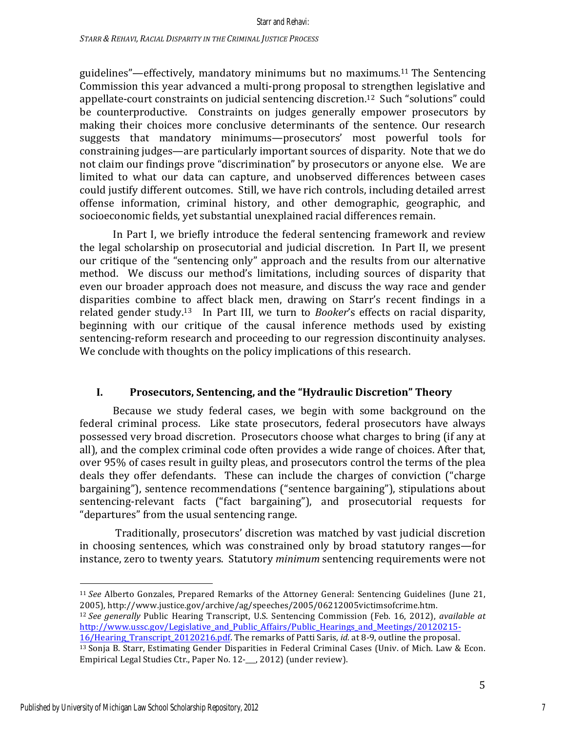guidelines"—effectively, mandatory minimums but no maximums.<sup>11</sup> The Sentencing Commission this year advanced a multi-prong proposal to strengthen legislative and appellate-court constraints on judicial sentencing discretion.<sup>12</sup> Such "solutions" could be counterproductive. Constraints on judges generally empower prosecutors by making their choices more conclusive determinants of the sentence. Our research suggests that mandatory minimums—prosecutors' most powerful tools for constraining judges—are particularly important sources of disparity. Note that we do not claim our findings prove "discrimination" by prosecutors or anyone else. We are limited to what our data can capture, and unobserved differences between cases could justify different outcomes. Still, we have rich controls, including detailed arrest offense information, criminal history, and other demographic, geographic, and socioeconomic fields, yet substantial unexplained racial differences remain.

In Part I, we briefly introduce the federal sentencing framework and review the legal scholarship on prosecutorial and judicial discretion. In Part II, we present our critique of the "sentencing only" approach and the results from our alternative method. We discuss our method's limitations, including sources of disparity that even our broader approach does not measure, and discuss the way race and gender disparities combine to affect black men, drawing on Starr's recent findings in a related gender study.<sup>13</sup> In Part III, we turn to *Booker's* effects on racial disparity, beginning with our critique of the causal inference methods used by existing sentencing-reform research and proceeding to our regression discontinuity analyses. We conclude with thoughts on the policy implications of this research.

### **I. Prosecutors, Sentencing, and the "Hydraulic Discretion" Theory**

Because we study federal cases, we begin with some background on the federal criminal process. Like state prosecutors, federal prosecutors have always possessed very broad discretion. Prosecutors choose what charges to bring (if any at all), and the complex criminal code often provides a wide range of choices. After that, over 95% of cases result in guilty pleas, and prosecutors control the terms of the plea deals they offer defendants. These can include the charges of conviction ("charge bargaining"), sentence recommendations ("sentence bargaining"), stipulations about sentencing-relevant facts ("fact bargaining"), and prosecutorial requests for " departures" from the usual sentencing range.

Traditionally, prosecutors' discretion was matched by vast judicial discretion in choosing sentences, which was constrained only by broad statutory ranges—for instance, zero to twenty years. Statutory *minimum* sentencing requirements were not

<sup>12</sup> See generally Public Hearing Transcript, U.S. Sentencing Commission (Feb. 16, 2012), *available at* http://www.ussc.gov/Legislative and Public Affairs/Public Hearings and Meetings/20120215-

 <sup>11</sup> *See* Alberto Gonzales, Prepared Remarks of the Attorney General: Sentencing Guidelines (June 21, 2005), http://www.justice.gov/archive/ag/speeches/2005/06212005victimsofcrime.htm.

<sup>16/</sup>Hearing\_Transcript\_20120216.pdf. The remarks of Patti Saris, *id.* at 8-9, outline the proposal. <sup>13</sup> Sonja B. Starr, Estimating Gender Disparities in Federal Criminal Cases (Univ. of Mich. Law & Econ. Empirical Legal Studies Ctr., Paper No. 12-\_\_, 2012) (under review).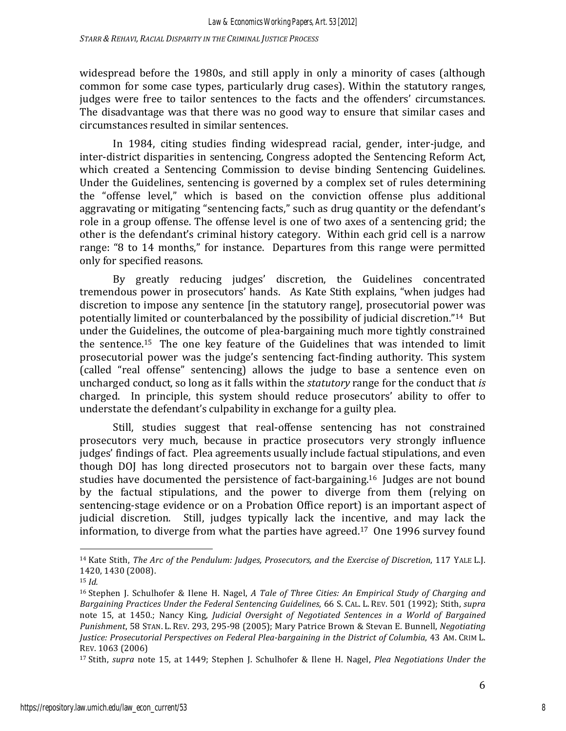widespread before the 1980s, and still apply in only a minority of cases (although common for some case types, particularly drug cases). Within the statutory ranges, judges were free to tailor sentences to the facts and the offenders' circumstances. The disadvantage was that there was no good way to ensure that similar cases and circumstances resulted in similar sentences. 

In 1984, citing studies finding widespread racial, gender, inter-judge, and inter-district disparities in sentencing, Congress adopted the Sentencing Reform Act, which created a Sentencing Commission to devise binding Sentencing Guidelines. Under the Guidelines, sentencing is governed by a complex set of rules determining the "offense level," which is based on the conviction offense plus additional aggravating or mitigating "sentencing facts," such as drug quantity or the defendant's role in a group offense. The offense level is one of two axes of a sentencing grid; the other is the defendant's criminal history category. Within each grid cell is a narrow range: "8 to 14 months," for instance. Departures from this range were permitted only for specified reasons.

By greatly reducing judges' discretion, the Guidelines concentrated tremendous power in prosecutors' hands. As Kate Stith explains, "when judges had discretion to impose any sentence [in the statutory range], prosecutorial power was potentially limited or counterbalanced by the possibility of judicial discretion."<sup>14</sup> But under the Guidelines, the outcome of plea-bargaining much more tightly constrained the sentence.<sup>15</sup> The one key feature of the Guidelines that was intended to limit prosecutorial power was the judge's sentencing fact-finding authority. This system (called "real offense" sentencing) allows the judge to base a sentence even on uncharged conduct, so long as it falls within the *statutory* range for the conduct that *is* charged. In principle, this system should reduce prosecutors' ability to offer to understate the defendant's culpability in exchange for a guilty plea.

Still, studies suggest that real-offense sentencing has not constrained prosecutors very much, because in practice prosecutors very strongly influence judges' findings of fact. Plea agreements usually include factual stipulations, and even though DOJ has long directed prosecutors not to bargain over these facts, many studies have documented the persistence of fact-bargaining.<sup>16</sup> Judges are not bound by the factual stipulations, and the power to diverge from them (relying on sentencing-stage evidence or on a Probation Office report) is an important aspect of judicial discretion. Still, judges typically lack the incentive, and may lack the information, to diverge from what the parties have agreed.<sup>17</sup> One 1996 survey found

 

<sup>&</sup>lt;sup>14</sup> Kate Stith, *The Arc of the Pendulum: Judges, Prosecutors, and the Exercise of Discretion*, 117 YALE L.J. 1420, 1430 (2008).

<sup>15</sup> *Id.*

<sup>&</sup>lt;sup>16</sup> Stephen J. Schulhofer & Ilene H. Nagel, *A Tale of Three Cities: An Empirical Study of Charging and Bargaining Practices Under the Federal Sentencing Guidelines*, 66 S. CAL. L. REV. 501 (1992); Stith, *supra* note 15, at 1450.; Nancy King, *Judicial Oversight of Negotiated Sentences in a World of Bargained Punishment*, 58 STAN. L. REV. 293, 295-98 (2005); Mary Patrice Brown & Stevan E. Bunnell, *Negotiating Justice: Prosecutorial Perspectives on Federal Plea-bargaining in the District of Columbia,* 43 AM. CRIM L. REV. 1063 (2006)

<sup>&</sup>lt;sup>17</sup> Stith, *supra* note 15, at 1449; Stephen J. Schulhofer & Ilene H. Nagel, *Plea Negotiations Under the*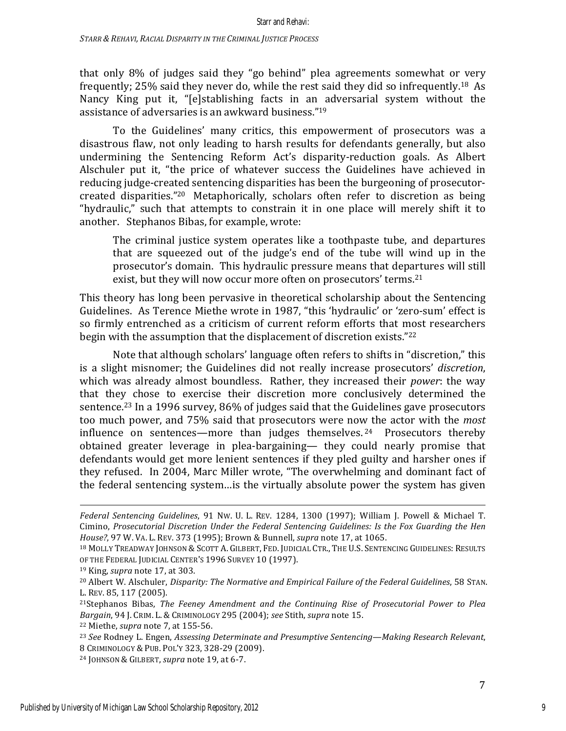that only 8% of judges said they "go behind" plea agreements somewhat or very frequently;  $25\%$  said they never do, while the rest said they did so infrequently.<sup>18</sup> As Nancy King put it, "[e]stablishing facts in an adversarial system without the assistance of adversaries is an awkward business."<sup>19</sup>

To the Guidelines' many critics, this empowerment of prosecutors was a disastrous flaw, not only leading to harsh results for defendants generally, but also undermining the Sentencing Reform Act's disparity-reduction goals. As Albert Alschuler put it, "the price of whatever success the Guidelines have achieved in reducing judge-created sentencing disparities has been the burgeoning of prosecutorcreated disparities."<sup>20</sup> Metaphorically, scholars often refer to discretion as being "hydraulic," such that attempts to constrain it in one place will merely shift it to another. Stephanos Bibas, for example, wrote:

The criminal justice system operates like a toothpaste tube, and departures that are squeezed out of the judge's end of the tube will wind up in the prosecutor's domain. This hydraulic pressure means that departures will still exist, but they will now occur more often on prosecutors' terms.<sup>21</sup>

This theory has long been pervasive in theoretical scholarship about the Sentencing Guidelines. As Terence Miethe wrote in 1987, "this 'hydraulic' or 'zero-sum' effect is so firmly entrenched as a criticism of current reform efforts that most researchers begin with the assumption that the displacement of discretion exists." $22$ 

Note that although scholars' language often refers to shifts in "discretion," this is a slight misnomer; the Guidelines did not really increase prosecutors' *discretion*, which was already almost boundless. Rather, they increased their *power*: the way that they chose to exercise their discretion more conclusively determined the sentence.<sup>23</sup> In a 1996 survey,  $86\%$  of judges said that the Guidelines gave prosecutors too much power, and 75% said that prosecutors were now the actor with the *most* influence on sentences—more than judges themselves.  $24$  Prosecutors thereby obtained greater leverage in plea-bargaining— they could nearly promise that defendants would get more lenient sentences if they pled guilty and harsher ones if they refused. In 2004, Marc Miller wrote, "The overwhelming and dominant fact of the federal sentencing system...is the virtually absolute power the system has given

<u> 1989 - Andrea Santa Andrea Andrea Andrea Andrea Andrea Andrea Andrea Andrea Andrea Andrea Andrea Andrea Andr</u>

*Federal Sentencing Guidelines*, 91 NW. U. L. REV. 1284, 1300 (1997); William J. Powell & Michael T. Cimino, *Prosecutorial Discretion Under the Federal Sentencing Guidelines: Is the Fox Guarding the Hen House?*, 97 W. VA. L. REV. 373 (1995); Brown & Bunnell, *supra* note 17, at 1065.

<sup>&</sup>lt;sup>18</sup> MOLLY TREADWAY JOHNSON & SCOTT A. GILBERT, FED. JUDICIAL CTR., THE U.S. SENTENCING GUIDELINES: RESULTS OF THE FEDERAL JUDICIAL CENTER'S 1996 SURVEY 10 (1997).

<sup>&</sup>lt;sup>19</sup> King, *supra* note 17, at 303.

<sup>&</sup>lt;sup>20</sup> Albert W. Alschuler, *Disparity: The Normative and Empirical Failure of the Federal Guidelines*, 58 STAN. L. REV. 85, 117 (2005).

<sup>&</sup>lt;sup>21</sup>Stephanos Bibas, *The Feeney Amendment and the Continuing Rise of Prosecutorial Power to Plea Bargain*, 94 J. CRIM. L. & CRIMINOLOGY 295 (2004); *see* Stith, *supra* note 15.

<sup>&</sup>lt;sup>22</sup> Miethe, *supra* note 7, at 155-56.

<sup>&</sup>lt;sup>23</sup> See Rodney L. Engen, *Assessing Determinate and Presumptive Sentencing—Making Research Relevant*, 8 CRIMINOLOGY & PUB. POL'Y 323, 328-29 (2009).

<sup>&</sup>lt;sup>24</sup> JOHNSON & GILBERT, *supra* note 19, at 6-7.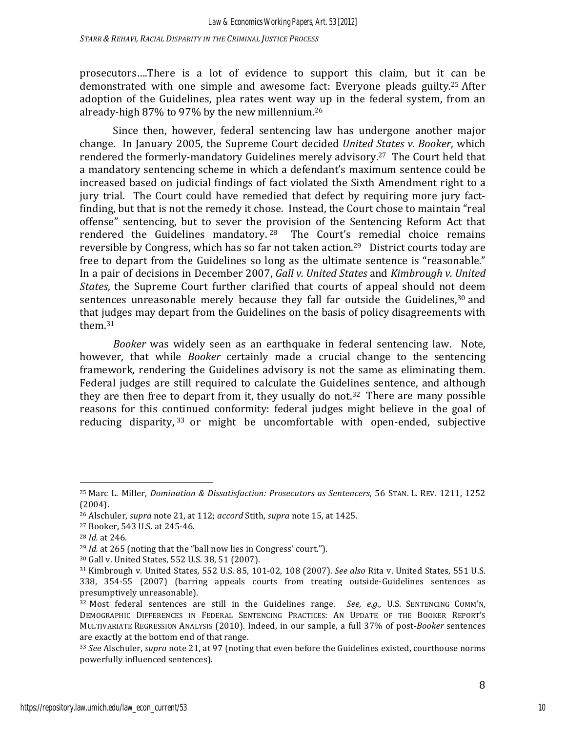prosecutors....There is a lot of evidence to support this claim, but it can be demonstrated with one simple and awesome fact: Everyone pleads guilty.<sup>25</sup> After adoption of the Guidelines, plea rates went way up in the federal system, from an already-high  $87\%$  to  $97\%$  by the new millennium.<sup>26</sup>

Since then, however, federal sentencing law has undergone another major change. In January 2005, the Supreme Court decided *United States v. Booker*, which rendered the formerly-mandatory Guidelines merely advisory.<sup>27</sup> The Court held that a mandatory sentencing scheme in which a defendant's maximum sentence could be increased based on judicial findings of fact violated the Sixth Amendment right to a jury trial. The Court could have remedied that defect by requiring more jury factfinding, but that is not the remedy it chose. Instead, the Court chose to maintain "real offense" sentencing, but to sever the provision of the Sentencing Reform Act that rendered the Guidelines mandatory.<sup>28</sup> The Court's remedial choice remains reversible by Congress, which has so far not taken action.<sup>29</sup> District courts today are free to depart from the Guidelines so long as the ultimate sentence is "reasonable." In a pair of decisions in December 2007, *Gall v. United States* and *Kimbrough v. United States*, the Supreme Court further clarified that courts of appeal should not deem sentences unreasonable merely because they fall far outside the Guidelines, $30$  and that judges may depart from the Guidelines on the basis of policy disagreements with them.31

*Booker* was widely seen as an earthquake in federal sentencing law. Note, however, that while *Booker* certainly made a crucial change to the sentencing framework, rendering the Guidelines advisory is not the same as eliminating them. Federal judges are still required to calculate the Guidelines sentence, and although they are then free to depart from it, they usually do not.<sup>32</sup> There are many possible reasons for this continued conformity: federal judges might believe in the goal of reducing disparity,  $33$  or might be uncomfortable with open-ended, subjective

 

<sup>&</sup>lt;sup>25</sup> Marc L. Miller, *Domination & Dissatisfaction: Prosecutors as Sentencers*, 56 STAN. L. REV. 1211, 1252 (2004).

<sup>&</sup>lt;sup>26</sup> Alschuler, *supra* note 21, at 112; *accord* Stith, *supra* note 15, at 1425.

<sup>&</sup>lt;sup>27</sup> Booker, 543 U.S. at 245-46.

<sup>28</sup> *Id.* at 246.

<sup>&</sup>lt;sup>29</sup> *Id.* at 265 (noting that the "ball now lies in Congress' court.").

<sup>&</sup>lt;sup>30</sup> Gall v. United States, 552 U.S. 38, 51 (2007).

<sup>31</sup> Kimbrough v. United States, 552 U.S. 85, 101-02, 108 (2007). *See also* Rita v. United States, 551 U.S. 338, 354-55 (2007) (barring appeals courts from treating outside-Guidelines sentences as presumptively unreasonable).

<sup>&</sup>lt;sup>32</sup> Most federal sentences are still in the Guidelines range. *See, e.g.*, U.S. SENTENCING COMM'N, DEMOGRAPHIC DIFFERENCES IN FEDERAL SENTENCING PRACTICES: AN UPDATE OF THE BOOKER REPORT'S MULTIVARIATE REGRESSION ANALYSIS (2010). Indeed, in our sample, a full 37% of post-Booker sentences are exactly at the bottom end of that range.

<sup>33</sup> *See* Alschuler, *supra* note 21, at 97 (noting that even before the Guidelines existed, courthouse norms powerfully influenced sentences).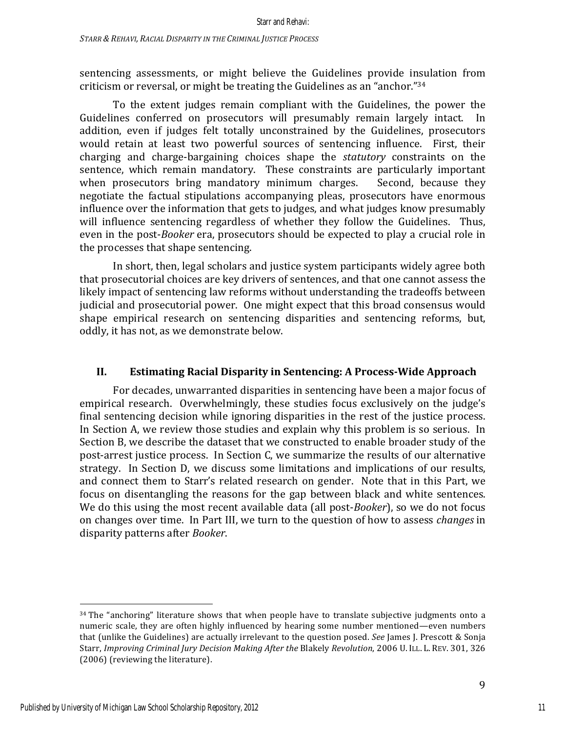sentencing assessments, or might believe the Guidelines provide insulation from criticism or reversal, or might be treating the Guidelines as an "anchor."34

To the extent judges remain compliant with the Guidelines, the power the Guidelines conferred on prosecutors will presumably remain largely intact. In addition, even if judges felt totally unconstrained by the Guidelines, prosecutors would retain at least two powerful sources of sentencing influence. First, their charging and charge-bargaining choices shape the *statutory* constraints on the sentence, which remain mandatory. These constraints are particularly important when prosecutors bring mandatory minimum charges. Second, because they negotiate the factual stipulations accompanying pleas, prosecutors have enormous influence over the information that gets to judges, and what judges know presumably will influence sentencing regardless of whether they follow the Guidelines. Thus, even in the post-*Booker* era, prosecutors should be expected to play a crucial role in the processes that shape sentencing.

In short, then, legal scholars and justice system participants widely agree both that prosecutorial choices are key drivers of sentences, and that one cannot assess the likely impact of sentencing law reforms without understanding the tradeoffs between judicial and prosecutorial power. One might expect that this broad consensus would shape empirical research on sentencing disparities and sentencing reforms, but, oddly, it has not, as we demonstrate below.

### **II. Estimating Racial Disparity in Sentencing: A Process-Wide Approach**

For decades, unwarranted disparities in sentencing have been a major focus of empirical research. Overwhelmingly, these studies focus exclusively on the judge's final sentencing decision while ignoring disparities in the rest of the justice process. In Section A, we review those studies and explain why this problem is so serious. In Section B, we describe the dataset that we constructed to enable broader study of the post-arrest justice process. In Section C, we summarize the results of our alternative strategy. In Section D, we discuss some limitations and implications of our results, and connect them to Starr's related research on gender. Note that in this Part, we focus on disentangling the reasons for the gap between black and white sentences. We do this using the most recent available data (all post-*Booker*), so we do not focus on changes over time. In Part III, we turn to the question of how to assess *changes* in disparity patterns after *Booker*.

 $34$  The "anchoring" literature shows that when people have to translate subjective judgments onto a numeric scale, they are often highly influenced by hearing some number mentioned—even numbers that (unlike the Guidelines) are actually irrelevant to the question posed. *See* James J. Prescott & Sonja Starr, *Improving Criminal Jury Decision Making After the Blakely Revolution*, 2006 U. ILL. L. REV. 301, 326 (2006) (reviewing the literature).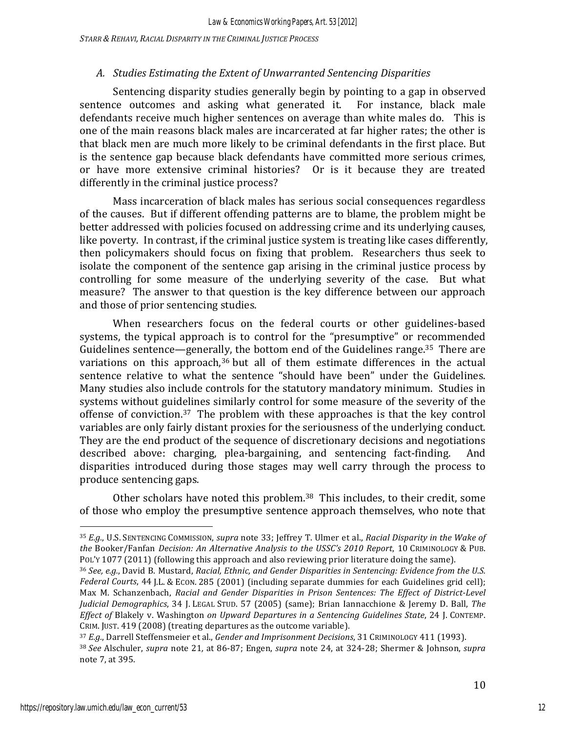*STARR & REHAVI, RACIAL DISPARITY IN THE CRIMINAL JUSTICE PROCESS*

### A. *Studies Estimating the Extent of Unwarranted Sentencing Disparities*

Sentencing disparity studies generally begin by pointing to a gap in observed sentence outcomes and asking what generated it. For instance, black male defendants receive much higher sentences on average than white males do. This is one of the main reasons black males are incarcerated at far higher rates; the other is that black men are much more likely to be criminal defendants in the first place. But is the sentence gap because black defendants have committed more serious crimes, or have more extensive criminal histories? Or is it because they are treated differently in the criminal justice process?

Mass incarceration of black males has serious social consequences regardless of the causes. But if different offending patterns are to blame, the problem might be better addressed with policies focused on addressing crime and its underlying causes, like poverty. In contrast, if the criminal justice system is treating like cases differently, then policymakers should focus on fixing that problem. Researchers thus seek to isolate the component of the sentence gap arising in the criminal justice process by controlling for some measure of the underlying severity of the case. But what measure? The answer to that question is the key difference between our approach and those of prior sentencing studies.

When researchers focus on the federal courts or other guidelines-based systems, the typical approach is to control for the "presumptive" or recommended Guidelines sentence—generally, the bottom end of the Guidelines range.<sup>35</sup> There are variations on this approach, $36$  but all of them estimate differences in the actual sentence relative to what the sentence "should have been" under the Guidelines. Many studies also include controls for the statutory mandatory minimum. Studies in systems without guidelines similarly control for some measure of the severity of the offense of conviction.<sup>37</sup> The problem with these approaches is that the key control variables are only fairly distant proxies for the seriousness of the underlying conduct. They are the end product of the sequence of discretionary decisions and negotiations described above: charging, plea-bargaining, and sentencing fact-finding. And disparities introduced during those stages may well carry through the process to produce sentencing gaps.

Other scholars have noted this problem.<sup>38</sup> This includes, to their credit, some of those who employ the presumptive sentence approach themselves, who note that

<sup>35</sup> *E.g.*, U.S. SENTENCING COMMISSION, *supra* note 33; Jeffrey T. Ulmer et al., *Racial Disparity in the Wake of the* Booker/Fanfan *Decision: An Alternative Analysis to the USSC's 2010 Report*, 10 CRIMINOLOGY & PUB. POL'Y 1077 (2011) (following this approach and also reviewing prior literature doing the same).

<sup>36</sup> See, e.g., David B. Mustard, *Racial, Ethnic, and Gender Disparities in Sentencing: Evidence from the U.S. Federal Courts*, 44 J.L. & ECON. 285 (2001) (including separate dummies for each Guidelines grid cell); Max M. Schanzenbach, *Racial and Gender Disparities in Prison Sentences: The Effect of District-Level Judicial Demographics*, 34 J. LEGAL STUD. 57 (2005) (same); Brian Iannacchione & Jeremy D. Ball, The *Effect of* Blakely v. Washington *on Upward Departures in a Sentencing Guidelines State*, 24 J. CONTEMP. CRIM. JUST. 419 (2008) (treating departures as the outcome variable).

<sup>37</sup> *E.g.*, Darrell Steffensmeier et al., *Gender and Imprisonment Decisions*, 31 CRIMINOLOGY 411 (1993).

<sup>38</sup> *See* Alschuler, *supra* note 21*,* at 86-87; Engen, *supra* note 24, at 324-28; Shermer & Johnson, *supra* note 7, at 395.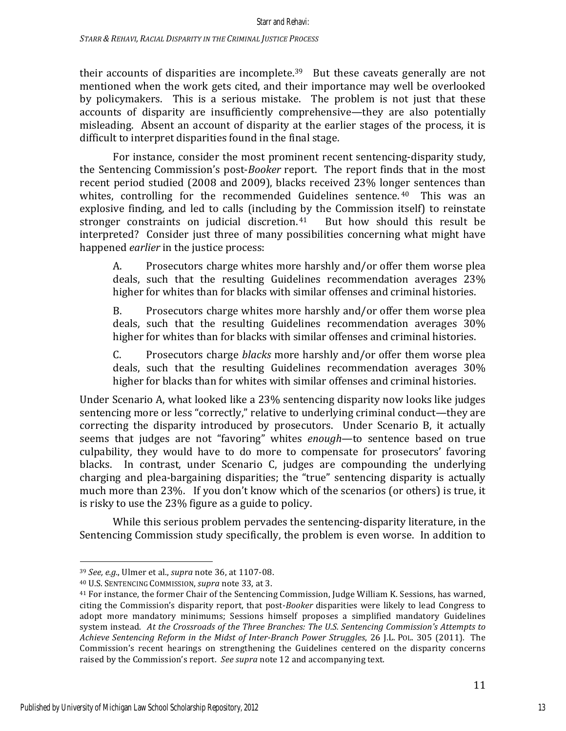their accounts of disparities are incomplete.<sup>39</sup> But these caveats generally are not mentioned when the work gets cited, and their importance may well be overlooked by policymakers. This is a serious mistake. The problem is not just that these accounts of disparity are insufficiently comprehensive—they are also potentially misleading. Absent an account of disparity at the earlier stages of the process, it is difficult to interpret disparities found in the final stage.

For instance, consider the most prominent recent sentencing-disparity study, the Sentencing Commission's post-*Booker* report. The report finds that in the most recent period studied (2008 and 2009), blacks received 23% longer sentences than whites, controlling for the recommended Guidelines sentence.  $40$  This was an explosive finding, and led to calls (including by the Commission itself) to reinstate stronger constraints on judicial discretion.<sup>41</sup> But how should this result be interpreted? Consider just three of many possibilities concerning what might have happened *earlier* in the justice process:

A. Prosecutors charge whites more harshly and/or offer them worse plea deals, such that the resulting Guidelines recommendation averages 23% higher for whites than for blacks with similar offenses and criminal histories.

B. Prosecutors charge whites more harshly and/or offer them worse plea deals, such that the resulting Guidelines recommendation averages 30% higher for whites than for blacks with similar offenses and criminal histories.

C. Prosecutors charge *blacks* more harshly and/or offer them worse plea deals, such that the resulting Guidelines recommendation averages 30% higher for blacks than for whites with similar offenses and criminal histories.

Under Scenario A, what looked like a 23% sentencing disparity now looks like judges sentencing more or less "correctly," relative to underlying criminal conduct—they are correcting the disparity introduced by prosecutors. Under Scenario B, it actually seems that judges are not "favoring" whites *enough*—to sentence based on true culpability, they would have to do more to compensate for prosecutors' favoring blacks. In contrast, under Scenario C, judges are compounding the underlying charging and plea-bargaining disparities; the "true" sentencing disparity is actually much more than 23%. If you don't know which of the scenarios (or others) is true, it is risky to use the 23% figure as a guide to policy.

While this serious problem pervades the sentencing-disparity literature, in the Sentencing Commission study specifically, the problem is even worse. In addition to

<sup>39</sup> *See, e.g.*, Ulmer et al., *supra* note 36, at 1107-08.

<sup>&</sup>lt;sup>40</sup> U.S. SENTENCING COMMISSION, *supra* note 33, at 3.

<sup>&</sup>lt;sup>41</sup> For instance, the former Chair of the Sentencing Commission, Judge William K. Sessions, has warned, citing the Commission's disparity report, that post-*Booker* disparities were likely to lead Congress to adopt more mandatory minimums; Sessions himself proposes a simplified mandatory Guidelines system instead. At the Crossroads of the Three Branches: The U.S. Sentencing Commission's Attempts to *Achieve Sentencing Reform in the Midst of Inter-Branch Power Struggles,* 26 J.L. Pol. 305 (2011). The Commission's recent hearings on strengthening the Guidelines centered on the disparity concerns raised by the Commission's report. See supra note 12 and accompanying text.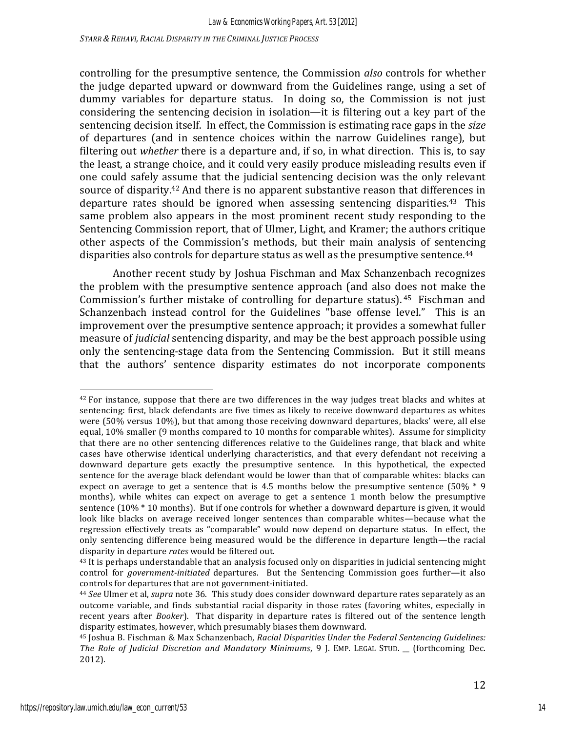controlling for the presumptive sentence, the Commission *also* controls for whether the judge departed upward or downward from the Guidelines range, using a set of dummy variables for departure status. In doing so, the Commission is not just considering the sentencing decision in isolation—it is filtering out a key part of the sentencing decision itself. In effect, the Commission is estimating race gaps in the *size* of departures (and in sentence choices within the narrow Guidelines range), but filtering out *whether* there is a departure and, if so, in what direction. This is, to say the least, a strange choice, and it could very easily produce misleading results even if one could safely assume that the judicial sentencing decision was the only relevant source of disparity.<sup>42</sup> And there is no apparent substantive reason that differences in departure rates should be ignored when assessing sentencing disparities.<sup>43</sup> This same problem also appears in the most prominent recent study responding to the Sentencing Commission report, that of Ulmer, Light, and Kramer; the authors critique other aspects of the Commission's methods, but their main analysis of sentencing disparities also controls for departure status as well as the presumptive sentence.<sup>44</sup>

Another recent study by Joshua Fischman and Max Schanzenbach recognizes the problem with the presumptive sentence approach (and also does not make the Commission's further mistake of controlling for departure status).  $45$  Fischman and Schanzenbach instead control for the Guidelines "base offense level." This is an improvement over the presumptive sentence approach; it provides a somewhat fuller measure of *judicial* sentencing disparity, and may be the best approach possible using only the sentencing-stage data from the Sentencing Commission. But it still means that the authors' sentence disparity estimates do not incorporate components

 

14

 $42$  For instance, suppose that there are two differences in the way judges treat blacks and whites at sentencing: first, black defendants are five times as likely to receive downward departures as whites were  $(50\%$  versus  $10\%)$ , but that among those receiving downward departures, blacks' were, all else equal, 10% smaller (9 months compared to 10 months for comparable whites). Assume for simplicity that there are no other sentencing differences relative to the Guidelines range, that black and white cases have otherwise identical underlying characteristics, and that every defendant not receiving a downward departure gets exactly the presumptive sentence. In this hypothetical, the expected sentence for the average black defendant would be lower than that of comparable whites: blacks can expect on average to get a sentence that is 4.5 months below the presumptive sentence  $(50\% * 9)$ months), while whites can expect on average to get a sentence 1 month below the presumptive sentence  $(10\% * 10$  months). But if one controls for whether a downward departure is given, it would look like blacks on average received longer sentences than comparable whites—because what the regression effectively treats as "comparable" would now depend on departure status. In effect, the only sentencing difference being measured would be the difference in departure length—the racial disparity in departure *rates* would be filtered out.

 $43$  It is perhaps understandable that an analysis focused only on disparities in judicial sentencing might control for *government-initiated* departures. But the Sentencing Commission goes further—it also controls for departures that are not government-initiated.

<sup>&</sup>lt;sup>44</sup> See Ulmer et al, *supra* note 36. This study does consider downward departure rates separately as an outcome variable, and finds substantial racial disparity in those rates (favoring whites, especially in recent years after *Booker*). That disparity in departure rates is filtered out of the sentence length disparity estimates, however, which presumably biases them downward.

<sup>&</sup>lt;sup>45</sup> Joshua B. Fischman & Max Schanzenbach, *Racial Disparities Under the Federal Sentencing Guidelines: The Role of Judicial Discretion and Mandatory Minimums*, 9 J. EMP. LEGAL STUD. \_\_ (forthcoming Dec. 2012).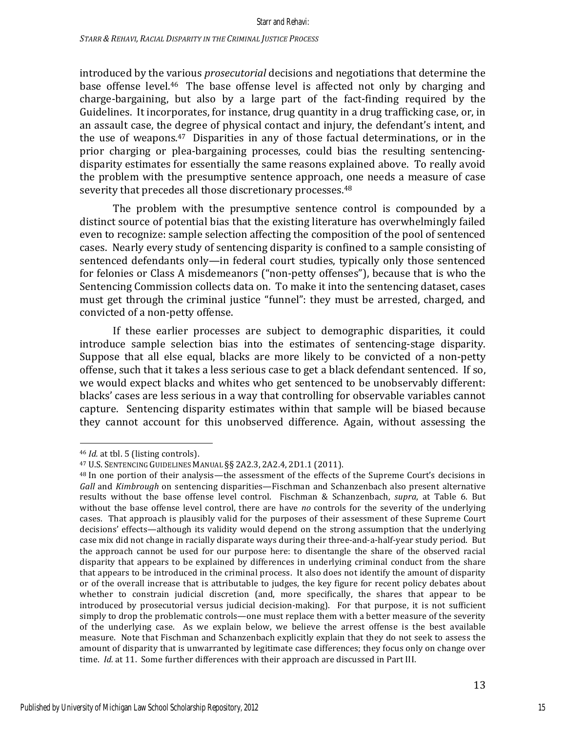introduced by the various *prosecutorial* decisions and negotiations that determine the base offense level.<sup>46</sup> The base offense level is affected not only by charging and charge-bargaining, but also by a large part of the fact-finding required by the Guidelines. It incorporates, for instance, drug quantity in a drug trafficking case, or, in an assault case, the degree of physical contact and injury, the defendant's intent, and the use of weapons.<sup>47</sup> Disparities in any of those factual determinations, or in the prior charging or plea-bargaining processes, could bias the resulting sentencingdisparity estimates for essentially the same reasons explained above. To really avoid the problem with the presumptive sentence approach, one needs a measure of case severity that precedes all those discretionary processes.<sup>48</sup>

The problem with the presumptive sentence control is compounded by a distinct source of potential bias that the existing literature has overwhelmingly failed even to recognize: sample selection affecting the composition of the pool of sentenced cases. Nearly every study of sentencing disparity is confined to a sample consisting of sentenced defendants only—in federal court studies, typically only those sentenced for felonies or Class A misdemeanors ("non-petty offenses"), because that is who the Sentencing Commission collects data on. To make it into the sentencing dataset, cases must get through the criminal justice "funnel": they must be arrested, charged, and convicted of a non-petty offense.

If these earlier processes are subject to demographic disparities, it could introduce sample selection bias into the estimates of sentencing-stage disparity. Suppose that all else equal, blacks are more likely to be convicted of a non-petty offense, such that it takes a less serious case to get a black defendant sentenced. If so, we would expect blacks and whites who get sentenced to be unobservably different: blacks' cases are less serious in a way that controlling for observable variables cannot capture. Sentencing disparity estimates within that sample will be biased because they cannot account for this unobserved difference. Again, without assessing the

<sup>&</sup>lt;sup>46</sup> *Id.* at tbl. 5 (listing controls).

<sup>47</sup> U.S. SENTENCING GUIDELINES MANUAL §§ 2A2.3, 2A2.4, 2D1.1 (2011).

<sup>&</sup>lt;sup>48</sup> In one portion of their analysis—the assessment of the effects of the Supreme Court's decisions in *Gall* and *Kimbrough* on sentencing disparities—Fischman and Schanzenbach also present alternative results without the base offense level control. Fischman & Schanzenbach, *supra*, at Table 6. But without the base offense level control, there are have *no* controls for the severity of the underlying cases. That approach is plausibly valid for the purposes of their assessment of these Supreme Court decisions' effects—although its validity would depend on the strong assumption that the underlying case mix did not change in racially disparate ways during their three-and-a-half-year study period. But the approach cannot be used for our purpose here: to disentangle the share of the observed racial disparity that appears to be explained by differences in underlying criminal conduct from the share that appears to be introduced in the criminal process. It also does not identify the amount of disparity or of the overall increase that is attributable to judges, the key figure for recent policy debates about whether to constrain judicial discretion (and, more specifically, the shares that appear to be introduced by prosecutorial versus judicial decision-making). For that purpose, it is not sufficient simply to drop the problematic controls—one must replace them with a better measure of the severity of the underlying case. As we explain below, we believe the arrest offense is the best available measure. Note that Fischman and Schanzenbach explicitly explain that they do not seek to assess the amount of disparity that is unwarranted by legitimate case differences; they focus only on change over time. *Id.* at 11. Some further differences with their approach are discussed in Part III.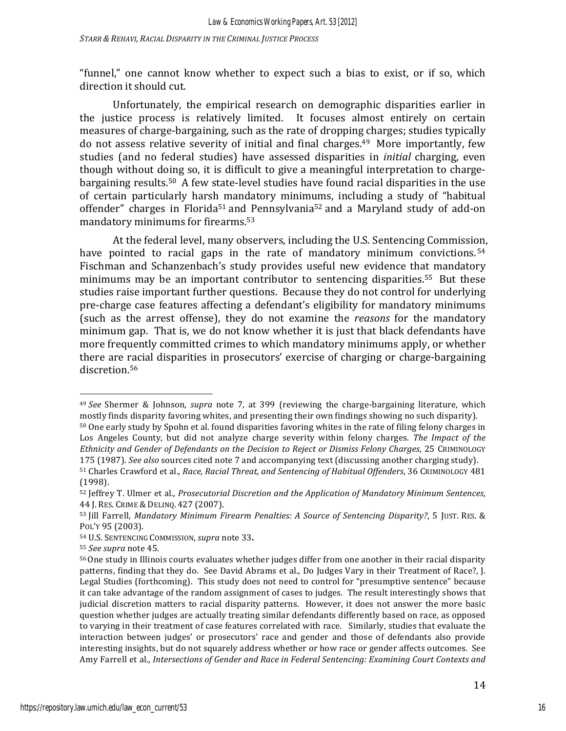"funnel," one cannot know whether to expect such a bias to exist, or if so, which direction it should cut.

Unfortunately, the empirical research on demographic disparities earlier in the justice process is relatively limited. It focuses almost entirely on certain measures of charge-bargaining, such as the rate of dropping charges; studies typically do not assess relative severity of initial and final charges.<sup>49</sup> More importantly, few studies (and no federal studies) have assessed disparities in *initial* charging, even though without doing so, it is difficult to give a meaningful interpretation to chargebargaining results.<sup>50</sup> A few state-level studies have found racial disparities in the use of certain particularly harsh mandatory minimums, including a study of "habitual offender" charges in Florida<sup>51</sup> and Pennsylvania<sup>52</sup> and a Maryland study of add-on mandatory minimums for firearms.<sup>53</sup>

At the federal level, many observers, including the U.S. Sentencing Commission, have pointed to racial gaps in the rate of mandatory minimum convictions.  $54$ Fischman and Schanzenbach's study provides useful new evidence that mandatory minimums may be an important contributor to sentencing disparities.<sup>55</sup> But these studies raise important further questions. Because they do not control for underlying pre-charge case features affecting a defendant's eligibility for mandatory minimums (such as the arrest offense), they do not examine the *reasons* for the mandatory minimum gap. That is, we do not know whether it is just that black defendants have more frequently committed crimes to which mandatory minimums apply, or whether there are racial disparities in prosecutors' exercise of charging or charge-bargaining discretion.<sup>56</sup>

<sup>&</sup>lt;sup>49</sup> See Shermer & Johnson, *supra* note 7, at 399 (reviewing the charge-bargaining literature, which mostly finds disparity favoring whites, and presenting their own findings showing no such disparity).

<sup>50</sup> One early study by Spohn et al. found disparities favoring whites in the rate of filing felony charges in Los Angeles County, but did not analyze charge severity within felony charges. The Impact of the *Ethnicity* and *Gender of Defendants on the Decision to Reject or Dismiss Felony Charges*, 25 CRIMINOLOGY 175 (1987). *See also* sources cited note 7 and accompanying text (discussing another charging study).

<sup>51</sup> Charles Crawford et al., *Race, Racial Threat, and Sentencing of Habitual Offenders*, 36 CRIMINOLOGY 481 (1998).

<sup>52</sup> Jeffrey T. Ulmer et al., *Prosecutorial Discretion and the Application of Mandatory Minimum Sentences*, 44 J. RES. CRIME & DELINQ. 427 (2007).

<sup>53</sup> Jill Farrell, *Mandatory Minimum Firearm Penalties: A Source of Sentencing Disparity?*, 5 JUST. RES. & POL'Y 95 (2003).

<sup>54</sup> U.S. SENTENCING COMMISSION, *supra* note 33.

<sup>55</sup> *See supra* note 45.

<sup>56</sup> One study in Illinois courts evaluates whether judges differ from one another in their racial disparity patterns, finding that they do. See David Abrams et al., Do Judges Vary in their Treatment of Race?, J. Legal Studies (forthcoming). This study does not need to control for "presumptive sentence" because it can take advantage of the random assignment of cases to judges. The result interestingly shows that judicial discretion matters to racial disparity patterns. However, it does not answer the more basic question whether judges are actually treating similar defendants differently based on race, as opposed to varying in their treatment of case features correlated with race. Similarly, studies that evaluate the interaction between judges' or prosecutors' race and gender and those of defendants also provide interesting insights, but do not squarely address whether or how race or gender affects outcomes. See Amy Farrell et al., *Intersections of Gender and Race in Federal Sentencing: Examining Court Contexts and*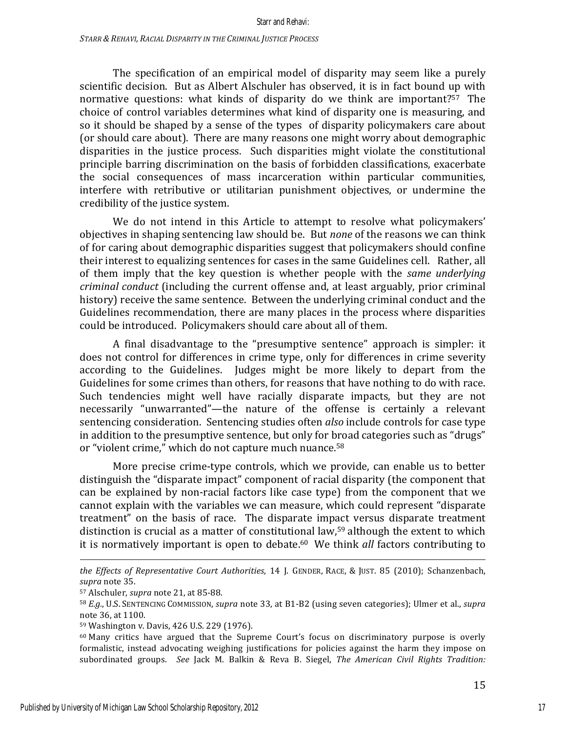The specification of an empirical model of disparity may seem like a purely scientific decision. But as Albert Alschuler has observed, it is in fact bound up with normative questions: what kinds of disparity do we think are important?<sup>57</sup> The choice of control variables determines what kind of disparity one is measuring, and so it should be shaped by a sense of the types of disparity policymakers care about (or should care about). There are many reasons one might worry about demographic disparities in the justice process. Such disparities might violate the constitutional principle barring discrimination on the basis of forbidden classifications, exacerbate the social consequences of mass incarceration within particular communities, interfere with retributive or utilitarian punishment objectives, or undermine the credibility of the justice system.

We do not intend in this Article to attempt to resolve what policymakers' objectives in shaping sentencing law should be. But *none* of the reasons we can think of for caring about demographic disparities suggest that policymakers should confine their interest to equalizing sentences for cases in the same Guidelines cell. Rather, all of them imply that the key question is whether people with the *same underlying criminal conduct* (including the current offense and, at least arguably, prior criminal history) receive the same sentence. Between the underlying criminal conduct and the Guidelines recommendation, there are many places in the process where disparities could be introduced. Policymakers should care about all of them.

A final disadvantage to the "presumptive sentence" approach is simpler: it does not control for differences in crime type, only for differences in crime severity according to the Guidelines. Judges might be more likely to depart from the Guidelines for some crimes than others, for reasons that have nothing to do with race. Such tendencies might well have racially disparate impacts, but they are not necessarily "unwarranted"—the nature of the offense is certainly a relevant sentencing consideration. Sentencing studies often *also* include controls for case type in addition to the presumptive sentence, but only for broad categories such as "drugs" or "violent crime," which do not capture much nuance.<sup>58</sup>

More precise crime-type controls, which we provide, can enable us to better distinguish the "disparate impact" component of racial disparity (the component that can be explained by non-racial factors like case type) from the component that we cannot explain with the variables we can measure, which could represent "disparate treatment" on the basis of race. The disparate impact versus disparate treatment distinction is crucial as a matter of constitutional law,<sup>59</sup> although the extent to which it is normatively important is open to debate.<sup>60</sup> We think *all* factors contributing to

<sup>&</sup>lt;u> 1989 - Andrea Santa Alemania, amerikana amerikana amerikana amerikana amerikana amerikana amerikana amerikana</u> *the Effects of Representative Court Authorities*, 14 J. GENDER, RACE, & JUST. 85 (2010); Schanzenbach, *supra* note 35.

<sup>&</sup>lt;sup>57</sup> Alschuler, *supra* note 21, at 85-88.

<sup>58</sup> *E.g.*, U.S. SENTENCING COMMISSION, *supra* note 33, at B1-B2 (using seven categories); Ulmer et al., *supra* note 36, at 1100.

<sup>59</sup> Washington v. Davis, 426 U.S. 229 (1976).

 $60$  Many critics have argued that the Supreme Court's focus on discriminatory purpose is overly formalistic, instead advocating weighing justifications for policies against the harm they impose on subordinated groups. See Jack M. Balkin & Reva B. Siegel, *The American Civil Rights Tradition:*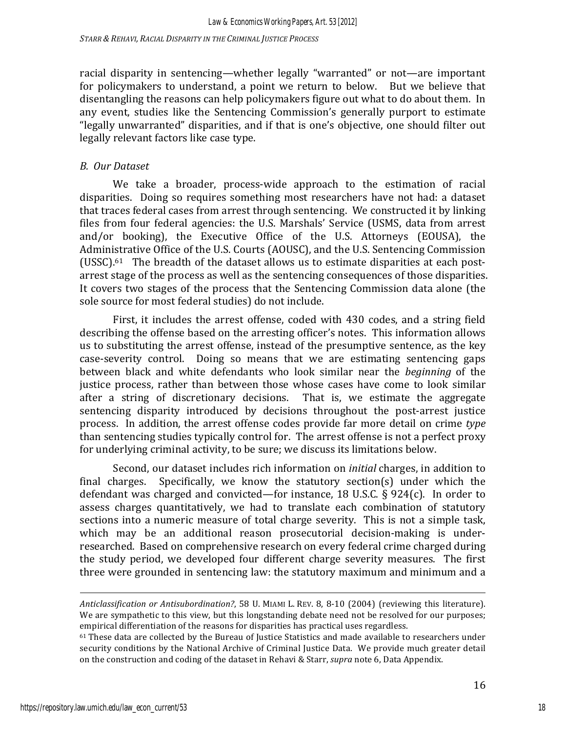racial disparity in sentencing—whether legally "warranted" or not—are important for policymakers to understand, a point we return to below. But we believe that disentangling the reasons can help policymakers figure out what to do about them. In any event, studies like the Sentencing Commission's generally purport to estimate "legally unwarranted" disparities, and if that is one's objective, one should filter out legally relevant factors like case type.

### *B. Our Dataset*

We take a broader, process-wide approach to the estimation of racial disparities. Doing so requires something most researchers have not had: a dataset that traces federal cases from arrest through sentencing. We constructed it by linking files from four federal agencies: the U.S. Marshals' Service (USMS, data from arrest and/or booking), the Executive Office of the U.S. Attorneys (EOUSA), the Administrative Office of the U.S. Courts (AOUSC), and the U.S. Sentencing Commission (USSC). $61$  The breadth of the dataset allows us to estimate disparities at each postarrest stage of the process as well as the sentencing consequences of those disparities. It covers two stages of the process that the Sentencing Commission data alone (the sole source for most federal studies) do not include.

First, it includes the arrest offense, coded with 430 codes, and a string field describing the offense based on the arresting officer's notes. This information allows us to substituting the arrest offense, instead of the presumptive sentence, as the key case-severity control. Doing so means that we are estimating sentencing gaps between black and white defendants who look similar near the *beginning* of the justice process, rather than between those whose cases have come to look similar after a string of discretionary decisions. That is, we estimate the aggregate sentencing disparity introduced by decisions throughout the post-arrest justice process. In addition, the arrest offense codes provide far more detail on crime *type* than sentencing studies typically control for. The arrest offense is not a perfect proxy for underlying criminal activity, to be sure; we discuss its limitations below.

Second, our dataset includes rich information on *initial* charges, in addition to final charges. Specifically, we know the statutory section(s) under which the defendant was charged and convicted—for instance, 18 U.S.C. § 924(c). In order to assess charges quantitatively, we had to translate each combination of statutory sections into a numeric measure of total charge severity. This is not a simple task, which may be an additional reason prosecutorial decision-making is underresearched. Based on comprehensive research on every federal crime charged during the study period, we developed four different charge severity measures. The first three were grounded in sentencing law: the statutory maximum and minimum and a

<u> 1989 - Andrea Santa Alemania, amerikana amerikana amerikana amerikana amerikana amerikana amerikana amerikana</u>

*Anticlassification or Antisubordination?*, 58 U. MIAMI L. REV. 8, 8-10 (2004) (reviewing this literature). We are sympathetic to this view, but this longstanding debate need not be resolved for our purposes; empirical differentiation of the reasons for disparities has practical uses regardless.

 $61$  These data are collected by the Bureau of Justice Statistics and made available to researchers under security conditions by the National Archive of Criminal Justice Data. We provide much greater detail on the construction and coding of the dataset in Rehavi & Starr, *supra* note 6, Data Appendix.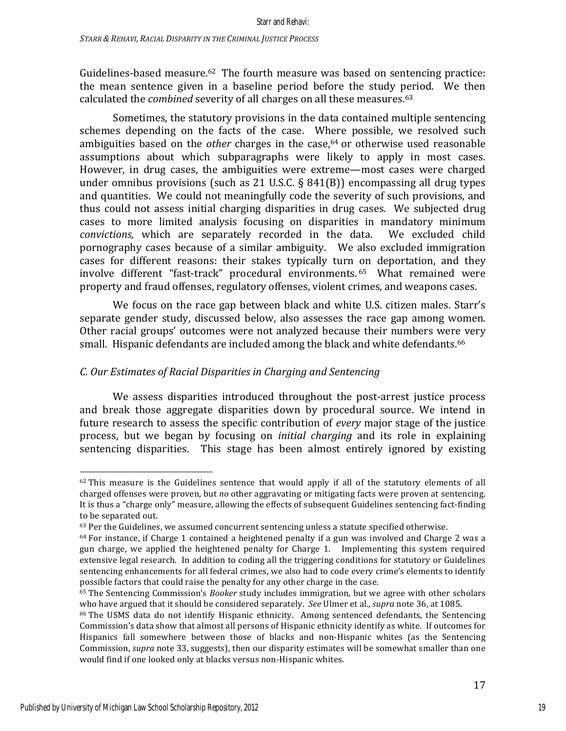Guidelines-based measure.<sup>62</sup> The fourth measure was based on sentencing practice: the mean sentence given in a baseline period before the study period. We then calculated the *combined* severity of all charges on all these measures.<sup>63</sup>

Sometimes, the statutory provisions in the data contained multiple sentencing schemes depending on the facts of the case. Where possible, we resolved such ambiguities based on the *other* charges in the case,<sup>64</sup> or otherwise used reasonable assumptions about which subparagraphs were likely to apply in most cases. However, in drug cases, the ambiguities were extreme—most cases were charged under omnibus provisions (such as 21 U.S.C.  $\S$  841(B)) encompassing all drug types and quantities. We could not meaningfully code the severity of such provisions, and thus could not assess initial charging disparities in drug cases. We subjected drug cases to more limited analysis focusing on disparities in mandatory minimum *convictions*, which are separately recorded in the data. We excluded child pornography cases because of a similar ambiguity. We also excluded immigration cases for different reasons: their stakes typically turn on deportation, and they involve different "fast-track" procedural environments.<sup>65</sup> What remained were property and fraud offenses, regulatory offenses, violent crimes, and weapons cases.

We focus on the race gap between black and white U.S. citizen males. Starr's separate gender study, discussed below, also assesses the race gap among women. Other racial groups' outcomes were not analyzed because their numbers were very small. Hispanic defendants are included among the black and white defendants.<sup>66</sup>

# *C. Our Estimates of Racial Disparities in Charging and Sentencing*

We assess disparities introduced throughout the post-arrest justice process and break those aggregate disparities down by procedural source. We intend in future research to assess the specific contribution of *every* major stage of the justice process, but we began by focusing on *initial charging* and its role in explaining sentencing disparities. This stage has been almost entirely ignored by existing

 $62$  This measure is the Guidelines sentence that would apply if all of the statutory elements of all charged offenses were proven, but *no* other aggravating or mitigating facts were proven at sentencing. It is thus a "charge only" measure, allowing the effects of subsequent Guidelines sentencing fact-finding to be separated out.

 $63$  Per the Guidelines, we assumed concurrent sentencing unless a statute specified otherwise.

 $64$  For instance, if Charge 1 contained a heightened penalty if a gun was involved and Charge 2 was a gun charge, we applied the heightened penalty for Charge 1. Implementing this system required extensive legal research. In addition to coding all the triggering conditions for statutory or Guidelines sentencing enhancements for all federal crimes, we also had to code every crime's elements to identify possible factors that could raise the penalty for any other charge in the case.

<sup>&</sup>lt;sup>65</sup> The Sentencing Commission's *Booker* study includes immigration, but we agree with other scholars who have argued that it should be considered separately. *See* Ulmer et al., *supra* note 36, at 1085.

<sup>&</sup>lt;sup>66</sup> The USMS data do not identify Hispanic ethnicity. Among sentenced defendants, the Sentencing Commission's data show that almost all persons of Hispanic ethnicity identify as white. If outcomes for Hispanics fall somewhere between those of blacks and non-Hispanic whites (as the Sentencing Commission, *supra* note 33, suggests), then our disparity estimates will be somewhat smaller than one would find if one looked only at blacks versus non-Hispanic whites.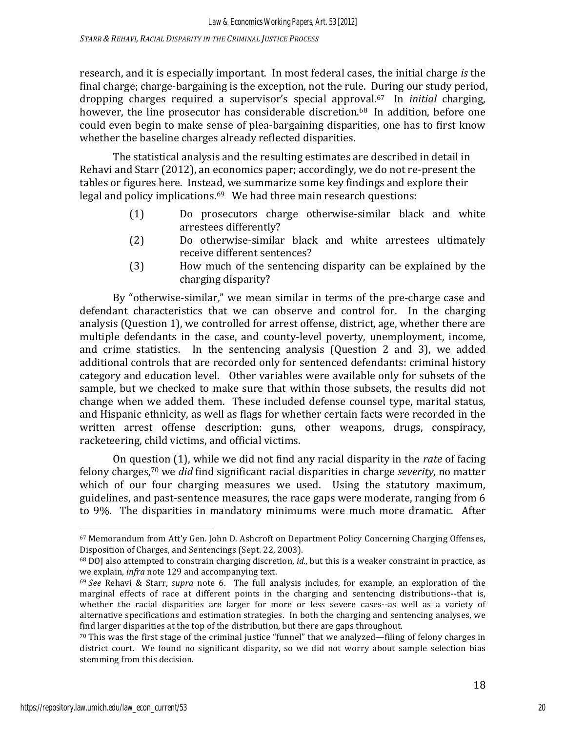research, and it is especially important. In most federal cases, the initial charge *is* the final charge; charge-bargaining is the exception, not the rule. During our study period, dropping charges required a supervisor's special approval.<sup>67</sup> In *initial* charging, however, the line prosecutor has considerable discretion.<sup>68</sup> In addition, before one could even begin to make sense of plea-bargaining disparities, one has to first know whether the baseline charges already reflected disparities.

The statistical analysis and the resulting estimates are described in detail in Rehavi and Starr (2012), an economics paper; accordingly, we do not re-present the tables or figures here. Instead, we summarize some key findings and explore their legal and policy implications. $69$  We had three main research questions:

- (1) Do prosecutors charge otherwise-similar black and white arrestees differently?
- (2) Do otherwise-similar black and white arrestees ultimately receive different sentences?
- (3) How much of the sentencing disparity can be explained by the charging disparity?

By "otherwise-similar," we mean similar in terms of the pre-charge case and defendant characteristics that we can observe and control for. In the charging analysis (Question 1), we controlled for arrest offense, district, age, whether there are multiple defendants in the case, and county-level poverty, unemployment, income, and crime statistics. In the sentencing analysis (Question 2 and 3), we added additional controls that are recorded only for sentenced defendants: criminal history category and education level. Other variables were available only for subsets of the sample, but we checked to make sure that within those subsets, the results did not change when we added them. These included defense counsel type, marital status, and Hispanic ethnicity, as well as flags for whether certain facts were recorded in the written arrest offense description: guns, other weapons, drugs, conspiracy, racketeering, child victims, and official victims.

On question (1), while we did not find any racial disparity in the *rate* of facing felony charges,<sup>70</sup> we *did* find significant racial disparities in charge *severity*, no matter which of our four charging measures we used. Using the statutory maximum, guidelines, and past-sentence measures, the race gaps were moderate, ranging from 6 to 9%. The disparities in mandatory minimums were much more dramatic. After

<sup>67</sup> Memorandum from Att'y Gen. John D. Ashcroft on Department Policy Concerning Charging Offenses, Disposition of Charges, and Sentencings (Sept. 22, 2003).

<sup>&</sup>lt;sup>68</sup> DOJ also attempted to constrain charging discretion, *id.*, but this is a weaker constraint in practice, as we explain, *infra* note 129 and accompanying text.

<sup>&</sup>lt;sup>69</sup> See Rehavi & Starr, *supra* note 6. The full analysis includes, for example, an exploration of the marginal effects of race at different points in the charging and sentencing distributions--that is, whether the racial disparities are larger for more or less severe cases--as well as a variety of alternative specifications and estimation strategies. In both the charging and sentencing analyses, we find larger disparities at the top of the distribution, but there are gaps throughout.

 $70$  This was the first stage of the criminal justice "funnel" that we analyzed—filing of felony charges in district court. We found no significant disparity, so we did not worry about sample selection bias stemming from this decision.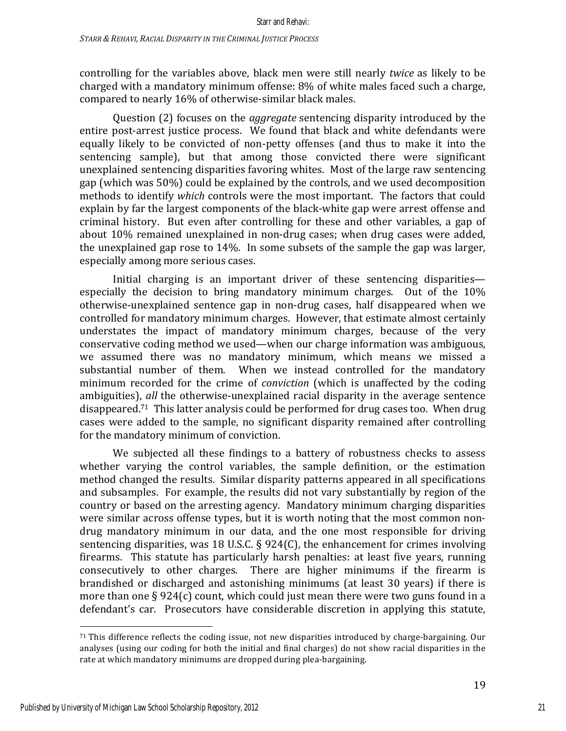controlling for the variables above, black men were still nearly *twice* as likely to be charged with a mandatory minimum offense:  $8\%$  of white males faced such a charge, compared to nearly 16% of otherwise-similar black males.

Question (2) focuses on the *aggregate* sentencing disparity introduced by the entire post-arrest justice process. We found that black and white defendants were equally likely to be convicted of non-petty offenses (and thus to make it into the sentencing sample), but that among those convicted there were significant unexplained sentencing disparities favoring whites. Most of the large raw sentencing gap (which was 50%) could be explained by the controls, and we used decomposition methods to identify *which* controls were the most important. The factors that could explain by far the largest components of the black-white gap were arrest offense and criminal history. But even after controlling for these and other variables, a gap of about 10% remained unexplained in non-drug cases; when drug cases were added, the unexplained gap rose to  $14\%$ . In some subsets of the sample the gap was larger, especially among more serious cases.

Initial charging is an important driver of these sentencing disparities especially the decision to bring mandatory minimum charges. Out of the  $10\%$ otherwise-unexplained sentence gap in non-drug cases, half disappeared when we controlled for mandatory minimum charges. However, that estimate almost certainly understates the impact of mandatory minimum charges, because of the very conservative coding method we used—when our charge information was ambiguous, we assumed there was no mandatory minimum, which means we missed a substantial number of them. When we instead controlled for the mandatory minimum recorded for the crime of *conviction* (which is unaffected by the coding ambiguities), *all* the otherwise-unexplained racial disparity in the average sentence disappeared.<sup>71</sup> This latter analysis could be performed for drug cases too. When drug cases were added to the sample, no significant disparity remained after controlling for the mandatory minimum of conviction.

We subjected all these findings to a battery of robustness checks to assess whether varying the control variables, the sample definition, or the estimation method changed the results. Similar disparity patterns appeared in all specifications and subsamples. For example, the results did not vary substantially by region of the country or based on the arresting agency. Mandatory minimum charging disparities were similar across offense types, but it is worth noting that the most common nondrug mandatory minimum in our data, and the one most responsible for driving sentencing disparities, was 18 U.S.C.  $\S$  924(C), the enhancement for crimes involving firearms. This statute has particularly harsh penalties: at least five years, running consecutively to other charges. There are higher minimums if the firearm is brandished or discharged and astonishing minimums (at least 30 years) if there is more than one  $\S 924(c)$  count, which could just mean there were two guns found in a defendant's car. Prosecutors have considerable discretion in applying this statute,

 $71$  This difference reflects the coding issue, not new disparities introduced by charge-bargaining. Our analyses (using our coding for both the initial and final charges) do not show racial disparities in the rate at which mandatory minimums are dropped during plea-bargaining.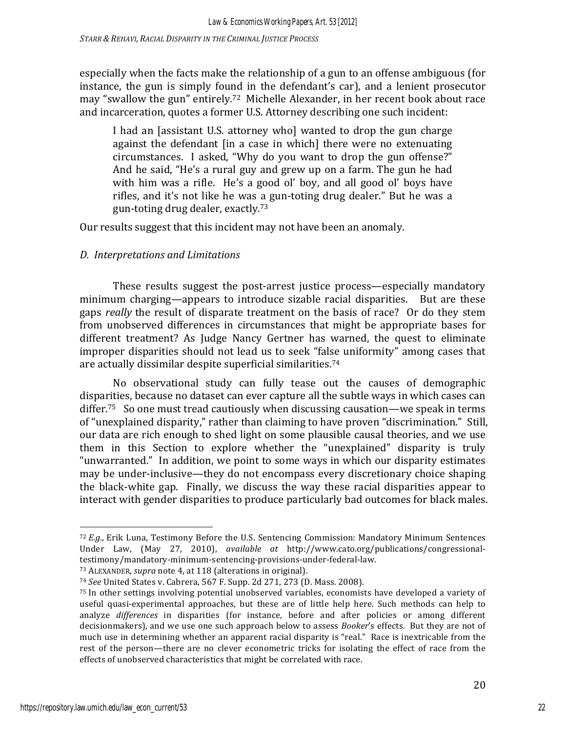especially when the facts make the relationship of a gun to an offense ambiguous (for instance, the gun is simply found in the defendant's car), and a lenient prosecutor may "swallow the gun" entirely.<sup>72</sup> Michelle Alexander, in her recent book about race and incarceration, quotes a former U.S. Attorney describing one such incident:

I had an [assistant U.S. attorney who] wanted to drop the gun charge against the defendant [in a case in which] there were no extenuating circumstances. I asked, "Why do you want to drop the gun offense?" And he said, "He's a rural guy and grew up on a farm. The gun he had with him was a rifle. He's a good ol' boy, and all good ol' boys have rifles, and it's not like he was a gun-toting drug dealer." But he was a gun-toting drug dealer, exactly. $73$ 

Our results suggest that this incident may not have been an anomaly.

# *D. Interpretations and Limitations*

These results suggest the post-arrest justice process—especially mandatory minimum charging—appears to introduce sizable racial disparities. But are these gaps *really* the result of disparate treatment on the basis of race? Or do they stem from unobserved differences in circumstances that might be appropriate bases for different treatment? As Judge Nancy Gertner has warned, the quest to eliminate improper disparities should not lead us to seek "false uniformity" among cases that are actually dissimilar despite superficial similarities.<sup>74</sup>

No observational study can fully tease out the causes of demographic disparities, because no dataset can ever capture all the subtle ways in which cases can differ.<sup>75</sup> So one must tread cautiously when discussing causation—we speak in terms of "unexplained disparity," rather than claiming to have proven "discrimination." Still, our data are rich enough to shed light on some plausible causal theories, and we use them in this Section to explore whether the "unexplained" disparity is truly "unwarranted." In addition, we point to some ways in which our disparity estimates may be under-inclusive—they do not encompass every discretionary choice shaping the black-white gap. Finally, we discuss the way these racial disparities appear to interact with gender disparities to produce particularly bad outcomes for black males.

<sup>72</sup> *E.g.*, Erik Luna, Testimony Before the U.S. Sentencing Commission: Mandatory Minimum Sentences Under Law, (May 27, 2010), *available at* http://www.cato.org/publications/congressionaltestimony/mandatory-minimum-sentencing-provisions-under-federal-law.

<sup>&</sup>lt;sup>73</sup> ALEXANDER, *supra* note 4, at 118 (alterations in original).

<sup>&</sup>lt;sup>74</sup> *See* United States v. Cabrera, 567 F. Supp. 2d 271, 273 (D. Mass. 2008).

<sup>75</sup> In other settings involving potential unobserved variables, economists have developed a variety of useful quasi-experimental approaches, but these are of little help here. Such methods can help to analyze *differences* in disparities (for instance, before and after policies or among different decisionmakers), and we use one such approach below to assess *Booker's* effects. But they are not of much use in determining whether an apparent racial disparity is "real." Race is inextricable from the rest of the person—there are no clever econometric tricks for isolating the effect of race from the effects of unobserved characteristics that might be correlated with race.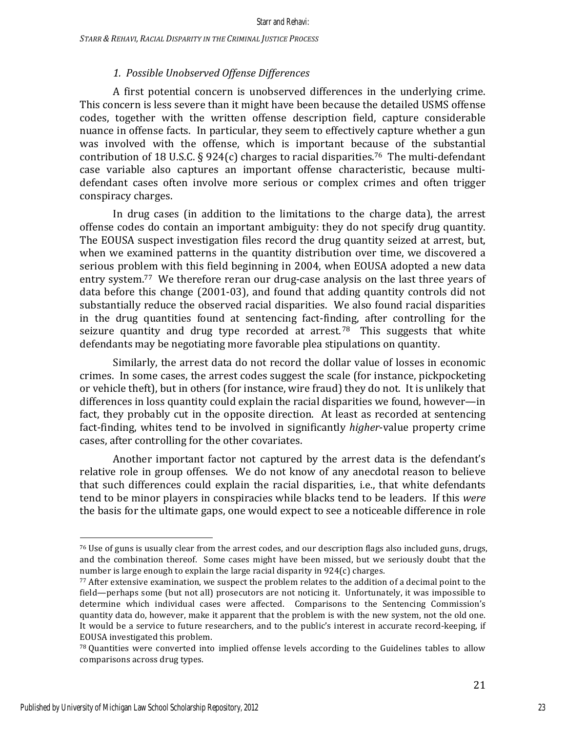### *1. Possible Unobserved Offense Differences*

A first potential concern is unobserved differences in the underlying crime. This concern is less severe than it might have been because the detailed USMS offense codes, together with the written offense description field, capture considerable nuance in offense facts. In particular, they seem to effectively capture whether a gun was involved with the offense, which is important because of the substantial contribution of 18 U.S.C. § 924(c) charges to racial disparities.<sup>76</sup> The multi-defendant case variable also captures an important offense characteristic, because multidefendant cases often involve more serious or complex crimes and often trigger conspiracy charges.

In drug cases (in addition to the limitations to the charge data), the arrest offense codes do contain an important ambiguity: they do not specify drug quantity. The EOUSA suspect investigation files record the drug quantity seized at arrest, but, when we examined patterns in the quantity distribution over time, we discovered a serious problem with this field beginning in 2004, when EOUSA adopted a new data entry system.<sup>77</sup> We therefore reran our drug-case analysis on the last three years of data before this change  $(2001-03)$ , and found that adding quantity controls did not substantially reduce the observed racial disparities. We also found racial disparities in the drug quantities found at sentencing fact-finding, after controlling for the seizure quantity and drug type recorded at arrest.<sup>78</sup> This suggests that white defendants may be negotiating more favorable plea stipulations on quantity.

Similarly, the arrest data do not record the dollar value of losses in economic crimes. In some cases, the arrest codes suggest the scale (for instance, pickpocketing or vehicle theft), but in others (for instance, wire fraud) they do not. It is unlikely that differences in loss quantity could explain the racial disparities we found, however—in fact, they probably cut in the opposite direction. At least as recorded at sentencing fact-finding, whites tend to be involved in significantly *higher*-value property crime cases, after controlling for the other covariates.

Another important factor not captured by the arrest data is the defendant's relative role in group offenses. We do not know of any anecdotal reason to believe that such differences could explain the racial disparities, i.e., that white defendants tend to be minor players in conspiracies while blacks tend to be leaders. If this *were* the basis for the ultimate gaps, one would expect to see a noticeable difference in role

 $76$  Use of guns is usually clear from the arrest codes, and our description flags also included guns, drugs, and the combination thereof. Some cases might have been missed, but we seriously doubt that the number is large enough to explain the large racial disparity in  $924(c)$  charges.

 $77$  After extensive examination, we suspect the problem relates to the addition of a decimal point to the field—perhaps some (but not all) prosecutors are not noticing it. Unfortunately, it was impossible to determine which individual cases were affected. Comparisons to the Sentencing Commission's quantity data do, however, make it apparent that the problem is with the new system, not the old one. It would be a service to future researchers, and to the public's interest in accurate record-keeping, if EOUSA investigated this problem.

 $78$  Quantities were converted into implied offense levels according to the Guidelines tables to allow comparisons across drug types.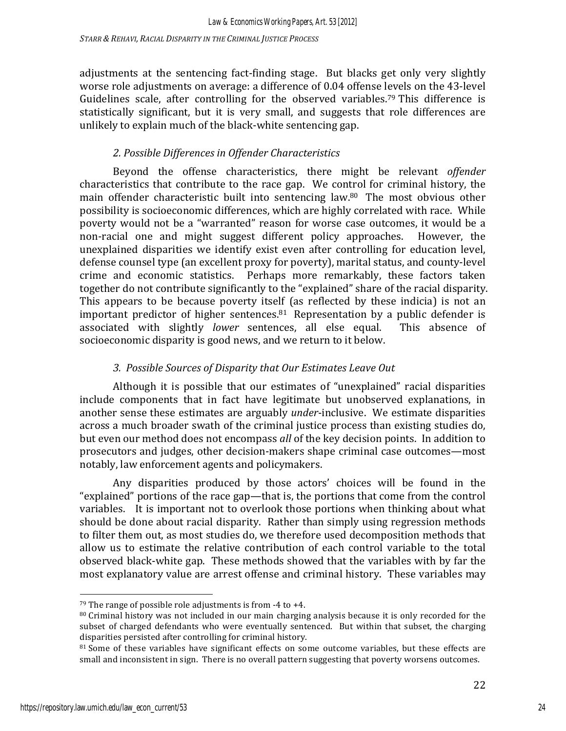adjustments at the sentencing fact-finding stage. But blacks get only very slightly worse role adjustments on average: a difference of 0.04 offense levels on the 43-level Guidelines scale, after controlling for the observed variables.<sup>79</sup> This difference is statistically significant, but it is very small, and suggests that role differences are unlikely to explain much of the black-white sentencing gap.

# *2. Possible Differences in Offender Characteristics*

Beyond the offense characteristics, there might be relevant *offender* characteristics that contribute to the race gap. We control for criminal history, the main offender characteristic built into sentencing law.<sup>80</sup> The most obvious other possibility is socioeconomic differences, which are highly correlated with race. While poverty would not be a "warranted" reason for worse case outcomes, it would be a non-racial one and might suggest different policy approaches. However, the unexplained disparities we identify exist even after controlling for education level, defense counsel type (an excellent proxy for poverty), marital status, and county-level crime and economic statistics. Perhaps more remarkably, these factors taken together do not contribute significantly to the "explained" share of the racial disparity. This appears to be because poverty itself (as reflected by these indicia) is not an important predictor of higher sentences. $81$  Representation by a public defender is associated with slightly *lower* sentences, all else equal. This absence of socioeconomic disparity is good news, and we return to it below.

# *3. Possible Sources of Disparity that Our Estimates Leave Out*

Although it is possible that our estimates of "unexplained" racial disparities include components that in fact have legitimate but unobserved explanations, in another sense these estimates are arguably *under*-inclusive. We estimate disparities across a much broader swath of the criminal justice process than existing studies do, but even our method does not encompass *all* of the key decision points. In addition to prosecutors and judges, other decision-makers shape criminal case outcomes—most notably, law enforcement agents and policymakers.

Any disparities produced by those actors' choices will be found in the "explained" portions of the race gap—that is, the portions that come from the control variables. It is important not to overlook those portions when thinking about what should be done about racial disparity. Rather than simply using regression methods to filter them out, as most studies do, we therefore used decomposition methods that allow us to estimate the relative contribution of each control variable to the total observed black-white gap. These methods showed that the variables with by far the most explanatory value are arrest offense and criminal history. These variables may

<sup>&</sup>lt;sup>79</sup> The range of possible role adjustments is from  $-4$  to  $+4$ .

 $80$  Criminal history was not included in our main charging analysis because it is only recorded for the subset of charged defendants who were eventually sentenced. But within that subset, the charging disparities persisted after controlling for criminal history.

<sup>&</sup>lt;sup>81</sup> Some of these variables have significant effects on some outcome variables, but these effects are small and inconsistent in sign. There is no overall pattern suggesting that poverty worsens outcomes.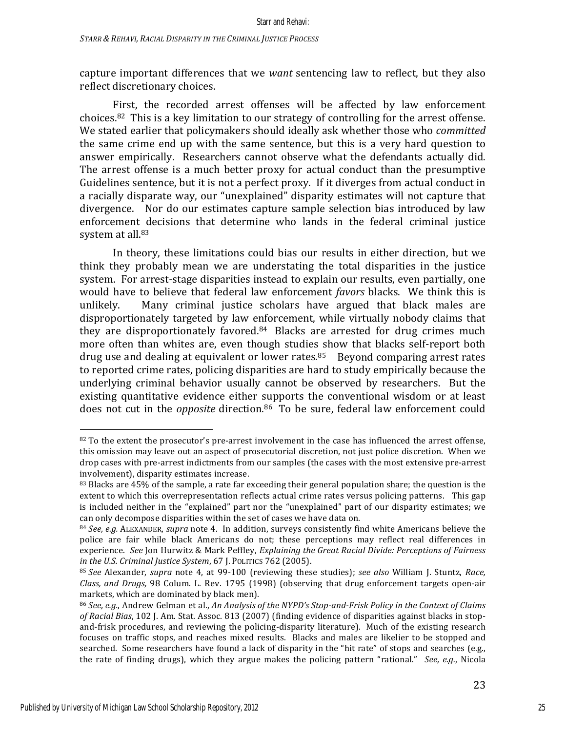capture important differences that we *want* sentencing law to reflect, but they also reflect discretionary choices.

First, the recorded arrest offenses will be affected by law enforcement choices.<sup>82</sup> This is a key limitation to our strategy of controlling for the arrest offense. We stated earlier that policymakers should ideally ask whether those who *committed* the same crime end up with the same sentence, but this is a very hard question to answer empirically. Researchers cannot observe what the defendants actually did. The arrest offense is a much better proxy for actual conduct than the presumptive Guidelines sentence, but it is not a perfect proxy. If it diverges from actual conduct in a racially disparate way, our "unexplained" disparity estimates will not capture that divergence. Nor do our estimates capture sample selection bias introduced by law enforcement decisions that determine who lands in the federal criminal justice system at all.<sup>83</sup>

In theory, these limitations could bias our results in either direction, but we think they probably mean we are understating the total disparities in the justice system. For arrest-stage disparities instead to explain our results, even partially, one would have to believe that federal law enforcement *favors* blacks. We think this is unlikely. Many criminal justice scholars have argued that black males are disproportionately targeted by law enforcement, while virtually nobody claims that they are disproportionately favored. $84$  Blacks are arrested for drug crimes much more often than whites are, even though studies show that blacks self-report both drug use and dealing at equivalent or lower rates. $85$  Beyond comparing arrest rates to reported crime rates, policing disparities are hard to study empirically because the underlying criminal behavior usually cannot be observed by researchers. But the existing quantitative evidence either supports the conventional wisdom or at least does not cut in the *opposite* direction.<sup>86</sup> To be sure, federal law enforcement could

<sup>82</sup> To the extent the prosecutor's pre-arrest involvement in the case has influenced the arrest offense, this omission may leave out an aspect of prosecutorial discretion, not just police discretion. When we drop cases with pre-arrest indictments from our samples (the cases with the most extensive pre-arrest involvement), disparity estimates increase.

<sup>83</sup> Blacks are 45% of the sample, a rate far exceeding their general population share; the question is the extent to which this overrepresentation reflects actual crime rates versus policing patterns. This gap is included neither in the "explained" part nor the "unexplained" part of our disparity estimates; we can only decompose disparities within the set of cases we have data on.

<sup>84</sup> *See, e.g.* ALEXANDER, *supra* note 4. In addition, surveys consistently find white Americans believe the police are fair while black Americans do not; these perceptions may reflect real differences in experience. See Ion Hurwitz & Mark Peffley, *Explaining the Great Racial Divide: Perceptions of Fairness in the U.S. Criminal Justice System,* 67 J. POLITICS 762 (2005).

<sup>85</sup> *See* Alexander, *supra* note 4, at 99-100 (reviewing these studies); *see also* William J. Stuntz, *Race*, *Class, and Drugs,* 98 Colum. L. Rev. 1795 (1998) (observing that drug enforcement targets open-air markets, which are dominated by black men).

<sup>86</sup> *See, e.g.*, Andrew Gelman et al., An Analysis of the NYPD's Stop-and-Frisk Policy in the Context of Claims of Racial Bias, 102 J. Am. Stat. Assoc. 813 (2007) (finding evidence of disparities against blacks in stopand-frisk procedures, and reviewing the policing-disparity literature). Much of the existing research focuses on traffic stops, and reaches mixed results. Blacks and males are likelier to be stopped and searched. Some researchers have found a lack of disparity in the "hit rate" of stops and searches (e.g., the rate of finding drugs), which they argue makes the policing pattern "rational." See, e.g., Nicola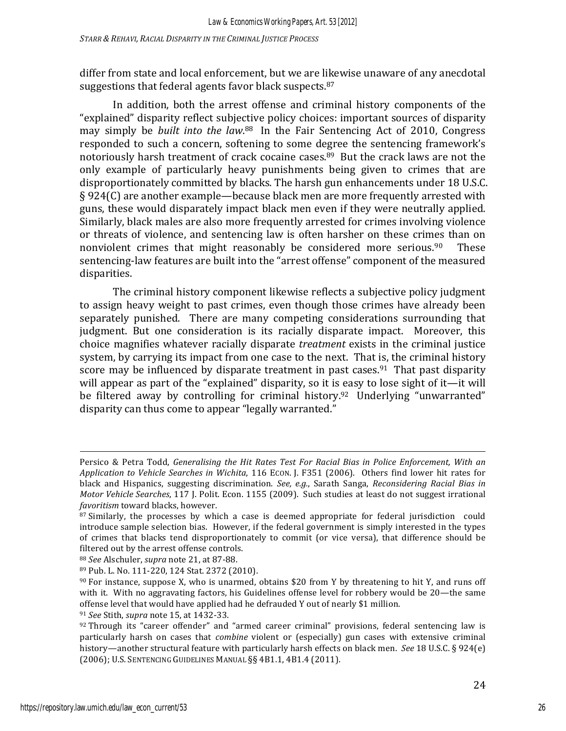differ from state and local enforcement, but we are likewise unaware of any anecdotal suggestions that federal agents favor black suspects. $87$ 

In addition, both the arrest offense and criminal history components of the "explained" disparity reflect subjective policy choices: important sources of disparity may simply be *built into the law*.<sup>88</sup> In the Fair Sentencing Act of 2010, Congress responded to such a concern, softening to some degree the sentencing framework's notoriously harsh treatment of crack cocaine cases.<sup>89</sup> But the crack laws are not the only example of particularly heavy punishments being given to crimes that are disproportionately committed by blacks. The harsh gun enhancements under 18 U.S.C.  $\S 924(C)$  are another example—because black men are more frequently arrested with guns, these would disparately impact black men even if they were neutrally applied. Similarly, black males are also more frequently arrested for crimes involving violence or threats of violence, and sentencing law is often harsher on these crimes than on nonviolent crimes that might reasonably be considered more serious. $90$  These sentencing-law features are built into the "arrest offense" component of the measured disparities. 

The criminal history component likewise reflects a subjective policy judgment to assign heavy weight to past crimes, even though those crimes have already been separately punished. There are many competing considerations surrounding that judgment. But one consideration is its racially disparate impact. Moreover, this choice magnifies whatever racially disparate *treatment* exists in the criminal justice system, by carrying its impact from one case to the next. That is, the criminal history score may be influenced by disparate treatment in past cases.<sup>91</sup> That past disparity will appear as part of the "explained" disparity, so it is easy to lose sight of it—it will be filtered away by controlling for criminal history.<sup>92</sup> Underlying "unwarranted" disparity can thus come to appear "legally warranted."

<u> 1989 - Andrea Santa Alemania, amerikana amerikana amerikana amerikana amerikana amerikana amerikana amerikana</u>

88 *See* Alschuler, *supra* note 21, at 87-88.

<sup>91</sup> *See* Stith, *supra* note 15, at 1432-33.

Persico & Petra Todd, *Generalising the Hit Rates Test For Racial Bias in Police Enforcement, With an Application to Vehicle Searches in Wichita*, 116 ECON. J. F351 (2006). Others find lower hit rates for black and Hispanics, suggesting discrimination. See, e.g., Sarath Sanga, *Reconsidering Racial Bias in Motor Vehicle Searches*, 117 J. Polit. Econ. 1155 (2009). Such studies at least do not suggest irrational *favoritism* toward blacks, however.

<sup>87</sup> Similarly, the processes by which a case is deemed appropriate for federal jurisdiction could introduce sample selection bias. However, if the federal government is simply interested in the types of crimes that blacks tend disproportionately to commit (or vice versa), that difference should be filtered out by the arrest offense controls.

<sup>89</sup> Pub. L. No. 111-220, 124 Stat. 2372 (2010).

 $90$  For instance, suppose X, who is unarmed, obtains \$20 from Y by threatening to hit Y, and runs off with it. With no aggravating factors, his Guidelines offense level for robbery would be 20—the same offense level that would have applied had he defrauded Y out of nearly \$1 million.

 $92$  Through its "career offender" and "armed career criminal" provisions, federal sentencing law is particularly harsh on cases that *combine* violent or (especially) gun cases with extensive criminal history—another structural feature with particularly harsh effects on black men. *See* 18 U.S.C. § 924(e) (2006); U.S. SENTENCING GUIDELINES MANUAL §§ 4B1.1, 4B1.4 (2011).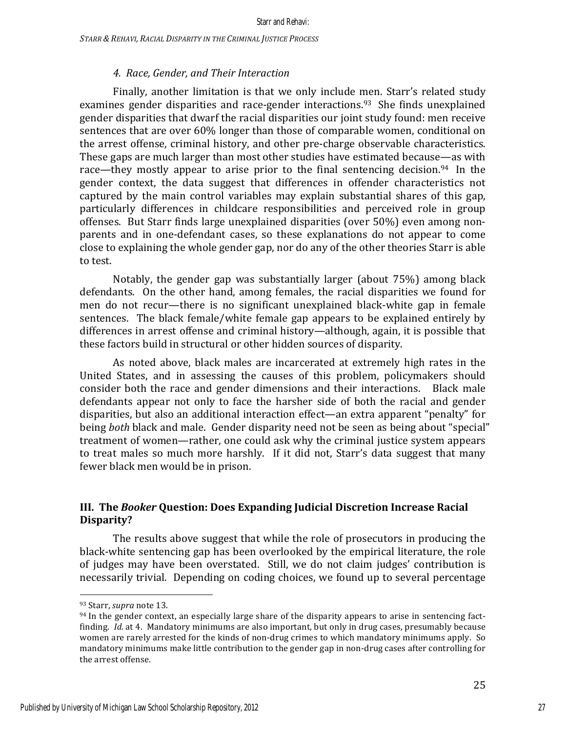### *4. Race, Gender, and Their Interaction*

Finally, another limitation is that we only include men. Starr's related study examines gender disparities and race-gender interactions.<sup>93</sup> She finds unexplained gender disparities that dwarf the racial disparities our joint study found: men receive sentences that are over 60% longer than those of comparable women, conditional on the arrest offense, criminal history, and other pre-charge observable characteristics. These gaps are much larger than most other studies have estimated because—as with race—they mostly appear to arise prior to the final sentencing decision.<sup>94</sup> In the gender context, the data suggest that differences in offender characteristics not captured by the main control variables may explain substantial shares of this gap, particularly differences in childcare responsibilities and perceived role in group offenses. But Starr finds large unexplained disparities (over 50%) even among nonparents and in one-defendant cases, so these explanations do not appear to come close to explaining the whole gender gap, nor do any of the other theories Starr is able to test.

Notably, the gender gap was substantially larger (about  $75\%$ ) among black defendants. On the other hand, among females, the racial disparities we found for men do not recur—there is no significant unexplained black-white gap in female sentences. The black female/white female gap appears to be explained entirely by differences in arrest offense and criminal history—although, again, it is possible that these factors build in structural or other hidden sources of disparity.

As noted above, black males are incarcerated at extremely high rates in the United States, and in assessing the causes of this problem, policymakers should consider both the race and gender dimensions and their interactions. Black male defendants appear not only to face the harsher side of both the racial and gender disparities, but also an additional interaction effect—an extra apparent "penalty" for being *both* black and male. Gender disparity need not be seen as being about "special" treatment of women—rather, one could ask why the criminal justice system appears to treat males so much more harshly. If it did not, Starr's data suggest that many fewer black men would be in prison.

### **III.** The *Booker* Question: Does Expanding Judicial Discretion Increase Racial **Disparity?**

The results above suggest that while the role of prosecutors in producing the black-white sentencing gap has been overlooked by the empirical literature, the role of judges may have been overstated. Still, we do not claim judges' contribution is necessarily trivial. Depending on coding choices, we found up to several percentage

<sup>93</sup> Starr, *supra* note 13.

 $94$  In the gender context, an especially large share of the disparity appears to arise in sentencing factfinding. *Id.* at 4. Mandatory minimums are also important, but only in drug cases, presumably because women are rarely arrested for the kinds of non-drug crimes to which mandatory minimums apply. So mandatory minimums make little contribution to the gender gap in non-drug cases after controlling for the arrest offense.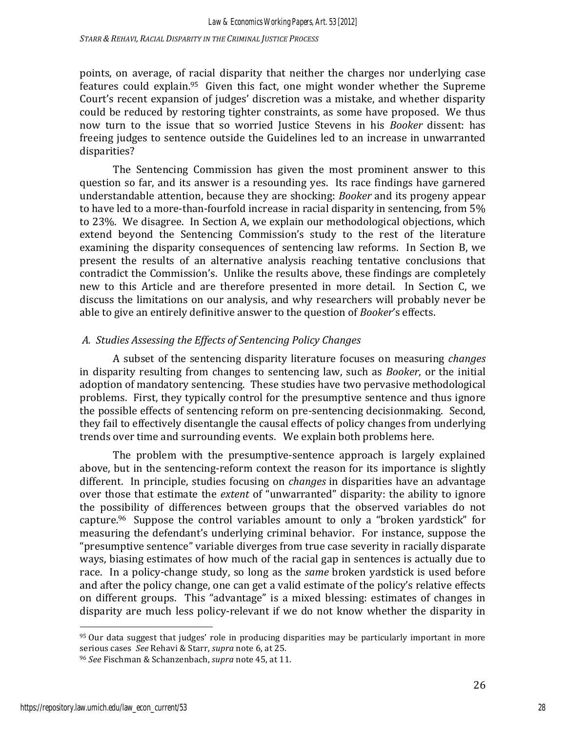*STARR & REHAVI, RACIAL DISPARITY IN THE CRIMINAL JUSTICE PROCESS*

points, on average, of racial disparity that neither the charges nor underlying case features could explain.<sup>95</sup> Given this fact, one might wonder whether the Supreme Court's recent expansion of judges' discretion was a mistake, and whether disparity could be reduced by restoring tighter constraints, as some have proposed. We thus now turn to the issue that so worried Justice Stevens in his *Booker* dissent: has freeing judges to sentence outside the Guidelines led to an increase in unwarranted disparities? 

The Sentencing Commission has given the most prominent answer to this question so far, and its answer is a resounding yes. Its race findings have garnered understandable attention, because they are shocking: *Booker* and its progeny appear to have led to a more-than-fourfold increase in racial disparity in sentencing, from  $5\%$ to 23%. We disagree. In Section A, we explain our methodological objections, which extend beyond the Sentencing Commission's study to the rest of the literature examining the disparity consequences of sentencing law reforms. In Section B, we present the results of an alternative analysis reaching tentative conclusions that contradict the Commission's. Unlike the results above, these findings are completely new to this Article and are therefore presented in more detail. In Section C, we discuss the limitations on our analysis, and why researchers will probably never be able to give an entirely definitive answer to the question of *Booker's* effects.

# *A. Studies Assessing the Effects of Sentencing Policy Changes*

A subset of the sentencing disparity literature focuses on measuring *changes* in disparity resulting from changes to sentencing law, such as *Booker*, or the initial adoption of mandatory sentencing. These studies have two pervasive methodological problems. First, they typically control for the presumptive sentence and thus ignore the possible effects of sentencing reform on pre-sentencing decisionmaking. Second, they fail to effectively disentangle the causal effects of policy changes from underlying trends over time and surrounding events. We explain both problems here.

The problem with the presumptive-sentence approach is largely explained above, but in the sentencing-reform context the reason for its importance is slightly different. In principle, studies focusing on *changes* in disparities have an advantage over those that estimate the *extent* of "unwarranted" disparity: the ability to ignore the possibility of differences between groups that the observed variables do not capture.<sup>96</sup> Suppose the control variables amount to only a "broken yardstick" for measuring the defendant's underlying criminal behavior. For instance, suppose the "presumptive sentence" variable diverges from true case severity in racially disparate ways, biasing estimates of how much of the racial gap in sentences is actually due to race. In a policy-change study, so long as the *same* broken yardstick is used before and after the policy change, one can get a valid estimate of the policy's relative effects on different groups. This "advantage" is a mixed blessing: estimates of changes in disparity are much less policy-relevant if we do not know whether the disparity in

<sup>95</sup> Our data suggest that judges' role in producing disparities may be particularly important in more serious cases See Rehavi & Starr, *supra* note 6, at 25.

<sup>&</sup>lt;sup>96</sup> See Fischman & Schanzenbach, *supra* note 45, at 11.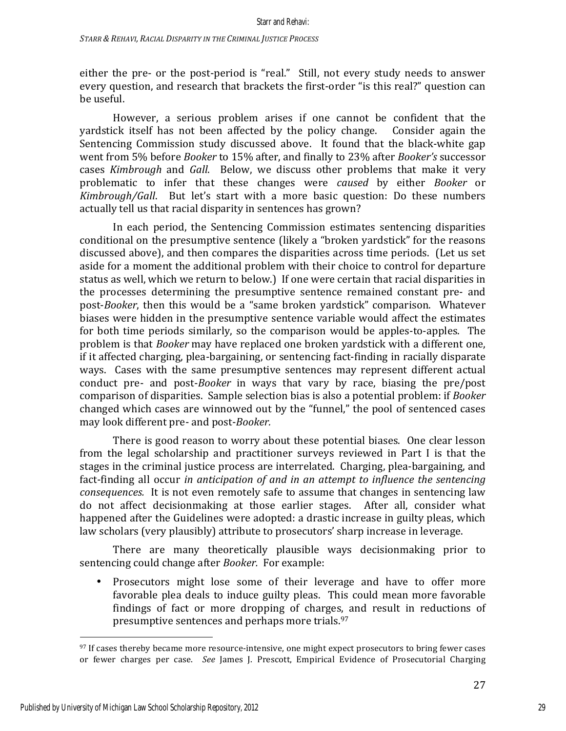either the pre- or the post-period is "real." Still, not every study needs to answer every question, and research that brackets the first-order "is this real?" question can be useful.

However, a serious problem arises if one cannot be confident that the yardstick itself has not been affected by the policy change. Consider again the Sentencing Commission study discussed above. It found that the black-white gap went from 5% before *Booker* to 15% after, and finally to 23% after *Booker's* successor cases *Kimbrough* and *Gall*. Below, we discuss other problems that make it very problematic to infer that these changes were *caused* by either *Booker* or *Kimbrough/Gall.* But let's start with a more basic question: Do these numbers actually tell us that racial disparity in sentences has grown?

In each period, the Sentencing Commission estimates sentencing disparities conditional on the presumptive sentence (likely a "broken yardstick" for the reasons discussed above), and then compares the disparities across time periods. (Let us set aside for a moment the additional problem with their choice to control for departure status as well, which we return to below.) If one were certain that racial disparities in the processes determining the presumptive sentence remained constant pre- and post-*Booker*, then this would be a "same broken yardstick" comparison. Whatever biases were hidden in the presumptive sentence variable would affect the estimates for both time periods similarly, so the comparison would be apples-to-apples. The problem is that *Booker* may have replaced one broken yardstick with a different one, if it affected charging, plea-bargaining, or sentencing fact-finding in racially disparate ways. Cases with the same presumptive sentences may represent different actual conduct pre- and post-*Booker* in ways that vary by race, biasing the pre/post comparison of disparities. Sample selection bias is also a potential problem: if *Booker* changed which cases are winnowed out by the "funnel," the pool of sentenced cases may look different pre- and post-*Booker.*

There is good reason to worry about these potential biases. One clear lesson from the legal scholarship and practitioner surveys reviewed in Part I is that the stages in the criminal justice process are interrelated. Charging, plea-bargaining, and fact-finding all occur *in anticipation of and in an attempt to influence the sentencing consequences.* It is not even remotely safe to assume that changes in sentencing law do not affect decisionmaking at those earlier stages. After all, consider what happened after the Guidelines were adopted: a drastic increase in guilty pleas, which law scholars (very plausibly) attribute to prosecutors' sharp increase in leverage.

There are many theoretically plausible ways decisionmaking prior to sentencing could change after *Booker*. For example:

Prosecutors might lose some of their leverage and have to offer more favorable plea deals to induce guilty pleas. This could mean more favorable findings of fact or more dropping of charges, and result in reductions of presumptive sentences and perhaps more trials.<sup>97</sup>

<sup>97</sup> If cases thereby became more resource-intensive, one might expect prosecutors to bring fewer cases or fewer charges per case. See James J. Prescott, Empirical Evidence of Prosecutorial Charging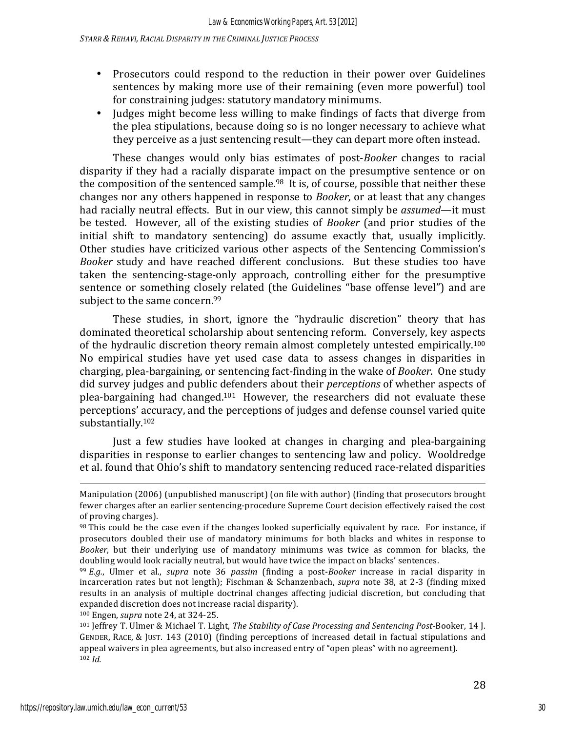- Prosecutors could respond to the reduction in their power over Guidelines sentences by making more use of their remaining (even more powerful) tool for constraining judges: statutory mandatory minimums.
- Judges might become less willing to make findings of facts that diverge from the plea stipulations, because doing so is no longer necessary to achieve what they perceive as a just sentencing result—they can depart more often instead.

These changes would only bias estimates of post-*Booker* changes to racial disparity if they had a racially disparate impact on the presumptive sentence or on the composition of the sentenced sample.<sup>98</sup> It is, of course, possible that neither these changes nor any others happened in response to *Booker*, or at least that any changes had racially neutral effects. But in our view, this cannot simply be *assumed*—it must be tested. However, all of the existing studies of *Booker* (and prior studies of the initial shift to mandatory sentencing) do assume exactly that, usually implicitly. Other studies have criticized various other aspects of the Sentencing Commission's *Booker* study and have reached different conclusions. But these studies too have taken the sentencing-stage-only approach, controlling either for the presumptive sentence or something closely related (the Guidelines "base offense level") and are subject to the same concern.<sup>99</sup>

These studies, in short, ignore the "hydraulic discretion" theory that has dominated theoretical scholarship about sentencing reform. Conversely, key aspects of the hydraulic discretion theory remain almost completely untested empirically.<sup>100</sup> No empirical studies have yet used case data to assess changes in disparities in charging, plea-bargaining, or sentencing fact-finding in the wake of *Booker*. One study did survey judges and public defenders about their *perceptions* of whether aspects of plea-bargaining had changed.<sup>101</sup> However, the researchers did not evaluate these perceptions' accuracy, and the perceptions of judges and defense counsel varied quite substantially.102

Just a few studies have looked at changes in charging and plea-bargaining disparities in response to earlier changes to sentencing law and policy. Wooldredge et al. found that Ohio's shift to mandatory sentencing reduced race-related disparities

<u> 1989 - Andrea Santa Alemania, amerikana amerikana amerikana amerikana amerikana amerikana amerikana amerikana</u>

Manipulation (2006) (unpublished manuscript) (on file with author) (finding that prosecutors brought fewer charges after an earlier sentencing-procedure Supreme Court decision effectively raised the cost of proving charges).

<sup>98</sup> This could be the case even if the changes looked superficially equivalent by race. For instance, if prosecutors doubled their use of mandatory minimums for both blacks and whites in response to *Booker*, but their underlying use of mandatory minimums was twice as common for blacks, the doubling would look racially neutral, but would have twice the impact on blacks' sentences.

<sup>99</sup> *E.g.*, Ulmer et al., *supra* note 36 *passim* (finding a post-*Booker* increase in racial disparity in incarceration rates but not length); Fischman & Schanzenbach, *supra* note 38, at 2-3 (finding mixed results in an analysis of multiple doctrinal changes affecting judicial discretion, but concluding that expanded discretion does not increase racial disparity).

<sup>100</sup> Engen, *supra* note 24, at 324-25.

<sup>&</sup>lt;sup>101</sup> Jeffrey T. Ulmer & Michael T. Light, *The Stability of Case Processing and Sentencing Post-Booker,* 14 J. GENDER, RACE, & JUST. 143 (2010) (finding perceptions of increased detail in factual stipulations and appeal waivers in plea agreements, but also increased entry of "open pleas" with no agreement). <sup>102</sup> *Id.*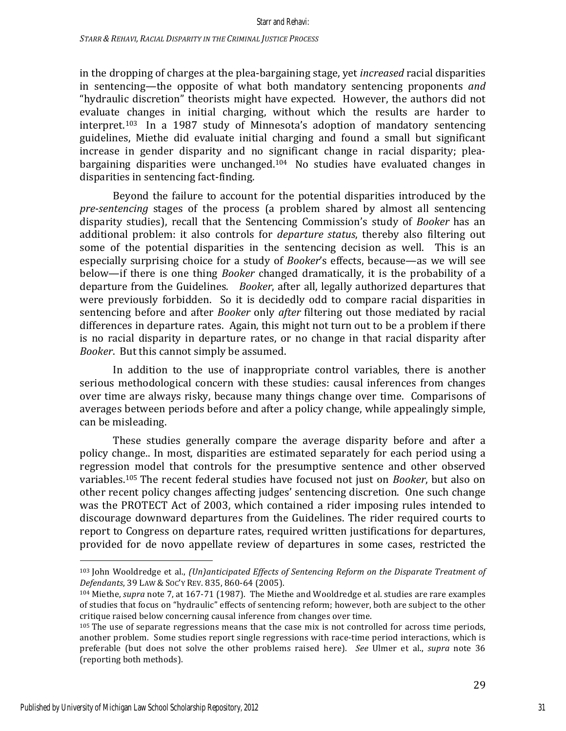in the dropping of charges at the plea-bargaining stage, yet *increased* racial disparities in sentencing—the opposite of what both mandatory sentencing proponents *and* "hydraulic discretion" theorists might have expected. However, the authors did not evaluate changes in initial charging, without which the results are harder to interpret.<sup>103</sup> In a 1987 study of Minnesota's adoption of mandatory sentencing guidelines, Miethe did evaluate initial charging and found a small but significant increase in gender disparity and no significant change in racial disparity; pleabargaining disparities were unchanged.<sup>104</sup> No studies have evaluated changes in disparities in sentencing fact-finding.

Beyond the failure to account for the potential disparities introduced by the *pre-sentencing* stages of the process (a problem shared by almost all sentencing disparity studies), recall that the Sentencing Commission's study of *Booker* has an additional problem: it also controls for *departure status*, thereby also filtering out some of the potential disparities in the sentencing decision as well. This is an especially surprising choice for a study of *Booker's* effects, because—as we will see below—if there is one thing *Booker* changed dramatically, it is the probability of a departure from the Guidelines. *Booker*, after all, legally authorized departures that were previously forbidden. So it is decidedly odd to compare racial disparities in sentencing before and after *Booker* only *after* filtering out those mediated by racial differences in departure rates. Again, this might not turn out to be a problem if there is no racial disparity in departure rates, or no change in that racial disparity after *Booker*. But this cannot simply be assumed.

In addition to the use of inappropriate control variables, there is another serious methodological concern with these studies: causal inferences from changes over time are always risky, because many things change over time. Comparisons of averages between periods before and after a policy change, while appealingly simple, can be misleading.

These studies generally compare the average disparity before and after a policy change.. In most, disparities are estimated separately for each period using a regression model that controls for the presumptive sentence and other observed variables.<sup>105</sup> The recent federal studies have focused not just on *Booker*, but also on other recent policy changes affecting judges' sentencing discretion. One such change was the PROTECT Act of 2003, which contained a rider imposing rules intended to discourage downward departures from the Guidelines. The rider required courts to report to Congress on departure rates, required written justifications for departures, provided for de novo appellate review of departures in some cases, restricted the

<sup>&</sup>lt;sup>103</sup> John Wooldredge et al., *(Un)anticipated Effects of Sentencing Reform on the Disparate Treatment of Defendants*, 39 LAW & SOC'Y REV. 835, 860-64 (2005).

<sup>&</sup>lt;sup>104</sup> Miethe, *supra* note 7, at 167-71 (1987). The Miethe and Wooldredge et al. studies are rare examples of studies that focus on "hydraulic" effects of sentencing reform; however, both are subject to the other critique raised below concerning causal inference from changes over time.

 $105$  The use of separate regressions means that the case mix is not controlled for across time periods, another problem. Some studies report single regressions with race-time period interactions, which is preferable (but does not solve the other problems raised here). See Ulmer et al., *supra* note 36 (reporting both methods).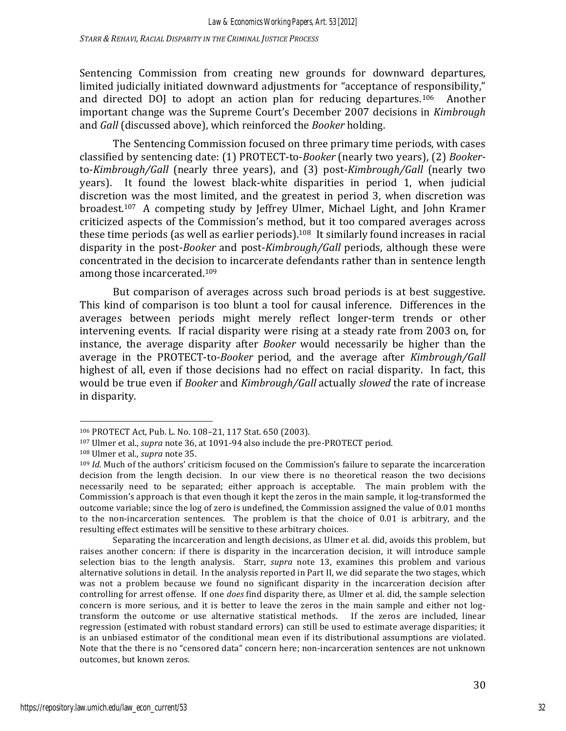*STARR & REHAVI, RACIAL DISPARITY IN THE CRIMINAL JUSTICE PROCESS*

Sentencing Commission from creating new grounds for downward departures, limited judicially initiated downward adjustments for "acceptance of responsibility," and directed DOJ to adopt an action plan for reducing departures.<sup>106</sup> Another important change was the Supreme Court's December 2007 decisions in *Kimbrough* and *Gall* (discussed above), which reinforced the *Booker* holding.

The Sentencing Commission focused on three primary time periods, with cases classified by sentencing date: (1) PROTECT-to-*Booker* (nearly two years), (2) *Booker*to-*Kimbrough/Gall* (nearly three years), and (3) post-*Kimbrough/Gall* (nearly two years). It found the lowest black-white disparities in period 1, when judicial discretion was the most limited, and the greatest in period 3, when discretion was broadest.<sup>107</sup> A competing study by Jeffrey Ulmer, Michael Light, and John Kramer criticized aspects of the Commission's method, but it too compared averages across these time periods (as well as earlier periods).<sup>108</sup> It similarly found increases in racial disparity in the post-*Booker* and post-*Kimbrough/Gall* periods, although these were concentrated in the decision to incarcerate defendants rather than in sentence length among those incarcerated.<sup>109</sup>

But comparison of averages across such broad periods is at best suggestive. This kind of comparison is too blunt a tool for causal inference. Differences in the averages between periods might merely reflect longer-term trends or other intervening events. If racial disparity were rising at a steady rate from 2003 on, for instance, the average disparity after *Booker* would necessarily be higher than the average in the PROTECT-to-*Booker* period, and the average after *Kimbrough/Gall* highest of all, even if those decisions had no effect on racial disparity. In fact, this would be true even if *Booker* and *Kimbrough/Gall* actually *slowed* the rate of increase in disparity.

<sup>106</sup> PROTECT Act, Pub. L. No. 108-21, 117 Stat. 650 (2003).

<sup>&</sup>lt;sup>107</sup> Ulmer et al., *supra* note 36, at 1091-94 also include the pre-PROTECT period.

<sup>108</sup> Ulmer et al., *supra* note 35.

<sup>&</sup>lt;sup>109</sup> *Id.* Much of the authors' criticism focused on the Commission's failure to separate the incarceration decision from the length decision. In our view there is no theoretical reason the two decisions necessarily need to be separated; either approach is acceptable. The main problem with the Commission's approach is that even though it kept the zeros in the main sample, it log-transformed the outcome variable; since the log of zero is undefined, the Commission assigned the value of 0.01 months to the non-incarceration sentences. The problem is that the choice of 0.01 is arbitrary, and the resulting effect estimates will be sensitive to these arbitrary choices.

Separating the incarceration and length decisions, as Ulmer et al. did, avoids this problem, but raises another concern: if there is disparity in the incarceration decision, it will introduce sample selection bias to the length analysis. Starr, *supra* note 13, examines this problem and various alternative solutions in detail. In the analysis reported in Part II, we did separate the two stages, which was not a problem because we found no significant disparity in the incarceration decision after controlling for arrest offense. If one *does* find disparity there, as Ulmer et al. did, the sample selection concern is more serious, and it is better to leave the zeros in the main sample and either not logtransform the outcome or use alternative statistical methods. If the zeros are included, linear regression (estimated with robust standard errors) can still be used to estimate average disparities; it is an unbiased estimator of the conditional mean even if its distributional assumptions are violated. Note that the there is no "censored data" concern here; non-incarceration sentences are not unknown outcomes, but known zeros.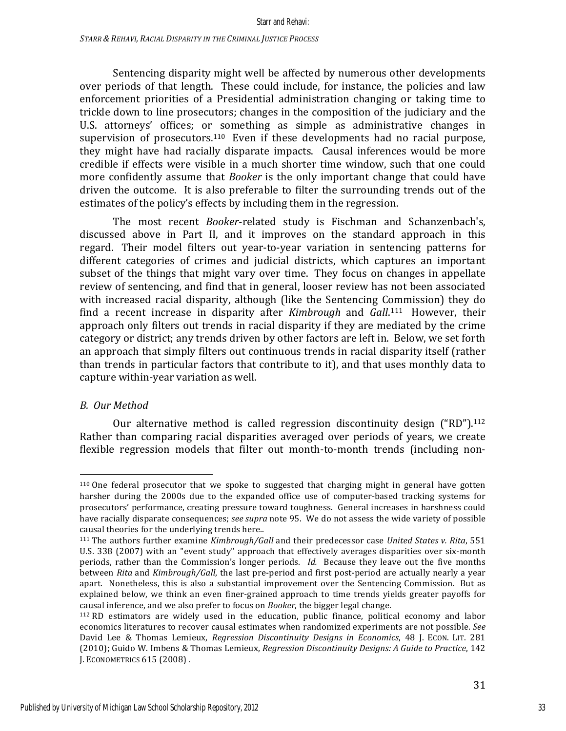Sentencing disparity might well be affected by numerous other developments over periods of that length. These could include, for instance, the policies and law enforcement priorities of a Presidential administration changing or taking time to trickle down to line prosecutors; changes in the composition of the judiciary and the U.S. attorneys' offices; or something as simple as administrative changes in supervision of prosecutors.<sup>110</sup> Even if these developments had no racial purpose, they might have had racially disparate impacts. Causal inferences would be more credible if effects were visible in a much shorter time window, such that one could more confidently assume that *Booker* is the only important change that could have driven the outcome. It is also preferable to filter the surrounding trends out of the estimates of the policy's effects by including them in the regression.

The most recent *Booker*-related study is Fischman and Schanzenbach's, discussed above in Part II, and it improves on the standard approach in this regard. Their model filters out year-to-year variation in sentencing patterns for different categories of crimes and judicial districts, which captures an important subset of the things that might vary over time. They focus on changes in appellate review of sentencing, and find that in general, looser review has not been associated with increased racial disparity, although (like the Sentencing Commission) they do find a recent increase in disparity after *Kimbrough* and *Gall*.<sup>111</sup> However, their approach only filters out trends in racial disparity if they are mediated by the crime category or district; any trends driven by other factors are left in. Below, we set forth an approach that simply filters out continuous trends in racial disparity itself (rather than trends in particular factors that contribute to it), and that uses monthly data to capture within-year variation as well.

# *B. Our Method*

 

Our alternative method is called regression discontinuity design  $("RD")$ .<sup>112</sup> Rather than comparing racial disparities averaged over periods of years, we create flexible regression models that filter out month-to-month trends (including non-

 $110$  One federal prosecutor that we spoke to suggested that charging might in general have gotten harsher during the 2000s due to the expanded office use of computer-based tracking systems for prosecutors' performance, creating pressure toward toughness. General increases in harshness could have racially disparate consequences; *see supra* note 95. We do not assess the wide variety of possible causal theories for the underlying trends here..

<sup>111</sup> The authors further examine *Kimbrough/Gall* and their predecessor case *United States v. Rita*, 551 U.S. 338 (2007) with an "event study" approach that effectively averages disparities over six-month periods, rather than the Commission's longer periods. *Id.* Because they leave out the five months between *Rita* and *Kimbrough/Gall*, the last pre-period and first post-period are actually nearly a year apart. Nonetheless, this is also a substantial improvement over the Sentencing Commission. But as explained below, we think an even finer-grained approach to time trends yields greater payoffs for causal inference, and we also prefer to focus on *Booker*, the bigger legal change.

 $112$  RD estimators are widely used in the education, public finance, political economy and labor economics literatures to recover causal estimates when randomized experiments are not possible. See David Lee & Thomas Lemieux, *Regression Discontinuity Designs in Economics*, 48 J. Econ. LIT. 281 (2010); Guido W. Imbens & Thomas Lemieux, *Regression Discontinuity Designs: A Guide to Practice*, 142 **J. ECONOMETRICS 615 (2008).**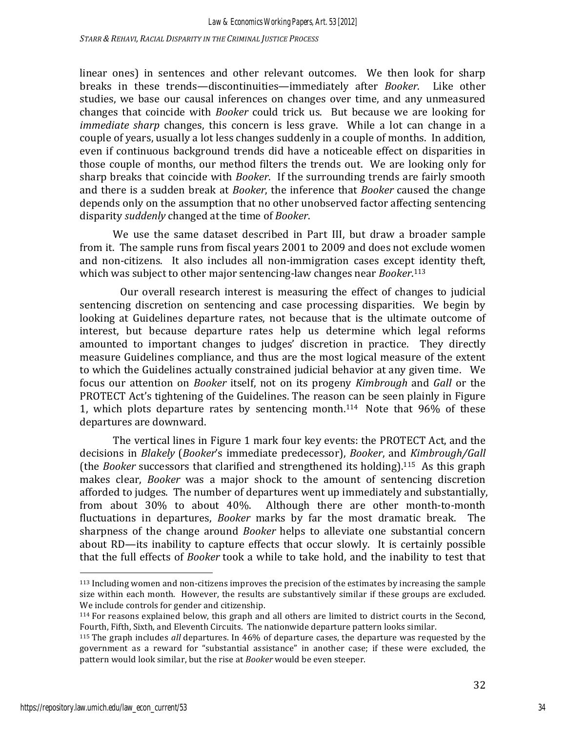linear ones) in sentences and other relevant outcomes. We then look for sharp breaks in these trends—discontinuities—immediately after *Booker*. Like other studies, we base our causal inferences on changes over time, and any unmeasured changes that coincide with *Booker* could trick us. But because we are looking for *immediate sharp* changes, this concern is less grave. While a lot can change in a couple of years, usually a lot less changes suddenly in a couple of months. In addition, even if continuous background trends did have a noticeable effect on disparities in those couple of months, our method filters the trends out. We are looking only for sharp breaks that coincide with *Booker*. If the surrounding trends are fairly smooth and there is a sudden break at *Booker*, the inference that *Booker* caused the change depends only on the assumption that no other unobserved factor affecting sentencing disparity *suddenly* changed at the time of *Booker*.

We use the same dataset described in Part III, but draw a broader sample from it. The sample runs from fiscal years 2001 to 2009 and does not exclude women and non-citizens. It also includes all non-immigration cases except identity theft, which was subject to other major sentencing-law changes near *Booker*.<sup>113</sup>

Our overall research interest is measuring the effect of changes to judicial sentencing discretion on sentencing and case processing disparities. We begin by looking at Guidelines departure rates, not because that is the ultimate outcome of interest, but because departure rates help us determine which legal reforms amounted to important changes to judges' discretion in practice. They directly measure Guidelines compliance, and thus are the most logical measure of the extent to which the Guidelines actually constrained judicial behavior at any given time. We focus our attention on *Booker* itself, not on its progeny *Kimbrough* and *Gall* or the PROTECT Act's tightening of the Guidelines. The reason can be seen plainly in Figure 1, which plots departure rates by sentencing month.<sup>114</sup> Note that  $96\%$  of these departures are downward.

The vertical lines in Figure 1 mark four key events: the PROTECT Act, and the decisions in *Blakely* (*Booker's* immediate predecessor), *Booker*, and *Kimbrough/Gall* (the *Booker* successors that clarified and strengthened its holding).<sup>115</sup> As this graph makes clear, *Booker* was a major shock to the amount of sentencing discretion afforded to judges. The number of departures went up immediately and substantially, from about  $30\%$  to about  $40\%$ . Although there are other month-to-month fluctuations in departures, *Booker* marks by far the most dramatic break. The sharpness of the change around *Booker* helps to alleviate one substantial concern about RD—its inability to capture effects that occur slowly. It is certainly possible that the full effects of *Booker* took a while to take hold, and the inability to test that

<sup>113</sup> Including women and non-citizens improves the precision of the estimates by increasing the sample size within each month. However, the results are substantively similar if these groups are excluded. We include controls for gender and citizenship.

 $114$  For reasons explained below, this graph and all others are limited to district courts in the Second, Fourth, Fifth, Sixth, and Eleventh Circuits. The nationwide departure pattern looks similar.

<sup>&</sup>lt;sup>115</sup> The graph includes *all* departures. In 46% of departure cases, the departure was requested by the government as a reward for "substantial assistance" in another case; if these were excluded, the pattern would look similar, but the rise at *Booker* would be even steeper.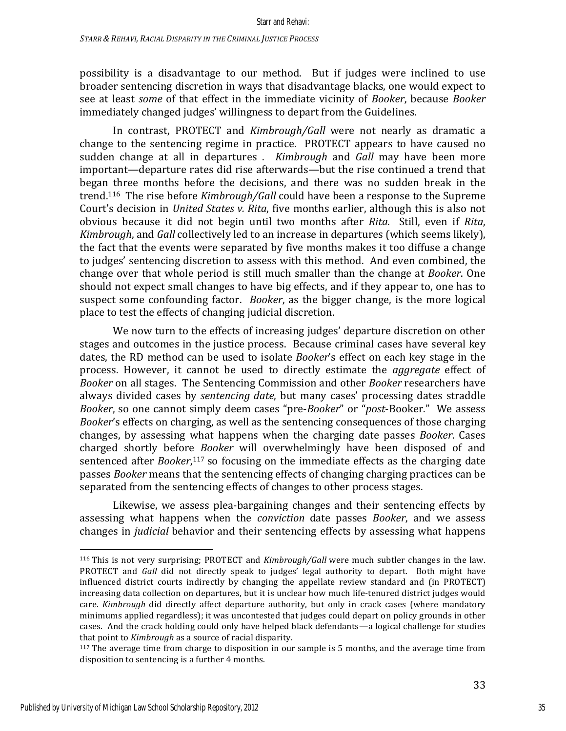possibility is a disadvantage to our method. But if judges were inclined to use broader sentencing discretion in ways that disadvantage blacks, one would expect to see at least *some* of that effect in the immediate vicinity of *Booker*, because *Booker* immediately changed judges' willingness to depart from the Guidelines.

In contrast, PROTECT and *Kimbrough/Gall* were not nearly as dramatic a change to the sentencing regime in practice. PROTECT appears to have caused no sudden change at all in departures . *Kimbrough* and *Gall* may have been more important—departure rates did rise afterwards—but the rise continued a trend that began three months before the decisions, and there was no sudden break in the trend.<sup>116</sup> The rise before *Kimbrough/Gall* could have been a response to the Supreme Court's decision in *United States v. Rita*, five months earlier, although this is also not obvious because it did not begin until two months after *Rita.*  Still, even if *Rita*, *Kimbrough*, and *Gall* collectively led to an increase in departures (which seems likely), the fact that the events were separated by five months makes it too diffuse a change to judges' sentencing discretion to assess with this method. And even combined, the change over that whole period is still much smaller than the change at *Booker*. One should not expect small changes to have big effects, and if they appear to, one has to suspect some confounding factor. *Booker*, as the bigger change, is the more logical place to test the effects of changing judicial discretion.

We now turn to the effects of increasing judges' departure discretion on other stages and outcomes in the justice process. Because criminal cases have several key dates, the RD method can be used to isolate *Booker's* effect on each key stage in the process. However, it cannot be used to directly estimate the *aggregate* effect of *Booker* on all stages. The Sentencing Commission and other *Booker* researchers have always divided cases by *sentencing date*, but many cases' processing dates straddle *Booker*, so one cannot simply deem cases "pre-*Booker"* or "*post*-Booker." We assess *Booker's* effects on charging, as well as the sentencing consequences of those charging changes, by assessing what happens when the charging date passes *Booker*. Cases charged shortly before *Booker* will overwhelmingly have been disposed of and sentenced after *Booker*,<sup>117</sup> so focusing on the immediate effects as the charging date passes *Booker* means that the sentencing effects of changing charging practices can be separated from the sentencing effects of changes to other process stages.

Likewise, we assess plea-bargaining changes and their sentencing effects by assessing what happens when the *conviction* date passes *Booker*, and we assess changes in *judicial* behavior and their sentencing effects by assessing what happens

<sup>&</sup>lt;sup>116</sup> This is not very surprising; PROTECT and *Kimbrough/Gall* were much subtler changes in the law. PROTECT and *Gall* did not directly speak to judges' legal authority to depart. Both might have influenced district courts indirectly by changing the appellate review standard and (in PROTECT) increasing data collection on departures, but it is unclear how much life-tenured district judges would care. *Kimbrough* did directly affect departure authority, but only in crack cases (where mandatory minimums applied regardless); it was uncontested that judges could depart on policy grounds in other cases. And the crack holding could only have helped black defendants—a logical challenge for studies that point to *Kimbrough* as a source of racial disparity.

 $117$  The average time from charge to disposition in our sample is 5 months, and the average time from disposition to sentencing is a further 4 months.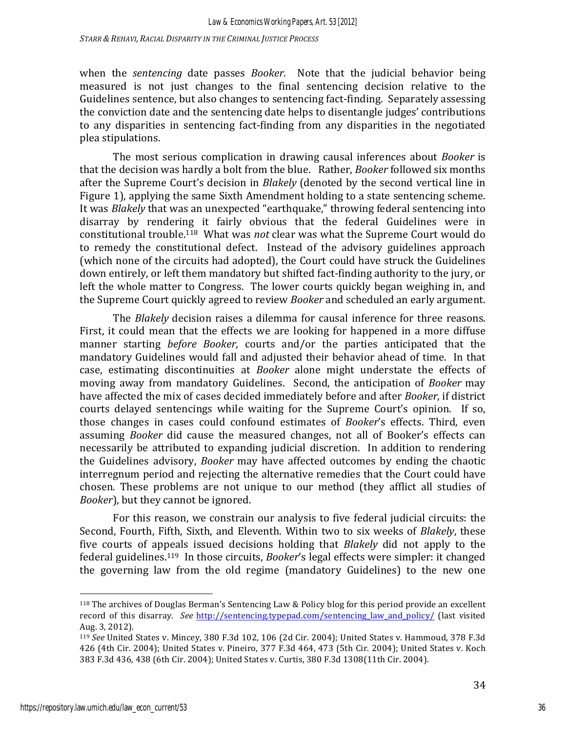*STARR & REHAVI, RACIAL DISPARITY IN THE CRIMINAL JUSTICE PROCESS*

when the *sentencing* date passes *Booker*. Note that the judicial behavior being measured is not just changes to the final sentencing decision relative to the Guidelines sentence, but also changes to sentencing fact-finding. Separately assessing the conviction date and the sentencing date helps to disentangle judges' contributions to any disparities in sentencing fact-finding from any disparities in the negotiated plea stipulations. 

The most serious complication in drawing causal inferences about *Booker* is that the decision was hardly a bolt from the blue. Rather, *Booker* followed six months after the Supreme Court's decision in *Blakely* (denoted by the second vertical line in Figure 1), applying the same Sixth Amendment holding to a state sentencing scheme. It was *Blakely* that was an unexpected "earthquake," throwing federal sentencing into disarray by rendering it fairly obvious that the federal Guidelines were in constitutional trouble.<sup>118</sup> What was *not* clear was what the Supreme Court would do to remedy the constitutional defect. Instead of the advisory guidelines approach (which none of the circuits had adopted), the Court could have struck the Guidelines down entirely, or left them mandatory but shifted fact-finding authority to the jury, or left the whole matter to Congress. The lower courts quickly began weighing in, and the Supreme Court quickly agreed to review *Booker* and scheduled an early argument.

The *Blakely* decision raises a dilemma for causal inference for three reasons. First, it could mean that the effects we are looking for happened in a more diffuse manner starting *before Booker*, courts and/or the parties anticipated that the mandatory Guidelines would fall and adjusted their behavior ahead of time. In that case, estimating discontinuities at *Booker* alone might understate the effects of moving away from mandatory Guidelines. Second, the anticipation of *Booker* may have affected the mix of cases decided immediately before and after *Booker*, if district courts delayed sentencings while waiting for the Supreme Court's opinion. If so, those changes in cases could confound estimates of *Booker's* effects. Third, even assuming *Booker* did cause the measured changes, not all of Booker's effects can necessarily be attributed to expanding judicial discretion. In addition to rendering the Guidelines advisory, *Booker* may have affected outcomes by ending the chaotic interregnum period and rejecting the alternative remedies that the Court could have chosen. These problems are not unique to our method (they afflict all studies of *Booker*), but they cannot be ignored.

For this reason, we constrain our analysis to five federal judicial circuits: the Second, Fourth, Fifth, Sixth, and Eleventh. Within two to six weeks of *Blakely*, these five courts of appeals issued decisions holding that *Blakely* did not apply to the federal guidelines.<sup>119</sup> In those circuits, *Booker's* legal effects were simpler: it changed the governing law from the old regime (mandatory Guidelines) to the new one

 $118$  The archives of Douglas Berman's Sentencing Law & Policy blog for this period provide an excellent record of this disarray. See http://sentencing.typepad.com/sentencing\_law\_and\_policy/ (last visited Aug. 3, 2012).

<sup>&</sup>lt;sup>119</sup> See United States v. Mincey, 380 F.3d 102, 106 (2d Cir. 2004); United States v. Hammoud, 378 F.3d 426 (4th Cir. 2004); United States v. Pineiro, 377 F.3d 464, 473 (5th Cir. 2004); United States v. Koch 383 F.3d 436, 438 (6th Cir. 2004); United States v. Curtis, 380 F.3d 1308(11th Cir. 2004).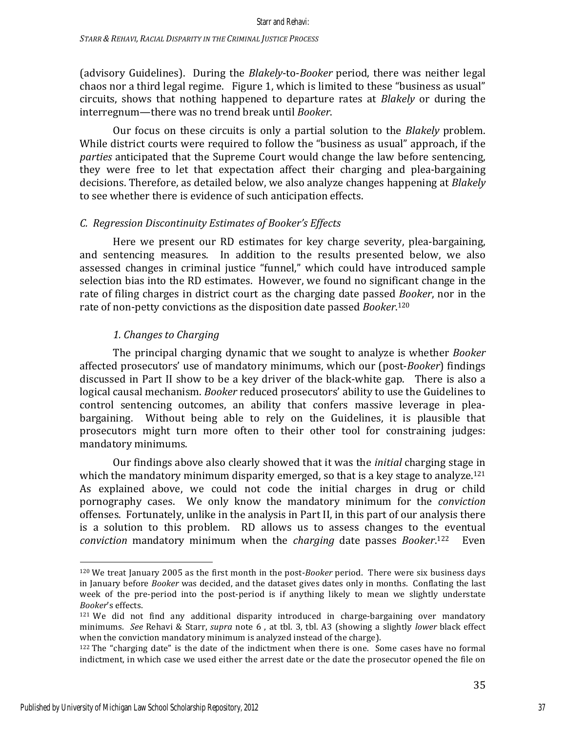(advisory Guidelines). During the *Blakely-to-Booker* period, there was neither legal chaos nor a third legal regime. Figure 1, which is limited to these "business as usual" circuits, shows that nothing happened to departure rates at *Blakely* or during the interregnum—there was no trend break until *Booker*.

Our focus on these circuits is only a partial solution to the *Blakely* problem. While district courts were required to follow the "business as usual" approach, if the *parties* anticipated that the Supreme Court would change the law before sentencing, they were free to let that expectation affect their charging and plea-bargaining decisions. Therefore, as detailed below, we also analyze changes happening at *Blakely* to see whether there is evidence of such anticipation effects.

### *C. Regression Discontinuity Estimates of Booker's Effects*

Here we present our RD estimates for key charge severity, plea-bargaining, and sentencing measures. In addition to the results presented below, we also assessed changes in criminal justice "funnel," which could have introduced sample selection bias into the RD estimates. However, we found no significant change in the rate of filing charges in district court as the charging date passed *Booker*, nor in the rate of non-petty convictions as the disposition date passed *Booker*.<sup>120</sup>

### *1. Changes to Charging*

The principal charging dynamic that we sought to analyze is whether *Booker* affected prosecutors' use of mandatory minimums, which our (post-*Booker*) findings discussed in Part II show to be a key driver of the black-white gap. There is also a logical causal mechanism. *Booker* reduced prosecutors' ability to use the Guidelines to control sentencing outcomes, an ability that confers massive leverage in pleabargaining. Without being able to rely on the Guidelines, it is plausible that prosecutors might turn more often to their other tool for constraining judges: mandatory minimums.

Our findings above also clearly showed that it was the *initial* charging stage in which the mandatory minimum disparity emerged, so that is a key stage to analyze.<sup>121</sup> As explained above, we could not code the initial charges in drug or child pornography cases. We only know the mandatory minimum for the *conviction* offenses. Fortunately, unlike in the analysis in Part II, in this part of our analysis there is a solution to this problem. RD allows us to assess changes to the eventual *conviction* mandatory minimum when the *charging* date passes *Booker*.<sup>122</sup> Even

<sup>&</sup>lt;sup>120</sup> We treat January 2005 as the first month in the post-*Booker* period. There were six business days in January before *Booker* was decided, and the dataset gives dates only in months. Conflating the last week of the pre-period into the post-period is if anything likely to mean we slightly understate *Booker*'s effects. 

 $121$  We did not find any additional disparity introduced in charge-bargaining over mandatory minimums. See Rehavi & Starr, *supra* note 6, at tbl. 3, tbl. A3 (showing a slightly *lower* black effect when the conviction mandatory minimum is analyzed instead of the charge).

 $122$  The "charging date" is the date of the indictment when there is one. Some cases have no formal indictment, in which case we used either the arrest date or the date the prosecutor opened the file on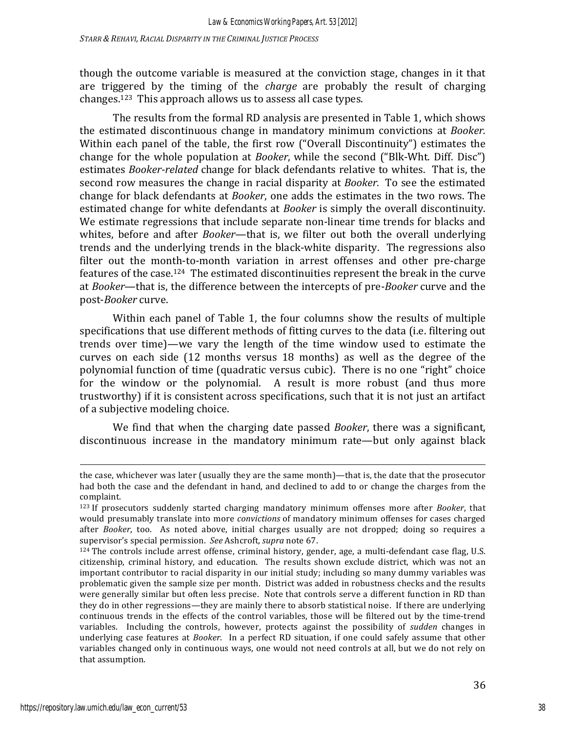though the outcome variable is measured at the conviction stage, changes in it that are triggered by the timing of the *charge* are probably the result of charging changes.<sup>123</sup> This approach allows us to assess all case types.

The results from the formal RD analysis are presented in Table 1, which shows the estimated discontinuous change in mandatory minimum convictions at *Booker.* Within each panel of the table, the first row ("Overall Discontinuity") estimates the change for the whole population at *Booker*, while the second ("Blk-Wht. Diff. Disc") estimates *Booker-related* change for black defendants relative to whites. That is, the second row measures the change in racial disparity at *Booker*. To see the estimated change for black defendants at *Booker*, one adds the estimates in the two rows. The estimated change for white defendants at *Booker* is simply the overall discontinuity. We estimate regressions that include separate non-linear time trends for blacks and whites, before and after *Booker*—that is, we filter out both the overall underlying trends and the underlying trends in the black-white disparity. The regressions also filter out the month-to-month variation in arrest offenses and other pre-charge features of the case.<sup>124</sup> The estimated discontinuities represent the break in the curve at *Booker*—that is, the difference between the intercepts of pre-*Booker* curve and the post-*Booker* curve. 

Within each panel of Table 1, the four columns show the results of multiple specifications that use different methods of fitting curves to the data (i.e. filtering out trends over time)—we vary the length of the time window used to estimate the curves on each side (12 months versus 18 months) as well as the degree of the polynomial function of time (quadratic versus cubic). There is no one "right" choice for the window or the polynomial. A result is more robust (and thus more trustworthy) if it is consistent across specifications, such that it is not just an artifact of a subjective modeling choice.

We find that when the charging date passed *Booker*, there was a significant, discontinuous increase in the mandatory minimum rate—but only against black

<u> 1989 - Andrea Santa Andrea Andrea Andrea Andrea Andrea Andrea Andrea Andrea Andrea Andrea Andrea Andrea Andr</u>

the case, whichever was later (usually they are the same month)—that is, the date that the prosecutor had both the case and the defendant in hand, and declined to add to or change the charges from the complaint.

<sup>123</sup> If prosecutors suddenly started charging mandatory minimum offenses more after *Booker*, that would presumably translate into more *convictions* of mandatory minimum offenses for cases charged after *Booker*, too. As noted above, initial charges usually are not dropped; doing so requires a supervisor's special permission. See Ashcroft, *supra* note 67.

<sup>124</sup> The controls include arrest offense, criminal history, gender, age, a multi-defendant case flag, U.S. citizenship, criminal history, and education. The results shown exclude district, which was not an important contributor to racial disparity in our initial study; including so many dummy variables was problematic given the sample size per month. District was added in robustness checks and the results were generally similar but often less precise. Note that controls serve a different function in RD than they do in other regressions—they are mainly there to absorb statistical noise. If there are underlying continuous trends in the effects of the control variables, those will be filtered out by the time-trend variables. Including the controls, however, protects against the possibility of *sudden* changes in underlying case features at *Booker*. In a perfect RD situation, if one could safely assume that other variables changed only in continuous ways, one would not need controls at all, but we do not rely on that assumption.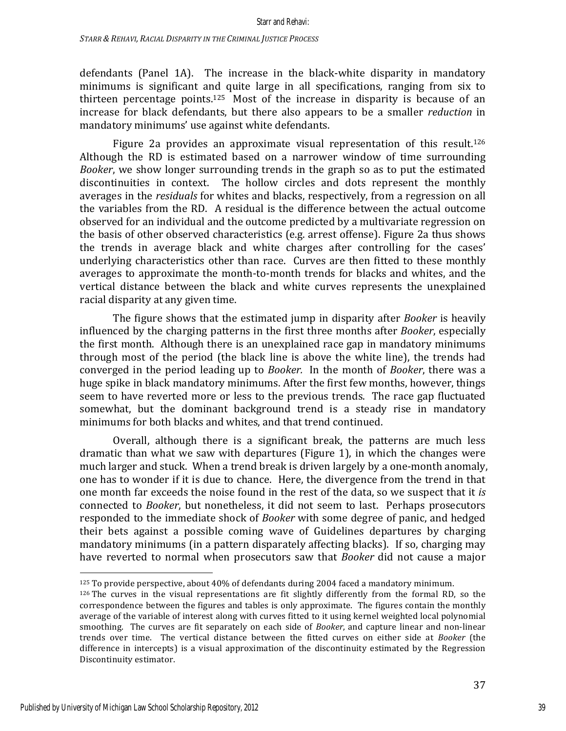defendants (Panel 1A). The increase in the black-white disparity in mandatory minimums is significant and quite large in all specifications, ranging from six to thirteen percentage points.<sup>125</sup> Most of the increase in disparity is because of an increase for black defendants, but there also appears to be a smaller *reduction* in mandatory minimums' use against white defendants.

Figure 2a provides an approximate visual representation of this result.<sup>126</sup> Although the RD is estimated based on a narrower window of time surrounding *Booker*, we show longer surrounding trends in the graph so as to put the estimated discontinuities in context. The hollow circles and dots represent the monthly averages in the *residuals* for whites and blacks, respectively, from a regression on all the variables from the RD. A residual is the difference between the actual outcome observed for an individual and the outcome predicted by a multivariate regression on the basis of other observed characteristics (e.g. arrest offense). Figure 2a thus shows the trends in average black and white charges after controlling for the cases' underlying characteristics other than race. Curves are then fitted to these monthly averages to approximate the month-to-month trends for blacks and whites, and the vertical distance between the black and white curves represents the unexplained racial disparity at any given time.

The figure shows that the estimated jump in disparity after *Booker* is heavily influenced by the charging patterns in the first three months after *Booker*, especially the first month. Although there is an unexplained race gap in mandatory minimums through most of the period (the black line is above the white line), the trends had converged in the period leading up to *Booker*. In the month of *Booker*, there was a huge spike in black mandatory minimums. After the first few months, however, things seem to have reverted more or less to the previous trends. The race gap fluctuated somewhat, but the dominant background trend is a steady rise in mandatory minimums for both blacks and whites, and that trend continued.

Overall, although there is a significant break, the patterns are much less dramatic than what we saw with departures (Figure 1), in which the changes were much larger and stuck. When a trend break is driven largely by a one-month anomaly, one has to wonder if it is due to chance. Here, the divergence from the trend in that one month far exceeds the noise found in the rest of the data, so we suspect that it *is* connected to *Booker*, but nonetheless, it did not seem to last. Perhaps prosecutors responded to the immediate shock of *Booker* with some degree of panic, and hedged their bets against a possible coming wave of Guidelines departures by charging mandatory minimums (in a pattern disparately affecting blacks). If so, charging may have reverted to normal when prosecutors saw that *Booker* did not cause a major

 $125$  To provide perspective, about 40% of defendants during 2004 faced a mandatory minimum.

 $126$  The curves in the visual representations are fit slightly differently from the formal RD, so the correspondence between the figures and tables is only approximate. The figures contain the monthly average of the variable of interest along with curves fitted to it using kernel weighted local polynomial smoothing. The curves are fit separately on each side of *Booker*, and capture linear and non-linear trends over time. The vertical distance between the fitted curves on either side at *Booker* (the difference in intercepts) is a visual approximation of the discontinuity estimated by the Regression Discontinuity estimator.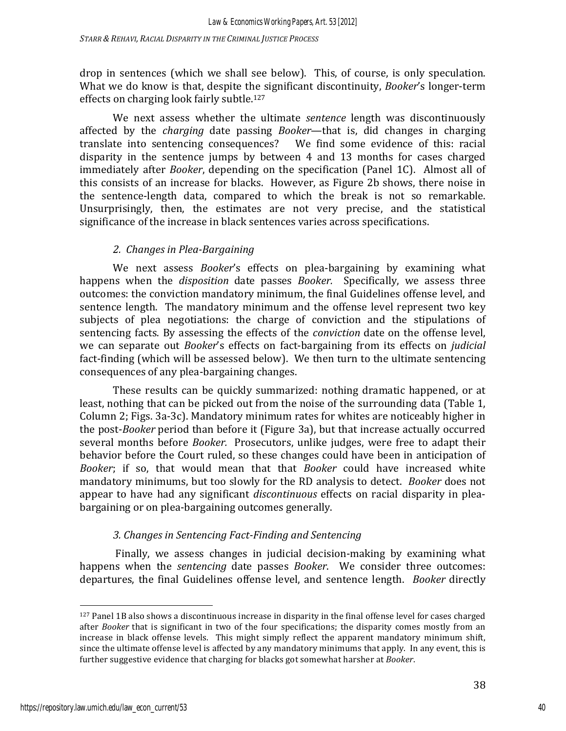drop in sentences (which we shall see below). This, of course, is only speculation. What we do know is that, despite the significant discontinuity, *Booker's* longer-term effects on charging look fairly subtle.<sup>127</sup>

We next assess whether the ultimate *sentence* length was discontinuously affected by the *charging* date passing *Booker*—that is, did changes in charging translate into sentencing consequences? We find some evidence of this: racial disparity in the sentence jumps by between  $4$  and  $13$  months for cases charged immediately after *Booker*, depending on the specification (Panel 1C). Almost all of this consists of an increase for blacks. However, as Figure 2b shows, there noise in the sentence-length data, compared to which the break is not so remarkable. Unsurprisingly, then, the estimates are not very precise, and the statistical significance of the increase in black sentences varies across specifications.

# *2. Changes in Plea-Bargaining*

We next assess *Booker's* effects on plea-bargaining by examining what happens when the *disposition* date passes *Booker.* Specifically, we assess three outcomes: the conviction mandatory minimum, the final Guidelines offense level, and sentence length. The mandatory minimum and the offense level represent two key subjects of plea negotiations: the charge of conviction and the stipulations of sentencing facts. By assessing the effects of the *conviction* date on the offense level, we can separate out *Booker's* effects on fact-bargaining from its effects on *judicial* fact-finding (which will be assessed below). We then turn to the ultimate sentencing consequences of any plea-bargaining changes.

These results can be quickly summarized: nothing dramatic happened, or at least, nothing that can be picked out from the noise of the surrounding data (Table 1, Column 2; Figs. 3a-3c). Mandatory minimum rates for whites are noticeably higher in the post-*Booker* period than before it (Figure 3a), but that increase actually occurred several months before *Booker*. Prosecutors, unlike judges, were free to adapt their behavior before the Court ruled, so these changes could have been in anticipation of *Booker*; if so, that would mean that that *Booker* could have increased white mandatory minimums, but too slowly for the RD analysis to detect. *Booker* does not appear to have had any significant *discontinuous* effects on racial disparity in pleabargaining or on plea-bargaining outcomes generally.

# *3. Changes in Sentencing Fact-Finding and Sentencing*

Finally, we assess changes in judicial decision-making by examining what happens when the *sentencing* date passes *Booker*. We consider three outcomes: departures, the final Guidelines offense level, and sentence length. *Booker* directly

 $127$  Panel 1B also shows a discontinuous increase in disparity in the final offense level for cases charged after *Booker* that is significant in two of the four specifications; the disparity comes mostly from an increase in black offense levels. This might simply reflect the apparent mandatory minimum shift, since the ultimate offense level is affected by any mandatory minimums that apply. In any event, this is further suggestive evidence that charging for blacks got somewhat harsher at *Booker*.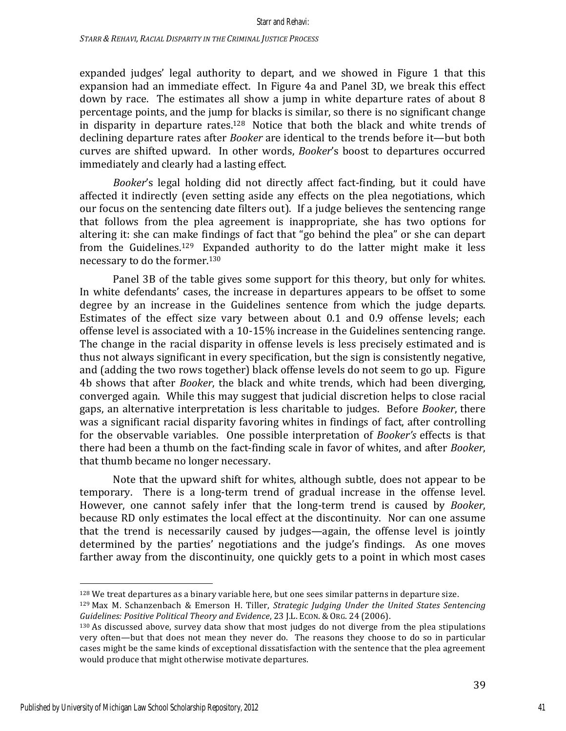expanded judges' legal authority to depart, and we showed in Figure 1 that this expansion had an immediate effect. In Figure 4a and Panel 3D, we break this effect down by race. The estimates all show a jump in white departure rates of about  $8$ percentage points, and the jump for blacks is similar, so there is no significant change in disparity in departure rates.<sup>128</sup> Notice that both the black and white trends of declining departure rates after *Booker* are identical to the trends before it—but both curves are shifted upward. In other words, *Booker's* boost to departures occurred immediately and clearly had a lasting effect.

*Booker's* legal holding did not directly affect fact-finding, but it could have affected it indirectly (even setting aside any effects on the plea negotiations, which our focus on the sentencing date filters out). If a judge believes the sentencing range that follows from the plea agreement is inappropriate, she has two options for altering it: she can make findings of fact that "go behind the plea" or she can depart from the Guidelines.<sup>129</sup> Expanded authority to do the latter might make it less necessary to do the former.<sup>130</sup>

Panel 3B of the table gives some support for this theory, but only for whites. In white defendants' cases, the increase in departures appears to be offset to some degree by an increase in the Guidelines sentence from which the judge departs. Estimates of the effect size vary between about 0.1 and 0.9 offense levels; each offense level is associated with a  $10-15\%$  increase in the Guidelines sentencing range. The change in the racial disparity in offense levels is less precisely estimated and is thus not always significant in every specification, but the sign is consistently negative, and (adding the two rows together) black offense levels do not seem to go up. Figure 4b shows that after *Booker*, the black and white trends, which had been diverging, converged again. While this may suggest that judicial discretion helps to close racial gaps, an alternative interpretation is less charitable to judges. Before *Booker*, there was a significant racial disparity favoring whites in findings of fact, after controlling for the observable variables. One possible interpretation of *Booker's* effects is that there had been a thumb on the fact-finding scale in favor of whites, and after *Booker*, that thumb became no longer necessary.

Note that the upward shift for whites, although subtle, does not appear to be temporary. There is a long-term trend of gradual increase in the offense level. However, one cannot safely infer that the long-term trend is caused by *Booker*, because RD only estimates the local effect at the discontinuity. Nor can one assume that the trend is necessarily caused by judges—again, the offense level is jointly determined by the parties' negotiations and the judge's findings. As one moves farther away from the discontinuity, one quickly gets to a point in which most cases

<sup>&</sup>lt;sup>128</sup> We treat departures as a binary variable here, but one sees similar patterns in departure size.

<sup>&</sup>lt;sup>129</sup> Max M. Schanzenbach & Emerson H. Tiller, *Strategic Judging Under the United States Sentencing Guidelines: Positive Political Theory and Evidence*, 23 J.L. ECON. & ORG. 24 (2006).

 $130$  As discussed above, survey data show that most judges do not diverge from the plea stipulations very often—but that does not mean they never do. The reasons they choose to do so in particular cases might be the same kinds of exceptional dissatisfaction with the sentence that the plea agreement would produce that might otherwise motivate departures.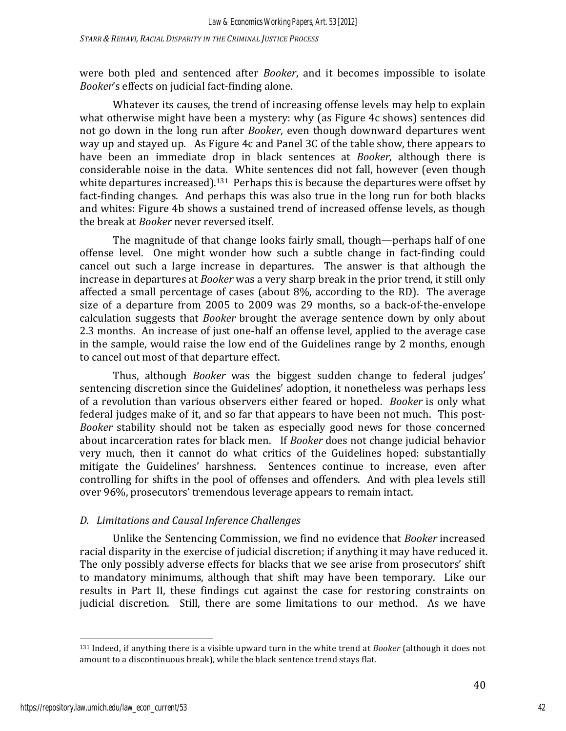were both pled and sentenced after *Booker*, and it becomes impossible to isolate *Booker's* effects on judicial fact-finding alone.

Whatever its causes, the trend of increasing offense levels may help to explain what otherwise might have been a mystery: why (as Figure 4c shows) sentences did not go down in the long run after *Booker*, even though downward departures went way up and stayed up. As Figure 4c and Panel 3C of the table show, there appears to have been an immediate drop in black sentences at *Booker*, although there is considerable noise in the data. White sentences did not fall, however (even though white departures increased).<sup>131</sup> Perhaps this is because the departures were offset by fact-finding changes. And perhaps this was also true in the long run for both blacks and whites: Figure 4b shows a sustained trend of increased offense levels, as though the break at *Booker* never reversed itself.

The magnitude of that change looks fairly small, though—perhaps half of one offense level. One might wonder how such a subtle change in fact-finding could cancel out such a large increase in departures. The answer is that although the increase in departures at *Booker* was a very sharp break in the prior trend, it still only affected a small percentage of cases (about  $8\%$ , according to the RD). The average size of a departure from 2005 to 2009 was 29 months, so a back-of-the-envelope calculation suggests that *Booker* brought the average sentence down by only about 2.3 months. An increase of just one-half an offense level, applied to the average case in the sample, would raise the low end of the Guidelines range by 2 months, enough to cancel out most of that departure effect.

Thus, although *Booker* was the biggest sudden change to federal judges' sentencing discretion since the Guidelines' adoption, it nonetheless was perhaps less of a revolution than various observers either feared or hoped. *Booker* is only what federal judges make of it, and so far that appears to have been not much. This post-*Booker* stability should not be taken as especially good news for those concerned about incarceration rates for black men. If *Booker* does not change judicial behavior very much, then it cannot do what critics of the Guidelines hoped: substantially mitigate the Guidelines' harshness. Sentences continue to increase, even after controlling for shifts in the pool of offenses and offenders. And with plea levels still over 96%, prosecutors' tremendous leverage appears to remain intact.

# *D. Limitations and Causal Inference Challenges*

Unlike the Sentencing Commission, we find no evidence that *Booker* increased racial disparity in the exercise of judicial discretion; if anything it may have reduced it. The only possibly adverse effects for blacks that we see arise from prosecutors' shift to mandatory minimums, although that shift may have been temporary. Like our results in Part II, these findings cut against the case for restoring constraints on judicial discretion. Still, there are some limitations to our method. As we have

<sup>131</sup> Indeed, if anything there is a visible upward turn in the white trend at *Booker* (although it does not amount to a discontinuous break), while the black sentence trend stays flat.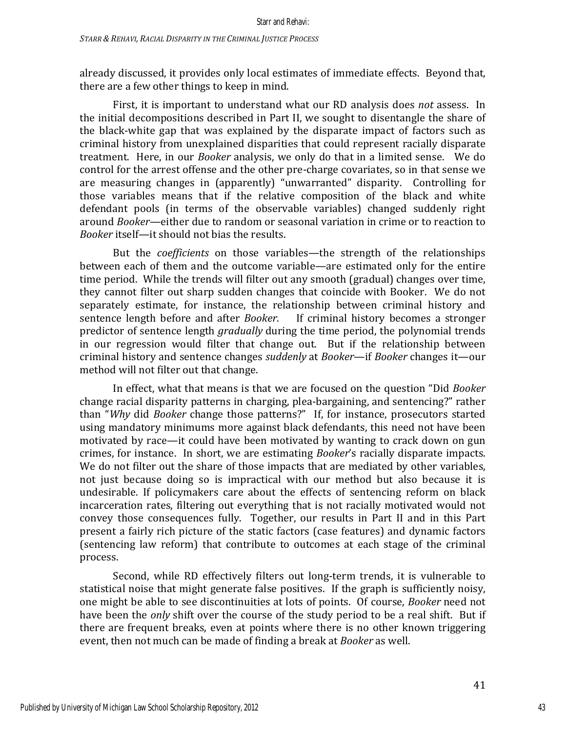already discussed, it provides only local estimates of immediate effects. Beyond that, there are a few other things to keep in mind.

First, it is important to understand what our RD analysis does *not* assess. In the initial decompositions described in Part II, we sought to disentangle the share of the black-white gap that was explained by the disparate impact of factors such as criminal history from unexplained disparities that could represent racially disparate treatment. Here, in our *Booker* analysis, we only do that in a limited sense. We do control for the arrest offense and the other pre-charge covariates, so in that sense we are measuring changes in (apparently) "unwarranted" disparity. Controlling for those variables means that if the relative composition of the black and white defendant pools (in terms of the observable variables) changed suddenly right around *Booker*—either due to random or seasonal variation in crime or to reaction to *Booker* itself—it should not bias the results.

But the *coefficients* on those variables—the strength of the relationships between each of them and the outcome variable—are estimated only for the entire time period. While the trends will filter out any smooth (gradual) changes over time, they cannot filter out sharp sudden changes that coincide with Booker. We do not separately estimate, for instance, the relationship between criminal history and sentence length before and after *Booker*. If criminal history becomes a stronger predictor of sentence length *gradually* during the time period, the polynomial trends in our regression would filter that change out. But if the relationship between criminal history and sentence changes *suddenly* at *Booker*—if *Booker* changes it—our method will not filter out that change.

In effect, what that means is that we are focused on the question "Did *Booker* change racial disparity patterns in charging, plea-bargaining, and sentencing?" rather than "Why did *Booker* change those patterns?" If, for instance, prosecutors started using mandatory minimums more against black defendants, this need not have been motivated by race—it could have been motivated by wanting to crack down on gun crimes, for instance. In short, we are estimating *Booker's* racially disparate impacts. We do not filter out the share of those impacts that are mediated by other variables, not just because doing so is impractical with our method but also because it is undesirable. If policymakers care about the effects of sentencing reform on black incarceration rates, filtering out everything that is not racially motivated would not convey those consequences fully. Together, our results in Part II and in this Part present a fairly rich picture of the static factors (case features) and dynamic factors (sentencing law reform) that contribute to outcomes at each stage of the criminal process. 

Second, while RD effectively filters out long-term trends, it is vulnerable to statistical noise that might generate false positives. If the graph is sufficiently noisy, one might be able to see discontinuities at lots of points. Of course, *Booker* need not have been the *only* shift over the course of the study period to be a real shift. But if there are frequent breaks, even at points where there is no other known triggering event, then not much can be made of finding a break at *Booker* as well.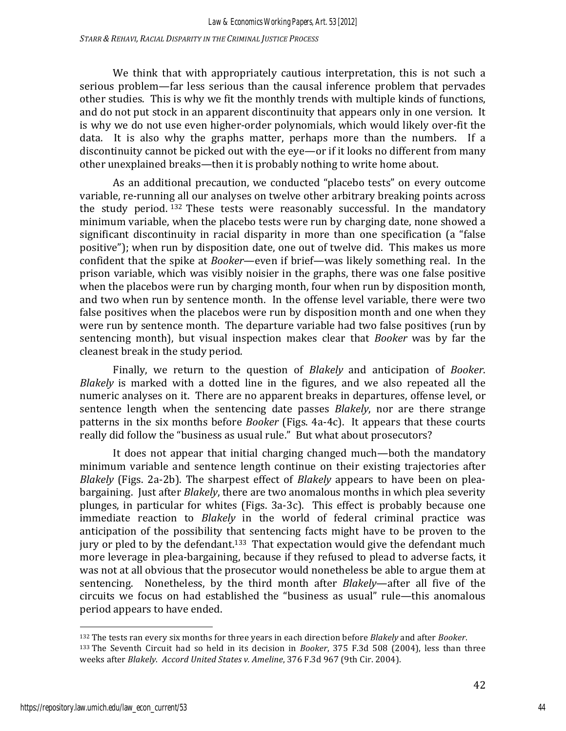*STARR & REHAVI, RACIAL DISPARITY IN THE CRIMINAL JUSTICE PROCESS*

We think that with appropriately cautious interpretation, this is not such a serious problem—far less serious than the causal inference problem that pervades other studies. This is why we fit the monthly trends with multiple kinds of functions, and do not put stock in an apparent discontinuity that appears only in one version. It is why we do not use even higher-order polynomials, which would likely over-fit the data. It is also why the graphs matter, perhaps more than the numbers. If a discontinuity cannot be picked out with the eye—or if it looks no different from many other unexplained breaks—then it is probably nothing to write home about.

As an additional precaution, we conducted "placebo tests" on every outcome variable, re-running all our analyses on twelve other arbitrary breaking points across the study period.  $132$  These tests were reasonably successful. In the mandatory minimum variable, when the placebo tests were run by charging date, none showed a significant discontinuity in racial disparity in more than one specification (a "false positive"); when run by disposition date, one out of twelve did. This makes us more confident that the spike at *Booker*—even if brief—was likely something real. In the prison variable, which was visibly noisier in the graphs, there was one false positive when the placebos were run by charging month, four when run by disposition month, and two when run by sentence month. In the offense level variable, there were two false positives when the placebos were run by disposition month and one when they were run by sentence month. The departure variable had two false positives (run by sentencing month), but visual inspection makes clear that *Booker* was by far the cleanest break in the study period.

Finally, we return to the question of *Blakely* and anticipation of *Booker*. *Blakely* is marked with a dotted line in the figures, and we also repeated all the numeric analyses on it. There are no apparent breaks in departures, offense level, or sentence length when the sentencing date passes *Blakely*, nor are there strange patterns in the six months before *Booker* (Figs. 4a-4c). It appears that these courts really did follow the "business as usual rule." But what about prosecutors?

It does not appear that initial charging changed much—both the mandatory minimum variable and sentence length continue on their existing trajectories after *Blakely* (Figs. 2a-2b). The sharpest effect of *Blakely* appears to have been on pleabargaining. Just after *Blakely*, there are two anomalous months in which plea severity plunges, in particular for whites (Figs. 3a-3c). This effect is probably because one immediate reaction to *Blakely* in the world of federal criminal practice was anticipation of the possibility that sentencing facts might have to be proven to the jury or pled to by the defendant.<sup>133</sup> That expectation would give the defendant much more leverage in plea-bargaining, because if they refused to plead to adverse facts, it was not at all obvious that the prosecutor would nonetheless be able to argue them at sentencing. Nonetheless, by the third month after *Blakely*—after all five of the circuits we focus on had established the "business as usual" rule—this anomalous period appears to have ended.

<sup>132</sup> The tests ran every six months for three years in each direction before *Blakely* and after *Booker*. 133 The Seventh Circuit had so held in its decision in *Booker*, 375 F.3d 508 (2004), less than three weeks after *Blakely. Accord United States v. Ameline*, 376 F.3d 967 (9th Cir. 2004).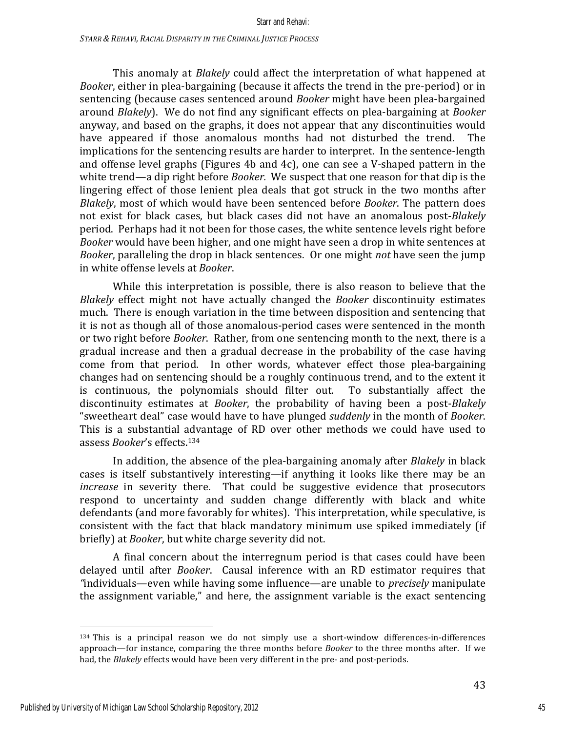This anomaly at *Blakely* could affect the interpretation of what happened at *Booker*, either in plea-bargaining (because it affects the trend in the pre-period) or in sentencing (because cases sentenced around *Booker* might have been plea-bargained around *Blakely*). We do not find any significant effects on plea-bargaining at *Booker* anyway, and based on the graphs, it does not appear that any discontinuities would have appeared if those anomalous months had not disturbed the trend. The implications for the sentencing results are harder to interpret. In the sentence-length and offense level graphs (Figures 4b and 4c), one can see a V-shaped pattern in the white trend—a dip right before *Booker*. We suspect that one reason for that dip is the lingering effect of those lenient plea deals that got struck in the two months after *Blakely*, most of which would have been sentenced before *Booker*. The pattern does not exist for black cases, but black cases did not have an anomalous post-*Blakely* period. Perhaps had it not been for those cases, the white sentence levels right before *Booker* would have been higher, and one might have seen a drop in white sentences at *Booker*, paralleling the drop in black sentences. Or one might *not* have seen the jump in white offense levels at *Booker*.

While this interpretation is possible, there is also reason to believe that the *Blakely* effect might not have actually changed the *Booker* discontinuity estimates much. There is enough variation in the time between disposition and sentencing that it is not as though all of those anomalous-period cases were sentenced in the month or two right before *Booker*. Rather, from one sentencing month to the next, there is a gradual increase and then a gradual decrease in the probability of the case having come from that period. In other words, whatever effect those plea-bargaining changes had on sentencing should be a roughly continuous trend, and to the extent it is continuous, the polynomials should filter out. To substantially affect the discontinuity estimates at *Booker*, the probability of having been a post-*Blakely* "sweetheart deal" case would have to have plunged *suddenly* in the month of *Booker*. This is a substantial advantage of RD over other methods we could have used to assess *Booker's* effects.<sup>134</sup>

In addition, the absence of the plea-bargaining anomaly after *Blakely* in black cases is itself substantively interesting—if anything it looks like there may be an *increase* in severity there. That could be suggestive evidence that prosecutors respond to uncertainty and sudden change differently with black and white defendants (and more favorably for whites). This interpretation, while speculative, is consistent with the fact that black mandatory minimum use spiked immediately (if briefly) at *Booker*, but white charge severity did not.

A final concern about the interregnum period is that cases could have been delayed until after *Booker*. Causal inference with an RD estimator requires that "individuals—even while having some influence—are unable to *precisely* manipulate the assignment variable," and here, the assignment variable is the exact sentencing

 $134$  This is a principal reason we do not simply use a short-window differences-in-differences approach—for instance, comparing the three months before *Booker* to the three months after. If we had, the *Blakely* effects would have been very different in the pre- and post-periods.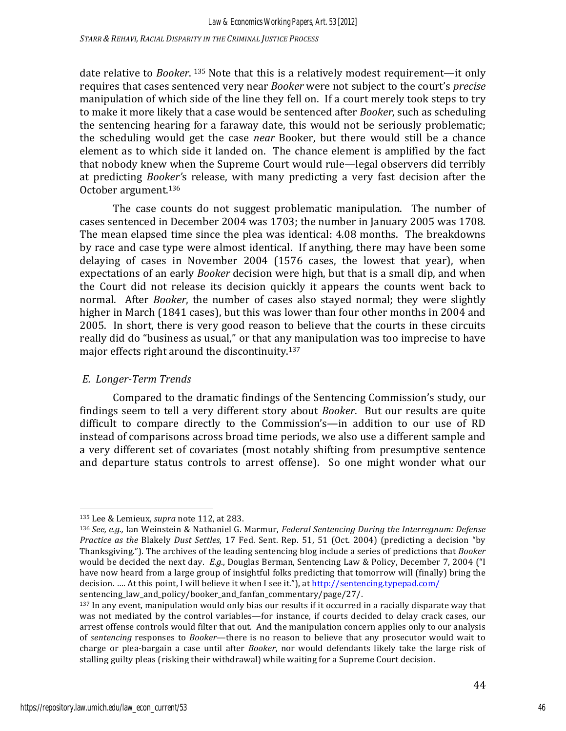*STARR & REHAVI, RACIAL DISPARITY IN THE CRIMINAL JUSTICE PROCESS*

date relative to *Booker*.<sup>135</sup> Note that this is a relatively modest requirement—it only requires that cases sentenced very near *Booker* were not subject to the court's *precise* manipulation of which side of the line they fell on. If a court merely took steps to try to make it more likely that a case would be sentenced after *Booker*, such as scheduling the sentencing hearing for a faraway date, this would not be seriously problematic; the scheduling would get the case *near* Booker, but there would still be a chance element as to which side it landed on. The chance element is amplified by the fact that nobody knew when the Supreme Court would rule—legal observers did terribly at predicting *Booker's* release, with many predicting a very fast decision after the October argument.<sup>136</sup>

The case counts do not suggest problematic manipulation. The number of cases sentenced in December 2004 was 1703; the number in January 2005 was 1708. The mean elapsed time since the plea was identical: 4.08 months. The breakdowns by race and case type were almost identical. If anything, there may have been some delaying of cases in November 2004  $(1576 \text{ cases}, \text{ the lowest that year})$ , when expectations of an early *Booker* decision were high, but that is a small dip, and when the Court did not release its decision quickly it appears the counts went back to normal. After *Booker*, the number of cases also stayed normal; they were slightly higher in March (1841 cases), but this was lower than four other months in 2004 and 2005. In short, there is very good reason to believe that the courts in these circuits really did do "business as usual," or that any manipulation was too imprecise to have major effects right around the discontinuity. $137$ 

### *E. Longer-Term Trends*

Compared to the dramatic findings of the Sentencing Commission's study, our findings seem to tell a very different story about *Booker*. But our results are quite difficult to compare directly to the Commission's-in addition to our use of RD instead of comparisons across broad time periods, we also use a different sample and a very different set of covariates (most notably shifting from presumptive sentence and departure status controls to arrest offense). So one might wonder what our

<sup>135</sup> Lee & Lemieux, *supra* note 112, at 283.

<sup>136</sup> *See, e.g.,* Ian Weinstein & Nathaniel G. Marmur, *Federal Sentencing During the Interregnum: Defense Practice as the Blakely Dust Settles*, 17 Fed. Sent. Rep. 51, 51 (Oct. 2004) (predicting a decision "by Thanksgiving."). The archives of the leading sentencing blog include a series of predictions that *Booker* would be decided the next day. *E.g.*, Douglas Berman, Sentencing Law & Policy, December 7, 2004 ("I have now heard from a large group of insightful folks predicting that tomorrow will (finally) bring the decision. .... At this point, I will believe it when I see it."), at http://sentencing.typepad.com/ sentencing\_law\_and\_policy/booker\_and\_fanfan\_commentary/page/27/. 

 $137$  In any event, manipulation would only bias our results if it occurred in a racially disparate way that was not mediated by the control variables—for instance, if courts decided to delay crack cases, our arrest offense controls would filter that out. And the manipulation concern applies only to our analysis of *sentencing* responses to *Booker*—there is no reason to believe that any prosecutor would wait to charge or plea-bargain a case until after *Booker*, nor would defendants likely take the large risk of stalling guilty pleas (risking their withdrawal) while waiting for a Supreme Court decision.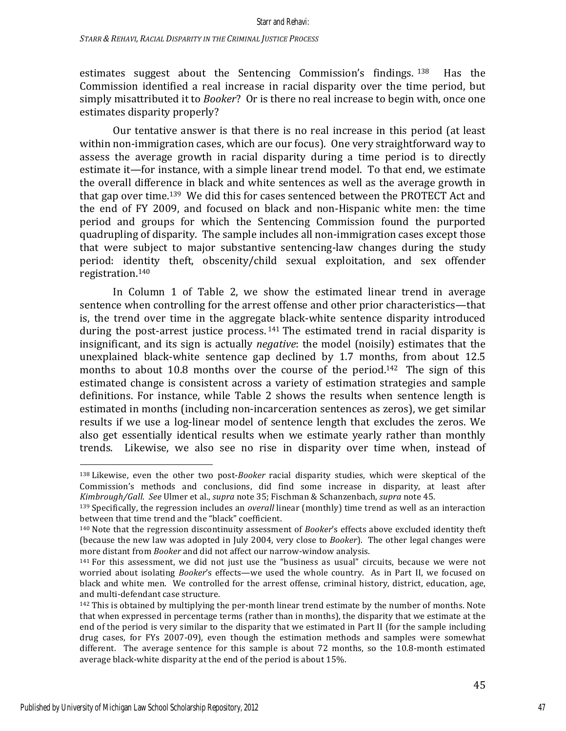estimates suggest about the Sentencing Commission's findings.  $138$  Has the Commission identified a real increase in racial disparity over the time period, but simply misattributed it to *Booker*? Or is there no real increase to begin with, once one estimates disparity properly?

Our tentative answer is that there is no real increase in this period (at least) within non-immigration cases, which are our focus). One very straightforward way to assess the average growth in racial disparity during a time period is to directly estimate it—for instance, with a simple linear trend model. To that end, we estimate the overall difference in black and white sentences as well as the average growth in that gap over time.<sup>139</sup> We did this for cases sentenced between the PROTECT Act and the end of FY 2009, and focused on black and non-Hispanic white men: the time period and groups for which the Sentencing Commission found the purported quadrupling of disparity. The sample includes all non-immigration cases except those that were subject to major substantive sentencing-law changes during the study period: identity theft, obscenity/child sexual exploitation, and sex offender registration. 140 

In Column 1 of Table 2, we show the estimated linear trend in average sentence when controlling for the arrest offense and other prior characteristics—that is, the trend over time in the aggregate black-white sentence disparity introduced during the post-arrest justice process.<sup>141</sup> The estimated trend in racial disparity is insignificant, and its sign is actually *negative*: the model (noisily) estimates that the unexplained black-white sentence gap declined by  $1.7$  months, from about  $12.5$ months to about 10.8 months over the course of the period.<sup>142</sup> The sign of this estimated change is consistent across a variety of estimation strategies and sample definitions. For instance, while Table 2 shows the results when sentence length is estimated in months (including non-incarceration sentences as zeros), we get similar results if we use a log-linear model of sentence length that excludes the zeros. We also get essentially identical results when we estimate yearly rather than monthly trends. Likewise, we also see no rise in disparity over time when, instead of

<sup>138</sup> Likewise, even the other two post-*Booker* racial disparity studies, which were skeptical of the Commission's methods and conclusions, did find some increase in disparity, at least after *Kimbrough/Gall. See Ulmer et al., supra note 35; Fischman & Schanzenbach, supra note 45.* 

<sup>&</sup>lt;sup>139</sup> Specifically, the regression includes an *overall* linear (monthly) time trend as well as an interaction between that time trend and the "black" coefficient.

<sup>&</sup>lt;sup>140</sup> Note that the regression discontinuity assessment of *Booker's* effects above excluded identity theft (because the new law was adopted in July 2004, very close to *Booker*). The other legal changes were more distant from *Booker* and did not affect our narrow-window analysis.

 $141$  For this assessment, we did not just use the "business as usual" circuits, because we were not worried about isolating *Booker's* effects—we used the whole country. As in Part II, we focused on black and white men. We controlled for the arrest offense, criminal history, district, education, age, and multi-defendant case structure.

 $142$  This is obtained by multiplying the per-month linear trend estimate by the number of months. Note that when expressed in percentage terms (rather than in months), the disparity that we estimate at the end of the period is very similar to the disparity that we estimated in Part II (for the sample including drug cases, for FYs 2007-09), even though the estimation methods and samples were somewhat different. The average sentence for this sample is about  $72$  months, so the  $10.8$ -month estimated average black-white disparity at the end of the period is about 15%.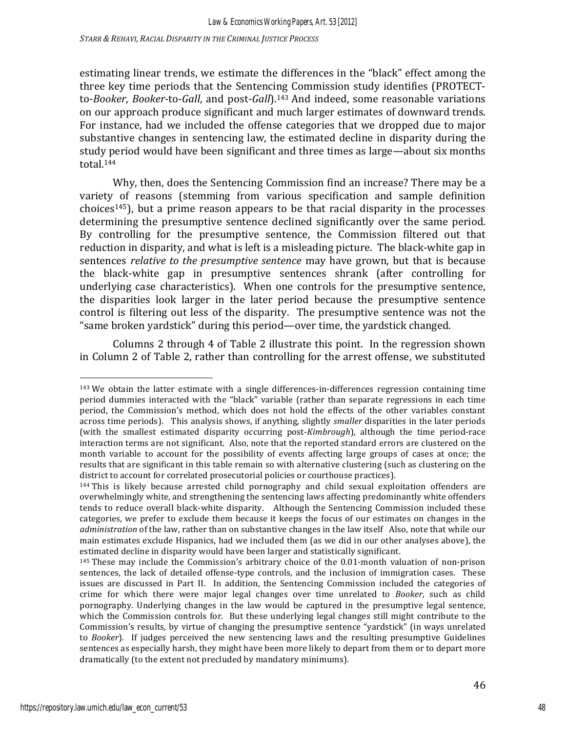*Law & Economics Working Papers, Art. 53 [2012]*

*STARR & REHAVI, RACIAL DISPARITY IN THE CRIMINAL JUSTICE PROCESS*

estimating linear trends, we estimate the differences in the "black" effect among the three key time periods that the Sentencing Commission study identifies (PROTECTto-*Booker*, *Booker-to-Gall*, and post-*Gall*).<sup>143</sup> And indeed, some reasonable variations on our approach produce significant and much larger estimates of downward trends. For instance, had we included the offense categories that we dropped due to major substantive changes in sentencing law, the estimated decline in disparity during the study period would have been significant and three times as large—about six months total.144

Why, then, does the Sentencing Commission find an increase? There may be a variety of reasons (stemming from various specification and sample definition choices<sup>145</sup>), but a prime reason appears to be that racial disparity in the processes determining the presumptive sentence declined significantly over the same period. By controlling for the presumptive sentence, the Commission filtered out that reduction in disparity, and what is left is a misleading picture. The black-white gap in sentences *relative to the presumptive sentence* may have grown, but that is because the black-white gap in presumptive sentences shrank (after controlling for underlying case characteristics). When one controls for the presumptive sentence, the disparities look larger in the later period because the presumptive sentence control is filtering out less of the disparity. The presumptive sentence was not the "same broken yardstick" during this period—over time, the yardstick changed.

Columns 2 through 4 of Table 2 illustrate this point. In the regression shown in Column 2 of Table 2, rather than controlling for the arrest offense, we substituted

 $143$  We obtain the latter estimate with a single differences-in-differences regression containing time period dummies interacted with the "black" variable (rather than separate regressions in each time period, the Commission's method, which does not hold the effects of the other variables constant across time periods). This analysis shows, if anything, slightly *smaller* disparities in the later periods (with the smallest estimated disparity occurring post-*Kimbrough*), although the time period-race interaction terms are not significant. Also, note that the reported standard errors are clustered on the month variable to account for the possibility of events affecting large groups of cases at once; the results that are significant in this table remain so with alternative clustering (such as clustering on the district to account for correlated prosecutorial policies or courthouse practices).

 $144$  This is likely because arrested child pornography and child sexual exploitation offenders are overwhelmingly white, and strengthening the sentencing laws affecting predominantly white offenders tends to reduce overall black-white disparity. Although the Sentencing Commission included these categories, we prefer to exclude them because it keeps the focus of our estimates on changes in the *administration* of the law, rather than on substantive changes in the law itself Also, note that while our main estimates exclude Hispanics, had we included them (as we did in our other analyses above), the estimated decline in disparity would have been larger and statistically significant.

 $145$  These may include the Commission's arbitrary choice of the 0.01-month valuation of non-prison sentences, the lack of detailed offense-type controls, and the inclusion of immigration cases. These issues are discussed in Part II. In addition, the Sentencing Commission included the categories of crime for which there were major legal changes over time unrelated to *Booker*, such as child pornography. Underlying changes in the law would be captured in the presumptive legal sentence, which the Commission controls for. But these underlying legal changes still might contribute to the Commission's results, by virtue of changing the presumptive sentence "yardstick" (in ways unrelated to *Booker*). If judges perceived the new sentencing laws and the resulting presumptive Guidelines sentences as especially harsh, they might have been more likely to depart from them or to depart more dramatically (to the extent not precluded by mandatory minimums).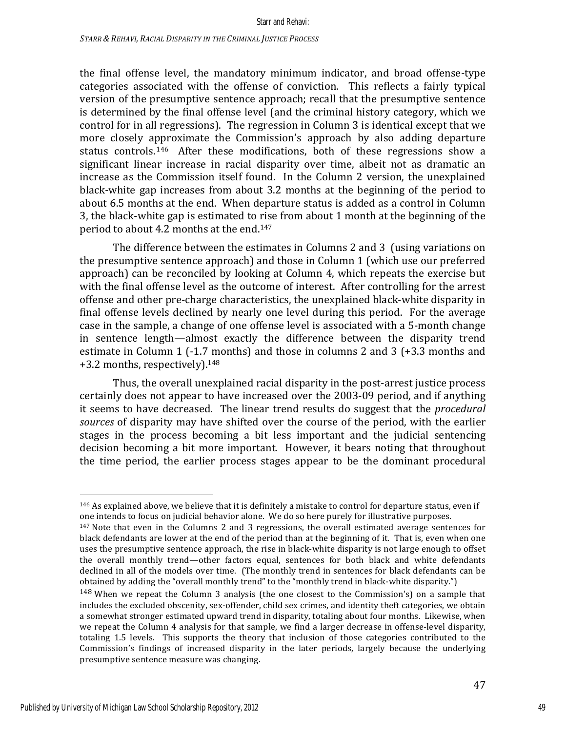the final offense level, the mandatory minimum indicator, and broad offense-type categories associated with the offense of conviction. This reflects a fairly typical version of the presumptive sentence approach; recall that the presumptive sentence is determined by the final offense level (and the criminal history category, which we control for in all regressions). The regression in Column 3 is identical except that we more closely approximate the Commission's approach by also adding departure status controls.<sup>146</sup> After these modifications, both of these regressions show a significant linear increase in racial disparity over time, albeit not as dramatic an increase as the Commission itself found. In the Column 2 version, the unexplained black-white gap increases from about 3.2 months at the beginning of the period to about 6.5 months at the end. When departure status is added as a control in Column 3, the black-white gap is estimated to rise from about 1 month at the beginning of the period to about 4.2 months at the end.<sup>147</sup>

The difference between the estimates in Columns 2 and 3 (using variations on the presumptive sentence approach) and those in Column 1 (which use our preferred approach) can be reconciled by looking at Column 4, which repeats the exercise but with the final offense level as the outcome of interest. After controlling for the arrest offense and other pre-charge characteristics, the unexplained black-white disparity in final offense levels declined by nearly one level during this period. For the average case in the sample, a change of one offense level is associated with a 5-month change in sentence length—almost exactly the difference between the disparity trend estimate in Column 1 (-1.7 months) and those in columns 2 and 3 (+3.3 months and +3.2 months, respectively).<sup>148</sup>

Thus, the overall unexplained racial disparity in the post-arrest justice process certainly does not appear to have increased over the 2003-09 period, and if anything it seems to have decreased. The linear trend results do suggest that the *procedural* sources of disparity may have shifted over the course of the period, with the earlier stages in the process becoming a bit less important and the judicial sentencing decision becoming a bit more important. However, it bears noting that throughout the time period, the earlier process stages appear to be the dominant procedural

<sup>&</sup>lt;sup>146</sup> As explained above, we believe that it is definitely a mistake to control for departure status, even if one intends to focus on judicial behavior alone. We do so here purely for illustrative purposes.

 $147$  Note that even in the Columns 2 and 3 regressions, the overall estimated average sentences for black defendants are lower at the end of the period than at the beginning of it. That is, even when one uses the presumptive sentence approach, the rise in black-white disparity is not large enough to offset the overall monthly trend—other factors equal, sentences for both black and white defendants declined in all of the models over time. (The monthly trend in sentences for black defendants can be obtained by adding the "overall monthly trend" to the "monthly trend in black-white disparity.")

 $148$  When we repeat the Column 3 analysis (the one closest to the Commission's) on a sample that includes the excluded obscenity, sex-offender, child sex crimes, and identity theft categories, we obtain a somewhat stronger estimated upward trend in disparity, totaling about four months. Likewise, when we repeat the Column 4 analysis for that sample, we find a larger decrease in offense-level disparity, totaling 1.5 levels. This supports the theory that inclusion of those categories contributed to the Commission's findings of increased disparity in the later periods, largely because the underlying presumptive sentence measure was changing.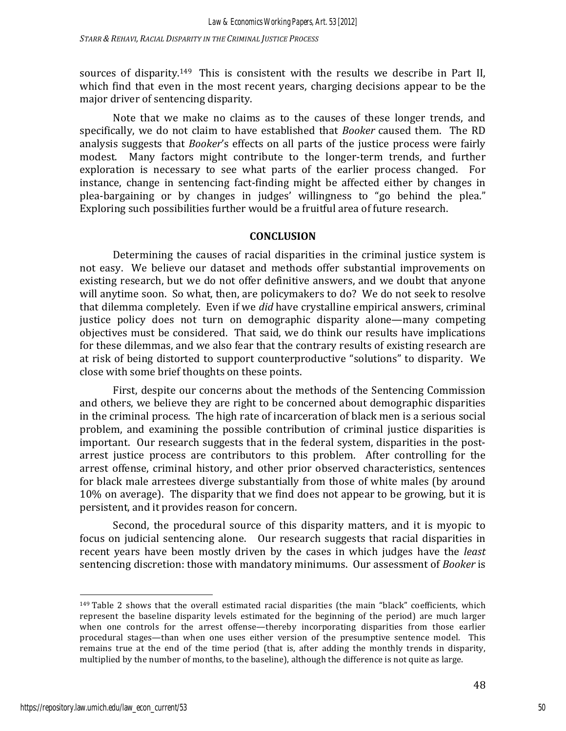sources of disparity.<sup>149</sup> This is consistent with the results we describe in Part II, which find that even in the most recent years, charging decisions appear to be the major driver of sentencing disparity.

Note that we make no claims as to the causes of these longer trends, and specifically, we do not claim to have established that *Booker* caused them. The RD analysis suggests that *Booker's* effects on all parts of the justice process were fairly modest. Many factors might contribute to the longer-term trends, and further exploration is necessary to see what parts of the earlier process changed. For instance, change in sentencing fact-finding might be affected either by changes in plea-bargaining or by changes in judges' willingness to "go behind the plea." Exploring such possibilities further would be a fruitful area of future research.

### **CONCLUSION**

Determining the causes of racial disparities in the criminal justice system is not easy. We believe our dataset and methods offer substantial improvements on existing research, but we do not offer definitive answers, and we doubt that anyone will anytime soon. So what, then, are policymakers to do? We do not seek to resolve that dilemma completely. Even if we *did* have crystalline empirical answers, criminal justice policy does not turn on demographic disparity alone—many competing objectives must be considered. That said, we do think our results have implications for these dilemmas, and we also fear that the contrary results of existing research are at risk of being distorted to support counterproductive "solutions" to disparity. We close with some brief thoughts on these points.

First, despite our concerns about the methods of the Sentencing Commission and others, we believe they are right to be concerned about demographic disparities in the criminal process. The high rate of incarceration of black men is a serious social problem, and examining the possible contribution of criminal justice disparities is important. Our research suggests that in the federal system, disparities in the postarrest justice process are contributors to this problem. After controlling for the arrest offense, criminal history, and other prior observed characteristics, sentences for black male arrestees diverge substantially from those of white males (by around 10% on average). The disparity that we find does not appear to be growing, but it is persistent, and it provides reason for concern.

Second, the procedural source of this disparity matters, and it is myopic to focus on judicial sentencing alone. Our research suggests that racial disparities in recent years have been mostly driven by the cases in which judges have the *least* sentencing discretion: those with mandatory minimums. Our assessment of *Booker* is

 $149$  Table 2 shows that the overall estimated racial disparities (the main "black" coefficients, which represent the baseline disparity levels estimated for the beginning of the period) are much larger when one controls for the arrest offense—thereby incorporating disparities from those earlier procedural stages—than when one uses either version of the presumptive sentence model. This remains true at the end of the time period (that is, after adding the monthly trends in disparity, multiplied by the number of months, to the baseline), although the difference is not quite as large.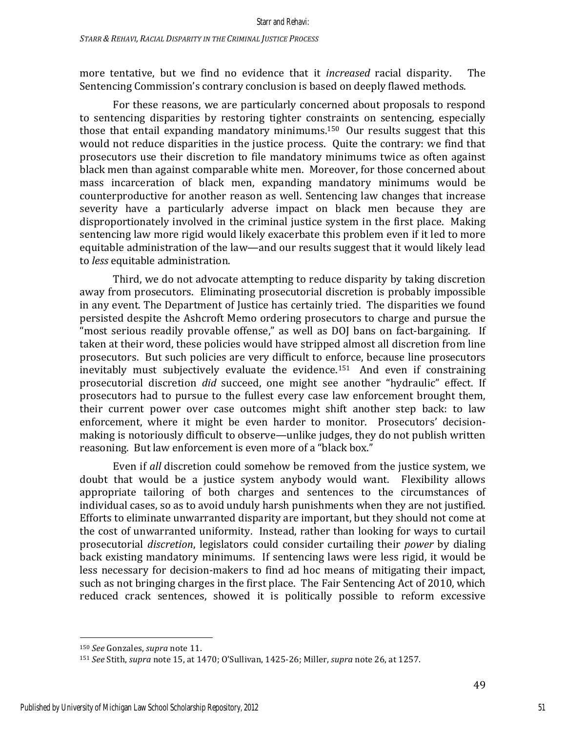more tentative, but we find no evidence that it *increased* racial disparity. The Sentencing Commission's contrary conclusion is based on deeply flawed methods.

For these reasons, we are particularly concerned about proposals to respond to sentencing disparities by restoring tighter constraints on sentencing, especially those that entail expanding mandatory minimums.<sup>150</sup> Our results suggest that this would not reduce disparities in the justice process. Ouite the contrary: we find that prosecutors use their discretion to file mandatory minimums twice as often against black men than against comparable white men. Moreover, for those concerned about mass incarceration of black men, expanding mandatory minimums would be counterproductive for another reason as well. Sentencing law changes that increase severity have a particularly adverse impact on black men because they are disproportionately involved in the criminal justice system in the first place. Making sentencing law more rigid would likely exacerbate this problem even if it led to more equitable administration of the law—and our results suggest that it would likely lead to *less* equitable administration.

Third, we do not advocate attempting to reduce disparity by taking discretion away from prosecutors. Eliminating prosecutorial discretion is probably impossible in any event. The Department of Justice has certainly tried. The disparities we found persisted despite the Ashcroft Memo ordering prosecutors to charge and pursue the "most serious readily provable offense," as well as DOJ bans on fact-bargaining. If taken at their word, these policies would have stripped almost all discretion from line prosecutors. But such policies are very difficult to enforce, because line prosecutors inevitably must subjectively evaluate the evidence.<sup>151</sup> And even if constraining prosecutorial discretion *did* succeed, one might see another "hydraulic" effect. If prosecutors had to pursue to the fullest every case law enforcement brought them, their current power over case outcomes might shift another step back: to law enforcement, where it might be even harder to monitor. Prosecutors' decisionmaking is notoriously difficult to observe—unlike judges, they do not publish written reasoning. But law enforcement is even more of a "black box."

Even if all discretion could somehow be removed from the justice system, we doubt that would be a justice system anybody would want. Flexibility allows appropriate tailoring of both charges and sentences to the circumstances of individual cases, so as to avoid unduly harsh punishments when they are not justified. Efforts to eliminate unwarranted disparity are important, but they should not come at the cost of unwarranted uniformity. Instead, rather than looking for ways to curtail prosecutorial *discretion*, legislators could consider curtailing their *power* by dialing back existing mandatory minimums. If sentencing laws were less rigid, it would be less necessary for decision-makers to find ad hoc means of mitigating their impact, such as not bringing charges in the first place. The Fair Sentencing Act of 2010, which reduced crack sentences, showed it is politically possible to reform excessive

 150 *See* Gonzales, *supra* note 11.

<sup>151</sup> *See* Stith, *supra* note 15, at 1470; O'Sullivan, 1425-26; Miller, *supra* note 26, at 1257.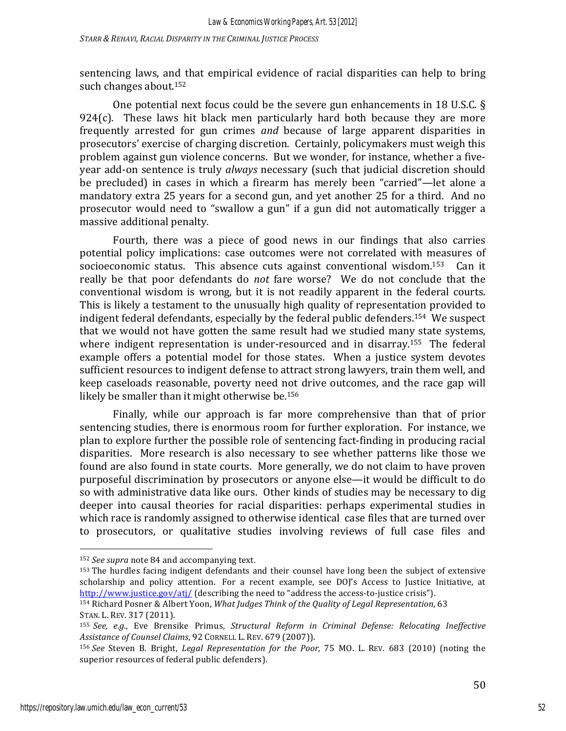*STARR & REHAVI, RACIAL DISPARITY IN THE CRIMINAL JUSTICE PROCESS*

sentencing laws, and that empirical evidence of racial disparities can help to bring such changes about.<sup>152</sup>

One potential next focus could be the severe gun enhancements in 18 U.S.C.  $\S$ 924 $(c)$ . These laws hit black men particularly hard both because they are more frequently arrested for gun crimes *and* because of large apparent disparities in prosecutors' exercise of charging discretion. Certainly, policymakers must weigh this problem against gun violence concerns. But we wonder, for instance, whether a fiveyear add-on sentence is truly *always* necessary (such that judicial discretion should be precluded) in cases in which a firearm has merely been "carried"—let alone a mandatory extra 25 years for a second gun, and yet another 25 for a third. And no prosecutor would need to "swallow a gun" if a gun did not automatically trigger a massive additional penalty.

Fourth, there was a piece of good news in our findings that also carries potential policy implications: case outcomes were not correlated with measures of socioeconomic status. This absence cuts against conventional wisdom.<sup>153</sup> Can it really be that poor defendants do *not* fare worse? We do not conclude that the conventional wisdom is wrong, but it is not readily apparent in the federal courts. This is likely a testament to the unusually high quality of representation provided to indigent federal defendants, especially by the federal public defenders.<sup>154</sup> We suspect that we would not have gotten the same result had we studied many state systems, where indigent representation is under-resourced and in disarray.<sup>155</sup> The federal example offers a potential model for those states. When a justice system devotes sufficient resources to indigent defense to attract strong lawyers, train them well, and keep caseloads reasonable, poverty need not drive outcomes, and the race gap will likely be smaller than it might otherwise be. $156$ 

Finally, while our approach is far more comprehensive than that of prior sentencing studies, there is enormous room for further exploration. For instance, we plan to explore further the possible role of sentencing fact-finding in producing racial disparities. More research is also necessary to see whether patterns like those we found are also found in state courts. More generally, we do not claim to have proven purposeful discrimination by prosecutors or anyone else—it would be difficult to do so with administrative data like ours. Other kinds of studies may be necessary to dig deeper into causal theories for racial disparities: perhaps experimental studies in which race is randomly assigned to otherwise identical case files that are turned over to prosecutors, or qualitative studies involving reviews of full case files and

<sup>&</sup>lt;sup>152</sup> *See supra* note 84 and accompanying text.

<sup>153</sup> The hurdles facing indigent defendants and their counsel have long been the subject of extensive scholarship and policy attention. For a recent example, see DOJ's Access to Justice Initiative, at http://www.justice.gov/atj/ (describing the need to "address the access-to-justice crisis").

<sup>&</sup>lt;sup>154</sup> Richard Posner & Albert Yoon, *What Judges Think of the Quality of Legal Representation*, 63 STAN. L. REV. 317 (2011).

<sup>155</sup> See, e.g., Eve Brensike Primus, *Structural Reform in Criminal Defense: Relocating Ineffective Assistance of Counsel Claims*, 92 CORNELL L. REV. 679 (2007)).

<sup>156</sup> See Steven B. Bright, *Legal Representation for the Poor*, 75 MO. L. REV. 683 (2010) (noting the superior resources of federal public defenders).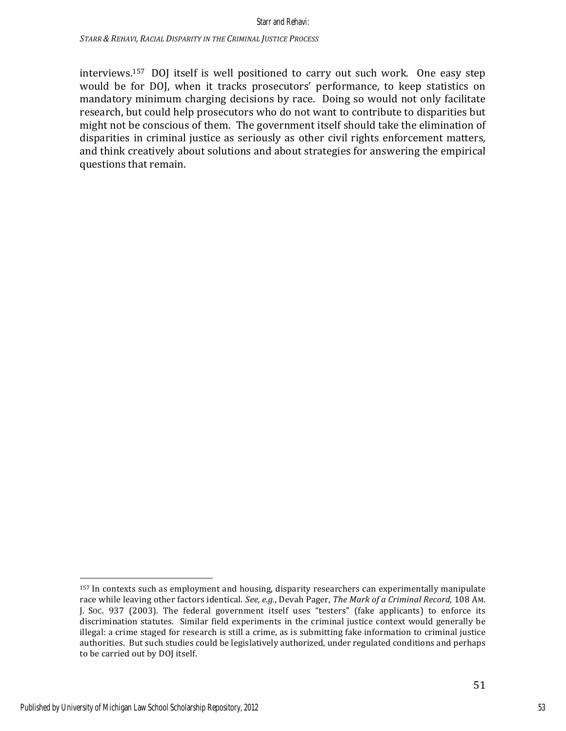interviews.<sup>157</sup> DOJ itself is well positioned to carry out such work. One easy step would be for DOJ, when it tracks prosecutors' performance, to keep statistics on mandatory minimum charging decisions by race. Doing so would not only facilitate research, but could help prosecutors who do not want to contribute to disparities but might not be conscious of them. The government itself should take the elimination of disparities in criminal justice as seriously as other civil rights enforcement matters, and think creatively about solutions and about strategies for answering the empirical questions that remain.

<sup>&</sup>lt;sup>157</sup> In contexts such as employment and housing, disparity researchers can experimentally manipulate race while leaving other factors identical. See, e.g., Devah Pager, *The Mark of a Criminal Record*, 108 AM. J. Soc. 937 (2003). The federal government itself uses "testers" (fake applicants) to enforce its discrimination statutes. Similar field experiments in the criminal justice context would generally be illegal: a crime staged for research is still a crime, as is submitting fake information to criminal justice authorities. But such studies could be legislatively authorized, under regulated conditions and perhaps to be carried out by DOJ itself.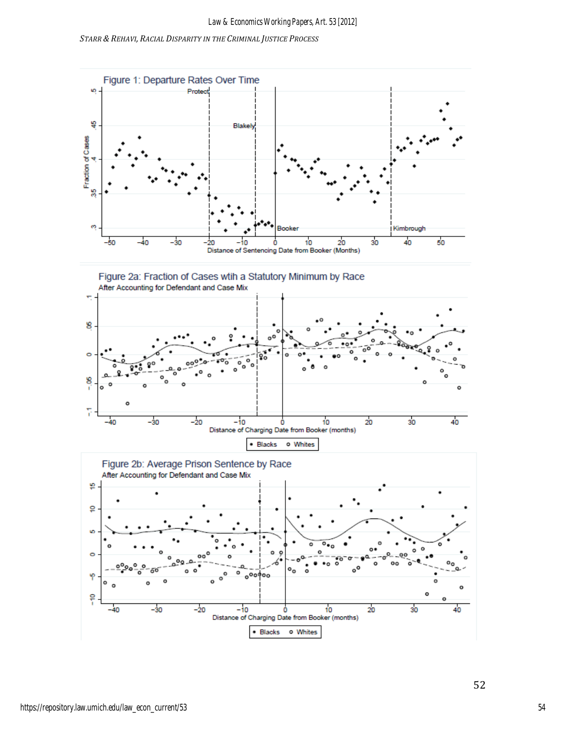



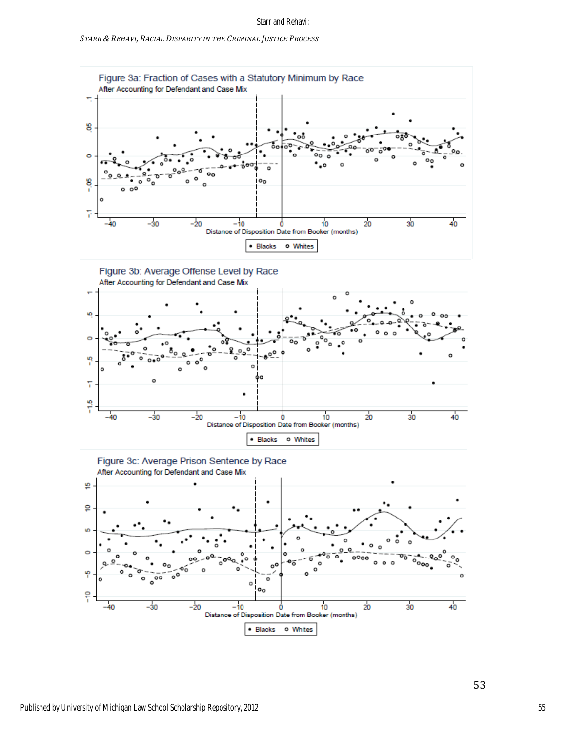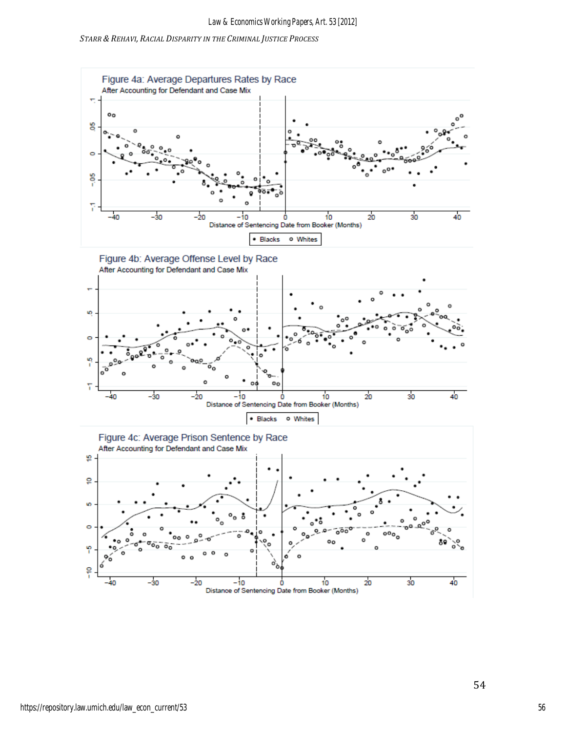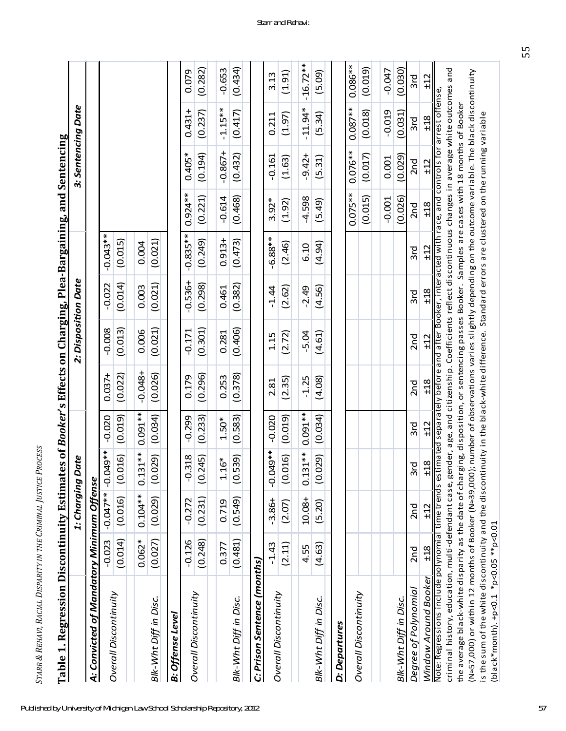| ١<br>֧֖֧֧֧֧֧֧֧֧֧֦֧֧֧֧֧֦֧֧֧֧֧֧֧֚֚֚֚֚֚֚֚֚֚֚֚֚֚֚֚֚֚֚֚֚֚֓֓֓֓֓֓֓֓֓֓֓֓֓֓֓֓֝֬֓֓֓֝֬֝֬֝֬֝֬֝֬֝֬֝֬<br>֧֧֧֪֪֪֪֪֪֪֪֪֪֪֪֪֪֪֪֪֪֪֪֚֜֝֬֝<br>I<br>Ì<br>֕<br>l |
|---------------------------------------------------------------------------------------------------------------------------------------------|
| <br>l<br>l<br>Ì<br>l<br>I<br>ׇ֚<br>l<br>l                                                                                                   |
| ı<br>l<br>l<br>í<br>֠<br>l<br>l<br>1<br>l<br>֕<br>l<br>l                                                                                    |
| J<br>l<br>Ï<br>l<br>֕<br>l<br>l<br>ׇ֚֘                                                                                                      |
| l<br>ı                                                                                                                                      |
| $\frac{1}{2}$<br>l<br>ĺ<br>í<br>I<br>i                                                                                                      |

| -<br>-<br>-<br>-                                           |
|------------------------------------------------------------|
| ֖֖֖֖֖֖֧֖ׅ֖֧֖֧֧֪֪֪֪֪֧֚֚֚֚֚֚֚֚֚֚֚֚֚֚֚֚֚֚֚֚֚֚֚֬֝֝֝֓֞֝֓֞֝֬֝֬֝֬ |
| j                                                          |
|                                                            |
|                                                            |
|                                                            |
|                                                            |
| $\cdot$                                                    |
|                                                            |

| <b>Table 1. Regression Discontinuity Estima</b>                                                                                                                                                               |          |                    |                   |            |                 | tes of <i>Booker's</i> Effects on Charging, Plea-Bargaining, and Sentencing                            |           |             |            |                    |            |            |
|---------------------------------------------------------------------------------------------------------------------------------------------------------------------------------------------------------------|----------|--------------------|-------------------|------------|-----------------|--------------------------------------------------------------------------------------------------------|-----------|-------------|------------|--------------------|------------|------------|
|                                                                                                                                                                                                               |          | 1: Charging        | Date              |            |                 | 2: Disposition Date                                                                                    |           |             |            | 3: Sentencing Date |            |            |
| A: Convicted of Mandatory Minimum Offense                                                                                                                                                                     |          |                    |                   |            |                 |                                                                                                        |           |             |            |                    |            |            |
|                                                                                                                                                                                                               | $-0.023$ | $-0.047**$   $-0.$ | **049             | $-0.020$   | $0.037 +$       | $-0.008$                                                                                               | $-0.022$  | $-0.043**$  |            |                    |            |            |
| Overall Discontinuity                                                                                                                                                                                         | (0.014)  | (0.016)            | (0.016)           | (0.019)    | (0.022)         | (0.013)                                                                                                | (0.014)   | (0.015)     |            |                    |            |            |
|                                                                                                                                                                                                               | $0.062*$ | $0.104***$         | $0.131***$        | $0.091***$ | $-0.048+$       | 0.006                                                                                                  | 0.003     | 0.004       |            |                    |            |            |
| Blk-Wht Diff in Disc.                                                                                                                                                                                         | (0.027)  | (0.029)            | (0.029)           | (0.034)    | (0.026)         | (0.021)                                                                                                | (0.021)   | (0.021)     |            |                    |            |            |
| B: Offense Level                                                                                                                                                                                              |          |                    |                   |            |                 |                                                                                                        |           |             |            |                    |            |            |
| <b>Overall Discontinuity</b>                                                                                                                                                                                  | $-0.126$ | $-0.272$           | $-0.318$          | $-0.299$   | 0.179           | $-0.171$                                                                                               | $-0.536+$ | $-0.835***$ | $0.924**$  | $0.405*$           | $0.431 +$  | 0.079      |
|                                                                                                                                                                                                               | (0.248)  | (0.231)            | (0.245)           | (0.233)    | (0.296)         | (0.301)                                                                                                | (0.298)   | (0.249)     | (0.221)    | (0.194)            | (0.237)    | (0.282)    |
|                                                                                                                                                                                                               | 0.377    | 0.719              | $1.16*$           | $1.50*$    | 0.253           | 0.281                                                                                                  | 0.461     | $0.913 +$   | $-0.614$   | $-0.867 +$         | $-1.15**$  | $-0.653$   |
| Blk-Wht Diff in Disc.                                                                                                                                                                                         | (0.481)  | (0.549)            | (0.539)           | (0.583)    | (0.378)         | (0.406)                                                                                                | (0.382)   | (0.473)     | (0.468)    | (0.432)            | (0.417)    | (0.434)    |
| C: Prison Sentence (months)                                                                                                                                                                                   |          |                    |                   |            |                 |                                                                                                        |           |             |            |                    |            |            |
|                                                                                                                                                                                                               | $-1.43$  | $-3.86+$           | <b>**049</b><br>ု | $-0.020$   | 2.81            | 1.15                                                                                                   | $-1.44$   | $-6.88**$   | $3.92*$    | $-0.161$           | 0.211      | 3.13       |
| <b>Overall Discontinuity</b>                                                                                                                                                                                  | (2.11)   | (2.07)             | (0.016)           | (0.019)    | (2.35)          | (2.72)                                                                                                 | (2.62)    | (2.46)      | (1.92)     | (1.63)             | (1.97)     | (1.91)     |
|                                                                                                                                                                                                               |          |                    |                   |            |                 |                                                                                                        |           |             |            |                    |            |            |
|                                                                                                                                                                                                               | 4.55     | 10.08+             | $0.131***$        | $0.091***$ | $-1.25$         | $-5.04$                                                                                                | $-2.49$   | 6.10        | $-4.598$   | $-9.42+$           | $-11.94*$  | $-16.72**$ |
| Blk-Wht Diff in Disc.                                                                                                                                                                                         | (4.63)   | (5.20)             | (0.029)           | (0.034)    | (4.08)          | (4.61)                                                                                                 | (4.56)    | (4.94)      | (5.49)     | (5.31)             | (5.34)     | (5.09)     |
| D: Departures                                                                                                                                                                                                 |          |                    |                   |            |                 |                                                                                                        |           |             |            |                    |            |            |
| <b>Overall Discontinuity</b>                                                                                                                                                                                  |          |                    |                   |            |                 |                                                                                                        |           |             | $0.075***$ | $0.076**$          | $0.087***$ | $0.086**$  |
|                                                                                                                                                                                                               |          |                    |                   |            |                 |                                                                                                        |           |             | (0.015)    | (0.017)            | (0.018)    | (0.019)    |
|                                                                                                                                                                                                               |          |                    |                   |            |                 |                                                                                                        |           |             | $-0.001$   | 0.001              | $-0.019$   | $-0.047$   |
| Blk-Wht Diff in Disc.                                                                                                                                                                                         |          |                    |                   |            |                 |                                                                                                        |           |             | (0.026)    | (0.029)            | (0.031)    | (0.030)    |
| Degree of Polynomial                                                                                                                                                                                          | 2nd      | 2nd                | 3rd               | 3rd        | 2n <sub>d</sub> | 2n <sub>d</sub>                                                                                        | 3rd       | 3rd         | 2nd        | 2nd                | 3rd        | 3rd        |
| Window Around Booker                                                                                                                                                                                          | ±18      | ±12                | ±18               | ±12        | ±18             | ±12                                                                                                    | ±18       | ±12         | ±18        | ±12                | ±18        | ±12        |
| Note: Regressions include polynomial time trends estimated separately before and after Booker, interacted with race, and controls for arrest offense,<br>criminal history, education, multi-defendant case, a |          |                    |                   |            |                 | gender, age, and citizenship. Coefficients reflect discontinuous changes in average white outcomes and |           |             |            |                    |            |            |
| the average black-white disparity as the date of charging, disposition, or sentencing passes Booker. Samples are cases with 18 months of Booker                                                               |          |                    |                   |            |                 |                                                                                                        |           |             |            |                    |            |            |
| (N≈57,000) or within 12 months of Booker (N≈39,000); number of observations varies slightly depending on the outcome variable. The black discontinuity                                                        |          |                    |                   |            |                 |                                                                                                        |           |             |            |                    |            |            |
| is the sum of the white discontinuity and the discontinuity in the black-white difference. Standard errors are clustered on the running variable                                                              |          |                    |                   |            |                 |                                                                                                        |           |             |            |                    |            |            |
| (black*month). +p<0.1 *p<0.05 **p<0.01                                                                                                                                                                        |          |                    |                   |            |                 |                                                                                                        |           |             |            |                    |            |            |